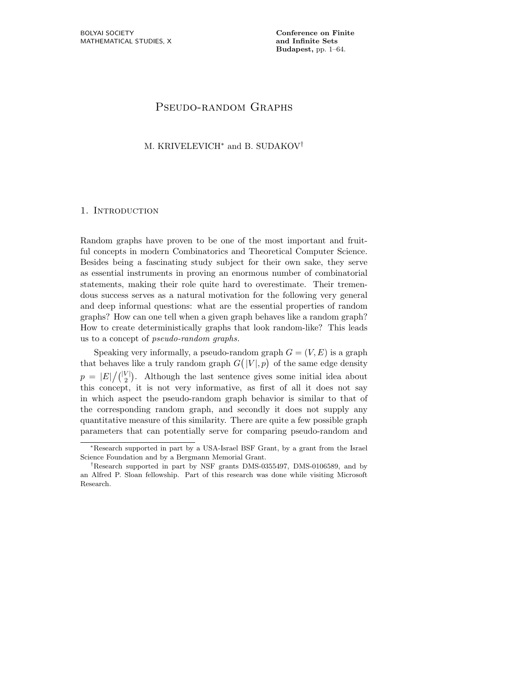Budapest, pp. 1–64.

# PSEUDO-RANDOM GRAPHS

# M. KRIVELEVICH<sup>\*</sup> and B. SUDAKOV<sup>†</sup>

# 1. INTRODUCTION

Random graphs have proven to be one of the most important and fruitful concepts in modern Combinatorics and Theoretical Computer Science. Besides being a fascinating study subject for their own sake, they serve as essential instruments in proving an enormous number of combinatorial statements, making their role quite hard to overestimate. Their tremendous success serves as a natural motivation for the following very general and deep informal questions: what are the essential properties of random graphs? How can one tell when a given graph behaves like a random graph? How to create deterministically graphs that look random-like? This leads us to a concept of pseudo-random graphs.

Speaking very informally, a pseudo-random graph  $G = (V, E)$  is a graph that behaves like a truly random graph  $G(|V|, p)$  of the same edge density  $p = |E|/ { |V| \choose 2}.$  Although the last sentence gives some initial idea about this concept, it is not very informative, as first of all it does not say in which aspect the pseudo-random graph behavior is similar to that of the corresponding random graph, and secondly it does not supply any quantitative measure of this similarity. There are quite a few possible graph parameters that can potentially serve for comparing pseudo-random and

<sup>∗</sup>Research supported in part by a USA-Israel BSF Grant, by a grant from the Israel Science Foundation and by a Bergmann Memorial Grant.

<sup>†</sup>Research supported in part by NSF grants DMS-0355497, DMS-0106589, and by an Alfred P. Sloan fellowship. Part of this research was done while visiting Microsoft Research.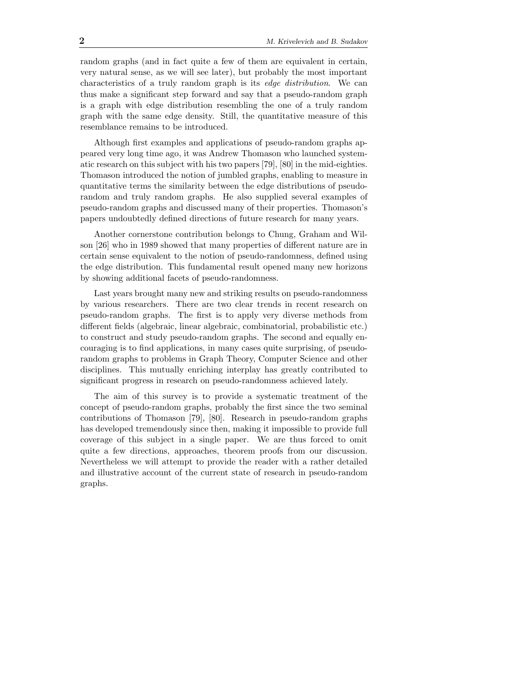random graphs (and in fact quite a few of them are equivalent in certain, very natural sense, as we will see later), but probably the most important characteristics of a truly random graph is its edge distribution. We can thus make a significant step forward and say that a pseudo-random graph is a graph with edge distribution resembling the one of a truly random graph with the same edge density. Still, the quantitative measure of this resemblance remains to be introduced.

Although first examples and applications of pseudo-random graphs appeared very long time ago, it was Andrew Thomason who launched systematic research on this subject with his two papers [79], [80] in the mid-eighties. Thomason introduced the notion of jumbled graphs, enabling to measure in quantitative terms the similarity between the edge distributions of pseudorandom and truly random graphs. He also supplied several examples of pseudo-random graphs and discussed many of their properties. Thomason's papers undoubtedly defined directions of future research for many years.

Another cornerstone contribution belongs to Chung, Graham and Wilson [26] who in 1989 showed that many properties of different nature are in certain sense equivalent to the notion of pseudo-randomness, defined using the edge distribution. This fundamental result opened many new horizons by showing additional facets of pseudo-randomness.

Last years brought many new and striking results on pseudo-randomness by various researchers. There are two clear trends in recent research on pseudo-random graphs. The first is to apply very diverse methods from different fields (algebraic, linear algebraic, combinatorial, probabilistic etc.) to construct and study pseudo-random graphs. The second and equally encouraging is to find applications, in many cases quite surprising, of pseudorandom graphs to problems in Graph Theory, Computer Science and other disciplines. This mutually enriching interplay has greatly contributed to significant progress in research on pseudo-randomness achieved lately.

The aim of this survey is to provide a systematic treatment of the concept of pseudo-random graphs, probably the first since the two seminal contributions of Thomason [79], [80]. Research in pseudo-random graphs has developed tremendously since then, making it impossible to provide full coverage of this subject in a single paper. We are thus forced to omit quite a few directions, approaches, theorem proofs from our discussion. Nevertheless we will attempt to provide the reader with a rather detailed and illustrative account of the current state of research in pseudo-random graphs.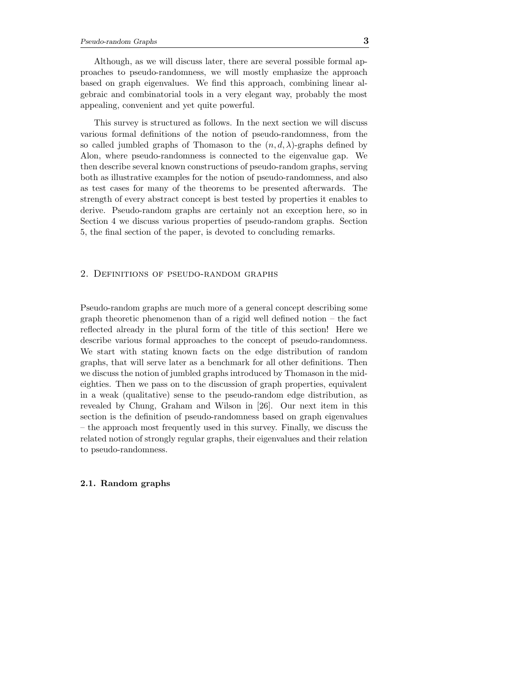Although, as we will discuss later, there are several possible formal approaches to pseudo-randomness, we will mostly emphasize the approach based on graph eigenvalues. We find this approach, combining linear algebraic and combinatorial tools in a very elegant way, probably the most appealing, convenient and yet quite powerful.

This survey is structured as follows. In the next section we will discuss various formal definitions of the notion of pseudo-randomness, from the so called jumbled graphs of Thomason to the  $(n, d, \lambda)$ -graphs defined by Alon, where pseudo-randomness is connected to the eigenvalue gap. We then describe several known constructions of pseudo-random graphs, serving both as illustrative examples for the notion of pseudo-randomness, and also as test cases for many of the theorems to be presented afterwards. The strength of every abstract concept is best tested by properties it enables to derive. Pseudo-random graphs are certainly not an exception here, so in Section 4 we discuss various properties of pseudo-random graphs. Section 5, the final section of the paper, is devoted to concluding remarks.

# 2. Definitions of pseudo-random graphs

Pseudo-random graphs are much more of a general concept describing some graph theoretic phenomenon than of a rigid well defined notion – the fact reflected already in the plural form of the title of this section! Here we describe various formal approaches to the concept of pseudo-randomness. We start with stating known facts on the edge distribution of random graphs, that will serve later as a benchmark for all other definitions. Then we discuss the notion of jumbled graphs introduced by Thomason in the mideighties. Then we pass on to the discussion of graph properties, equivalent in a weak (qualitative) sense to the pseudo-random edge distribution, as revealed by Chung, Graham and Wilson in [26]. Our next item in this section is the definition of pseudo-randomness based on graph eigenvalues – the approach most frequently used in this survey. Finally, we discuss the related notion of strongly regular graphs, their eigenvalues and their relation to pseudo-randomness.

# 2.1. Random graphs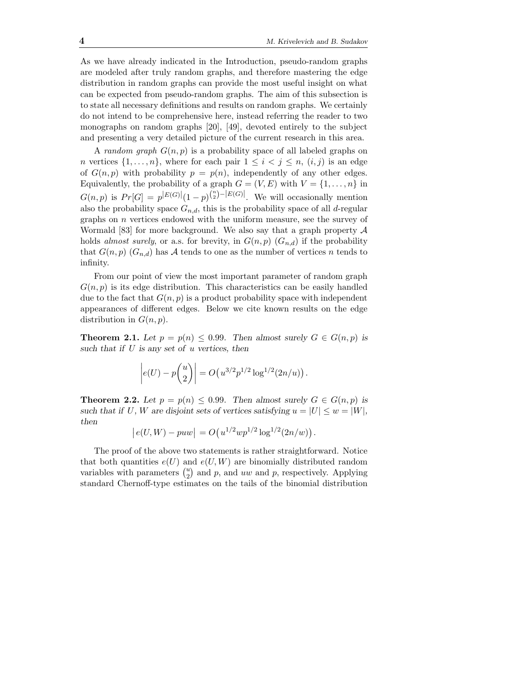As we have already indicated in the Introduction, pseudo-random graphs are modeled after truly random graphs, and therefore mastering the edge distribution in random graphs can provide the most useful insight on what can be expected from pseudo-random graphs. The aim of this subsection is to state all necessary definitions and results on random graphs. We certainly do not intend to be comprehensive here, instead referring the reader to two monographs on random graphs [20], [49], devoted entirely to the subject and presenting a very detailed picture of the current research in this area.

A *random graph*  $G(n, p)$  is a probability space of all labeled graphs on *n* vertices  $\{1, \ldots, n\}$ , where for each pair  $1 \leq i \leq j \leq n$ ,  $(i, j)$  is an edge of  $G(n, p)$  with probability  $p = p(n)$ , independently of any other edges. Equivalently, the probability of a graph  $G = (V, E)$  with  $V = \{1, \ldots, n\}$  in  $G(n, p)$  is  $Pr[G] = p^{|E(G)|} (1-p)^{{n \choose 2} - |E(G)|}$ . We will occasionally mention also the probability space  $G_{n,d}$ , this is the probability space of all d-regular graphs on  $n$  vertices endowed with the uniform measure, see the survey of Wormald [83] for more background. We also say that a graph property  $A$ holds almost surely, or a.s. for brevity, in  $G(n, p)$   $(G_{n,d})$  if the probability that  $G(n, p)$   $(G_{n,d})$  has A tends to one as the number of vertices n tends to infinity.

From our point of view the most important parameter of random graph  $G(n, p)$  is its edge distribution. This characteristics can be easily handled due to the fact that  $G(n, p)$  is a product probability space with independent appearances of different edges. Below we cite known results on the edge distribution in  $G(n, p)$ .

**Theorem 2.1.** Let  $p = p(n) \le 0.99$ . Then almost surely  $G \in G(n, p)$  is such that if  $U$  is any set of  $u$  vertices, then

$$
\left| e(U) - p\binom{u}{2} \right| = O\left( u^{3/2} p^{1/2} \log^{1/2} (2n/u) \right).
$$

**Theorem 2.2.** Let  $p = p(n) \le 0.99$ . Then almost surely  $G \in G(n, p)$  is such that if U, W are disjoint sets of vertices satisfying  $u = |U| \leq w = |W|$ , then

$$
|e(U, W) - puw| = O(u^{1/2}wp^{1/2}\log^{1/2}(2n/w)).
$$

The proof of the above two statements is rather straightforward. Notice that both quantities  $e(U)$  and  $e(U, W)$  are binomially distributed random variables with parameters  $\binom{u}{2}$  $_{2}^{u}$ ) and p, and uw and p, respectively. Applying standard Chernoff-type estimates on the tails of the binomial distribution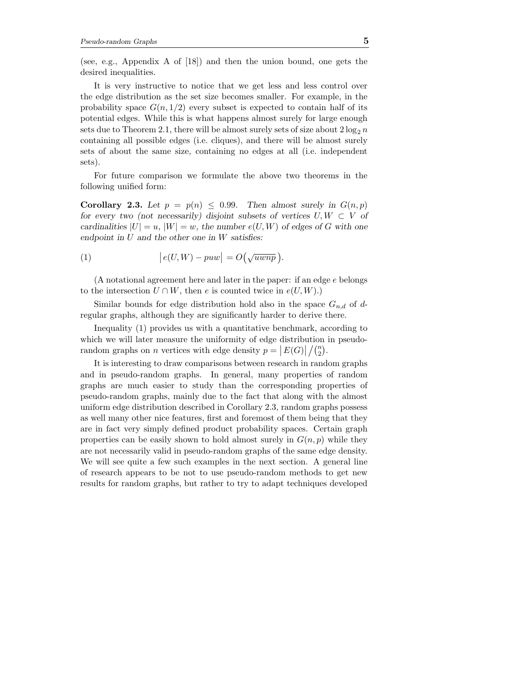(see, e.g., Appendix A of [18]) and then the union bound, one gets the desired inequalities.

It is very instructive to notice that we get less and less control over the edge distribution as the set size becomes smaller. For example, in the probability space  $G(n, 1/2)$  every subset is expected to contain half of its potential edges. While this is what happens almost surely for large enough sets due to Theorem 2.1, there will be almost surely sets of size about  $2 \log_2 n$ containing all possible edges (i.e. cliques), and there will be almost surely sets of about the same size, containing no edges at all (i.e. independent sets).

For future comparison we formulate the above two theorems in the following unified form:

Corollary 2.3. Let  $p = p(n) \le 0.99$ . Then almost surely in  $G(n, p)$ for every two (not necessarily) disjoint subsets of vertices  $U, W \subset V$  of cardinalities  $|U| = u$ ,  $|W| = w$ , the number  $e(U, W)$  of edges of G with one endpoint in  $U$  and the other one in  $W$  satisfies:

(1) 
$$
\left| e(U,W) - puw \right| = O\left(\sqrt{uwnp}\right).
$$

(A notational agreement here and later in the paper: if an edge e belongs to the intersection  $U \cap W$ , then e is counted twice in  $e(U, W)$ .)

Similar bounds for edge distribution hold also in the space  $G_{n,d}$  of dregular graphs, although they are significantly harder to derive there.

Inequality (1) provides us with a quantitative benchmark, according to which we will later measure the uniformity of edge distribution in pseudorandom graphs on n vertices with edge density  $p = |E(G)| / {n \choose 2}$  $\binom{n}{2}$ .

It is interesting to draw comparisons between research in random graphs and in pseudo-random graphs. In general, many properties of random graphs are much easier to study than the corresponding properties of pseudo-random graphs, mainly due to the fact that along with the almost uniform edge distribution described in Corollary 2.3, random graphs possess as well many other nice features, first and foremost of them being that they are in fact very simply defined product probability spaces. Certain graph properties can be easily shown to hold almost surely in  $G(n, p)$  while they are not necessarily valid in pseudo-random graphs of the same edge density. We will see quite a few such examples in the next section. A general line of research appears to be not to use pseudo-random methods to get new results for random graphs, but rather to try to adapt techniques developed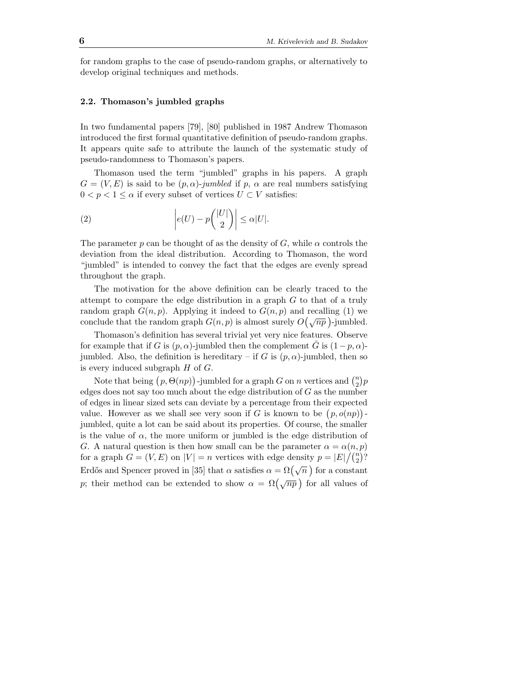for random graphs to the case of pseudo-random graphs, or alternatively to develop original techniques and methods.

## 2.2. Thomason's jumbled graphs

In two fundamental papers [79], [80] published in 1987 Andrew Thomason introduced the first formal quantitative definition of pseudo-random graphs. It appears quite safe to attribute the launch of the systematic study of pseudo-randomness to Thomason's papers.

Thomason used the term "jumbled" graphs in his papers. A graph  $G = (V, E)$  is said to be  $(p, \alpha)$ -jumbled if p,  $\alpha$  are real numbers satisfying  $0 < p < 1 \leq \alpha$  if every subset of vertices  $U \subset V$  satisfies:

(2) 
$$
\left| e(U) - p\binom{|U|}{2} \right| \le \alpha |U|.
$$

The parameter p can be thought of as the density of G, while  $\alpha$  controls the deviation from the ideal distribution. According to Thomason, the word "jumbled" is intended to convey the fact that the edges are evenly spread throughout the graph.

The motivation for the above definition can be clearly traced to the attempt to compare the edge distribution in a graph G to that of a truly random graph  $G(n, p)$ . Applying it indeed to  $G(n, p)$  and recalling (1) we conclude that the random graph  $G(n, p)$  is almost surely  $O(\sqrt{np})$ -jumbled.

Thomason's definition has several trivial yet very nice features. Observe for example that if G is  $(p, \alpha)$ -jumbled then the complement G is  $(1-p, \alpha)$ jumbled. Also, the definition is hereditary – if G is  $(p, \alpha)$ -jumbled, then so is every induced subgraph  $H$  of  $G$ .

Note that being  $(p, \Theta(np))$ -jumbled for a graph G on n vertices and  $\binom{n}{2}$  $\binom{n}{2}p$ edges does not say too much about the edge distribution of  $G$  as the number of edges in linear sized sets can deviate by a percentage from their expected value. However as we shall see very soon if G is known to be  $(p, o(np))$ . jumbled, quite a lot can be said about its properties. Of course, the smaller is the value of  $\alpha$ , the more uniform or jumbled is the edge distribution of G. A natural question is then how small can be the parameter  $\alpha = \alpha(n, p)$ for a graph  $G = (V, E)$  on  $|V| = n$  vertices with edge density  $p = |E| / {n \choose 2}$  $\binom{n}{2}$ ? Erdős and Spencer proved in [35] that  $\alpha$  satisfies  $\alpha = \Omega(\sqrt{n})$  for a constant p; their method can be extended to show  $\alpha = \Omega(\sqrt{np})$  for all values of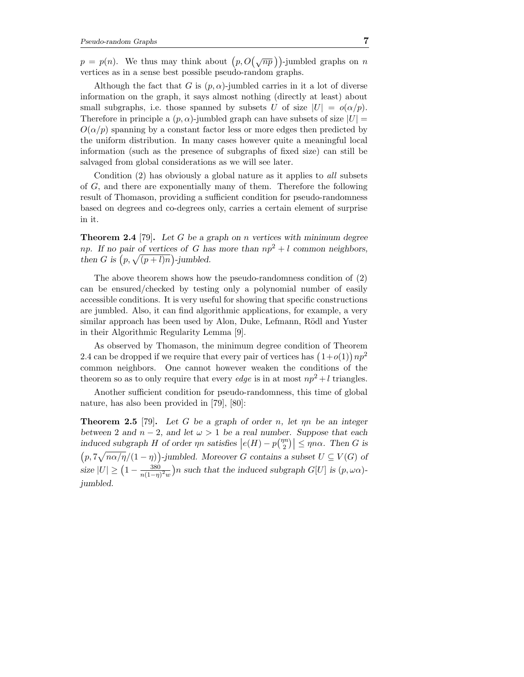$p = p(n)$ . We thus may think about  $\left(p, O(\sqrt{np})\right)$ -jumbled graphs on n vertices as in a sense best possible pseudo-random graphs.

Although the fact that G is  $(p, \alpha)$ -jumbled carries in it a lot of diverse information on the graph, it says almost nothing (directly at least) about small subgraphs, i.e. those spanned by subsets U of size  $|U| = o(\alpha/p)$ . Therefore in principle a  $(p, \alpha)$ -jumbled graph can have subsets of size  $|U|$  =  $O(\alpha/p)$  spanning by a constant factor less or more edges then predicted by the uniform distribution. In many cases however quite a meaningful local information (such as the presence of subgraphs of fixed size) can still be salvaged from global considerations as we will see later.

Condition (2) has obviously a global nature as it applies to all subsets of G, and there are exponentially many of them. Therefore the following result of Thomason, providing a sufficient condition for pseudo-randomness based on degrees and co-degrees only, carries a certain element of surprise in it.

**Theorem 2.4** [79]. Let G be a graph on n vertices with minimum degree np. If no pair of vertices of G has more than  $np^2 + l$  common neighbors, then G is  $\left(p, \sqrt{(p+l)n}\right)$ -jumbled.

The above theorem shows how the pseudo-randomness condition of (2) can be ensured/checked by testing only a polynomial number of easily accessible conditions. It is very useful for showing that specific constructions are jumbled. Also, it can find algorithmic applications, for example, a very similar approach has been used by Alon, Duke, Lefmann, Rödl and Yuster in their Algorithmic Regularity Lemma [9].

As observed by Thomason, the minimum degree condition of Theorem 2.4 can be dropped if we require that every pair of vertices has  $(1+o(1)) np^2$ common neighbors. One cannot however weaken the conditions of the theorem so as to only require that every *edge* is in at most  $np^2 + l$  triangles.

Another sufficient condition for pseudo-randomness, this time of global nature, has also been provided in [79], [80]:

**Theorem 2.5** [79]. Let G be a graph of order n, let  $\eta$  be an integer between 2 and  $n-2$ , and let  $\omega > 1$  be a real number. Suppose that each induced subgraph H of order  $\eta n$  satisfies  $\left| e(H) - p\binom{\eta n}{2} \right|$  $\left| \frac{m}{2} \right| \leq \eta n \alpha$ . Then G is  $(p, 7\sqrt{n\alpha/\eta}/(1-\eta))$ -jumbled. Moreover G contains a subset  $U \subseteq V(G)$  of size  $|U| \ge (1 - \frac{380}{n(1 - \eta)})$  $\frac{380}{n(1-\eta)^2 w}$ )n such that the induced subgraph  $G[U]$  is  $(p, \omega \alpha)$ jumbled.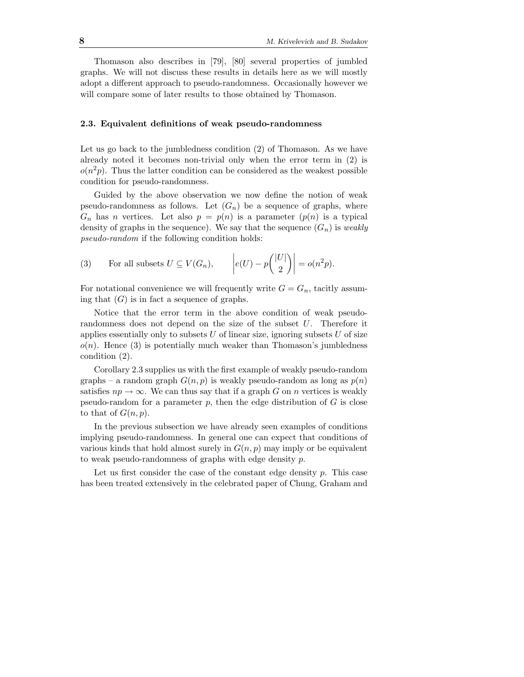Thomason also describes in [79], [80] several properties of jumbled graphs. We will not discuss these results in details here as we will mostly adopt a different approach to pseudo-randomness. Occasionally however we will compare some of later results to those obtained by Thomason.

#### 2.3. Equivalent definitions of weak pseudo-randomness

Let us go back to the jumbledness condition  $(2)$  of Thomason. As we have already noted it becomes non-trivial only when the error term in (2) is  $o(n^2p)$ . Thus the latter condition can be considered as the weakest possible condition for pseudo-randomness.

Guided by the above observation we now define the notion of weak pseudo-randomness as follows. Let  $(G_n)$  be a sequence of graphs, where  $G_n$  has n vertices. Let also  $p = p(n)$  is a parameter  $(p(n))$  is a typical density of graphs in the sequence). We say that the sequence  $(G_n)$  is weakly pseudo-random if the following condition holds:

(3) For all subsets 
$$
U \subseteq V(G_n)
$$
,  $|e(U) - p(\begin{bmatrix} |U| \\ 2 \end{bmatrix})| = o(n^2p)$ .

For notational convenience we will frequently write  $G = G_n$ , tacitly assuming that  $(G)$  is in fact a sequence of graphs.

Notice that the error term in the above condition of weak pseudorandomness does not depend on the size of the subset  $U$ . Therefore it applies essentially only to subsets  $U$  of linear size, ignoring subsets  $U$  of size  $o(n)$ . Hence (3) is potentially much weaker than Thomason's jumbledness condition (2).

Corollary 2.3 supplies us with the first example of weakly pseudo-random graphs – a random graph  $G(n, p)$  is weakly pseudo-random as long as  $p(n)$ satisfies  $np \to \infty$ . We can thus say that if a graph G on n vertices is weakly pseudo-random for a parameter  $p$ , then the edge distribution of  $G$  is close to that of  $G(n, p)$ .

In the previous subsection we have already seen examples of conditions implying pseudo-randomness. In general one can expect that conditions of various kinds that hold almost surely in  $G(n, p)$  may imply or be equivalent to weak pseudo-randomness of graphs with edge density p.

Let us first consider the case of the constant edge density  $p$ . This case has been treated extensively in the celebrated paper of Chung, Graham and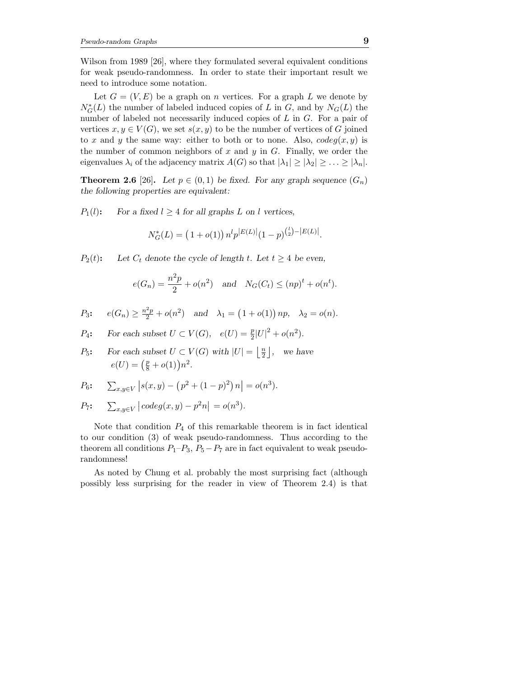Wilson from 1989 [26], where they formulated several equivalent conditions for weak pseudo-randomness. In order to state their important result we need to introduce some notation.

Let  $G = (V, E)$  be a graph on *n* vertices. For a graph L we denote by  $N_G^*(L)$  the number of labeled induced copies of L in G, and by  $N_G(L)$  the number of labeled not necessarily induced copies of L in G. For a pair of vertices  $x, y \in V(G)$ , we set  $s(x, y)$  to be the number of vertices of G joined to x and y the same way: either to both or to none. Also,  $codeg(x, y)$  is the number of common neighbors of  $x$  and  $y$  in  $G$ . Finally, we order the eigenvalues  $\lambda_i$  of the adjacency matrix  $A(G)$  so that  $|\lambda_1| \geq |\lambda_2| \geq \ldots \geq |\lambda_n|$ .

**Theorem 2.6** [26]. Let  $p \in (0,1)$  be fixed. For any graph sequence  $(G_n)$ the following properties are equivalent:

 $P_1(l)$ : For a fixed  $l \geq 4$  for all graphs L on l vertices,

$$
N_G^*(L) = (1 + o(1)) n^l p^{|E(L)|} (1 - p)^{{l \choose 2} - |E(L)|}.
$$

 $P_2(t)$ : Let  $C_t$  denote the cycle of length t. Let  $t \geq 4$  be even,

$$
e(G_n) = \frac{n^2p}{2} + o(n^2)
$$
 and  $N_G(C_t) \le (np)^t + o(n^t)$ .

$$
P_3
$$
:  $e(G_n) \ge \frac{n^2p}{2} + o(n^2)$  and  $\lambda_1 = (1 + o(1)) np$ ,  $\lambda_2 = o(n)$ .

 $P_4$ : For each subset  $U \subset V(G)$ ,  $e(U) = \frac{p}{2}$  $\frac{p}{2}|U|^2 + o(n^2).$ 

*P*<sub>5</sub>: For each subset 
$$
U \subset V(G)
$$
 with  $|U| = \left\lfloor \frac{n}{2} \right\rfloor$ , we have  $e(U) = \left(\frac{p}{8} + o(1)\right)n^2$ .

$$
P_6: \quad \sum_{x,y \in V} |s(x,y) - (p^2 + (1-p)^2) n| = o(n^3).
$$

$$
P_7: \quad \sum_{x,y \in V} |codeg(x,y) - p^2n| = o(n^3).
$$

Note that condition  $P_4$  of this remarkable theorem is in fact identical to our condition (3) of weak pseudo-randomness. Thus according to the theorem all conditions  $P_1-P_3$ ,  $P_5-P_7$  are in fact equivalent to weak pseudorandomness!

As noted by Chung et al. probably the most surprising fact (although possibly less surprising for the reader in view of Theorem 2.4) is that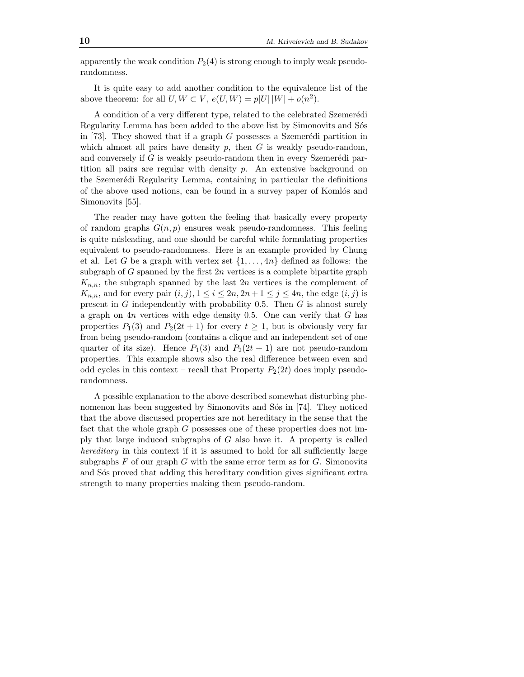apparently the weak condition  $P_2(4)$  is strong enough to imply weak pseudorandomness.

It is quite easy to add another condition to the equivalence list of the above theorem: for all  $U, W \subset V$ ,  $e(U, W) = p|U| |W| + o(n^2)$ .

A condition of a very different type, related to the celebrated Szemerédi Regularity Lemma has been added to the above list by Simonovits and Sos in [73]. They showed that if a graph  $G$  possesses a Szemerédi partition in which almost all pairs have density  $p$ , then  $G$  is weakly pseudo-random, and conversely if  $G$  is weakly pseudo-random then in every Szemerédi partition all pairs are regular with density  $p$ . An extensive background on the Szemerédi Regularity Lemma, containing in particular the definitions of the above used notions, can be found in a survey paper of Komlós and Simonovits [55].

The reader may have gotten the feeling that basically every property of random graphs  $G(n, p)$  ensures weak pseudo-randomness. This feeling is quite misleading, and one should be careful while formulating properties equivalent to pseudo-randomness. Here is an example provided by Chung et al. Let G be a graph with vertex set  $\{1, \ldots, 4n\}$  defined as follows: the subgraph of  $G$  spanned by the first  $2n$  vertices is a complete bipartite graph  $K_{n,n}$ , the subgraph spanned by the last  $2n$  vertices is the complement of  $K_{n,n}$ , and for every pair  $(i, j)$ ,  $1 \leq i \leq 2n$ ,  $2n + 1 \leq j \leq 4n$ , the edge  $(i, j)$  is present in  $G$  independently with probability 0.5. Then  $G$  is almost surely a graph on  $4n$  vertices with edge density 0.5. One can verify that  $G$  has properties  $P_1(3)$  and  $P_2(2t + 1)$  for every  $t \ge 1$ , but is obviously very far from being pseudo-random (contains a clique and an independent set of one quarter of its size). Hence  $P_1(3)$  and  $P_2(2t + 1)$  are not pseudo-random properties. This example shows also the real difference between even and odd cycles in this context – recall that Property  $P_2(2t)$  does imply pseudorandomness.

A possible explanation to the above described somewhat disturbing phenomenon has been suggested by Simonovits and Sós in [74]. They noticed that the above discussed properties are not hereditary in the sense that the fact that the whole graph G possesses one of these properties does not imply that large induced subgraphs of  $G$  also have it. A property is called hereditary in this context if it is assumed to hold for all sufficiently large subgraphs  $F$  of our graph  $G$  with the same error term as for  $G$ . Simonovits and S<sup>os</sup> proved that adding this hereditary condition gives significant extra strength to many properties making them pseudo-random.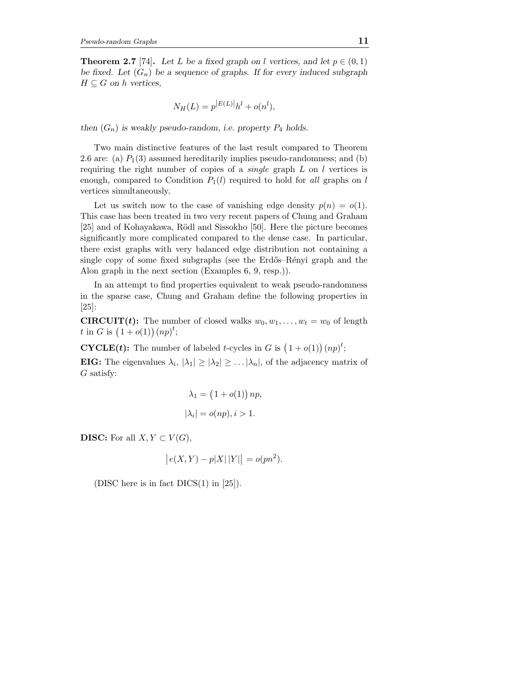**Theorem 2.7** [74]. Let L be a fixed graph on l vertices, and let  $p \in (0, 1)$ be fixed. Let  $(G_n)$  be a sequence of graphs. If for every induced subgraph  $H \subseteq G$  on h vertices,

$$
N_H(L) = p^{|E(L)|} h^l + o(n^l),
$$

then  $(G_n)$  is weakly pseudo-random, i.e. property  $P_4$  holds.

Two main distinctive features of the last result compared to Theorem 2.6 are: (a)  $P_1(3)$  assumed hereditarily implies pseudo-randomness; and (b) requiring the right number of copies of a *single* graph  $L$  on  $l$  vertices is enough, compared to Condition  $P_1(l)$  required to hold for all graphs on l vertices simultaneously.

Let us switch now to the case of vanishing edge density  $p(n) = o(1)$ . This case has been treated in two very recent papers of Chung and Graham [25] and of Kohayakawa, Rödl and Sissokho [50]. Here the picture becomes significantly more complicated compared to the dense case. In particular, there exist graphs with very balanced edge distribution not containing a single copy of some fixed subgraphs (see the Erdős–Rényi graph and the Alon graph in the next section (Examples 6, 9, resp.)).

In an attempt to find properties equivalent to weak pseudo-randomness in the sparse case, Chung and Graham define the following properties in [25]:

**CIRCUIT(t):** The number of closed walks  $w_0, w_1, \ldots, w_t = w_0$  of length t in G is  $(1+o(1))(np)^t$ ;

**CYCLE(t):** The number of labeled t-cycles in G is  $(1+o(1))(np)^t$ ;

**EIG:** The eigenvalues  $\lambda_i$ ,  $|\lambda_1| \geq |\lambda_2| \geq \ldots |\lambda_n|$ , of the adjacency matrix of G satisfy:

$$
\lambda_1 = (1 + o(1)) np,
$$
  

$$
|\lambda_i| = o(np), i > 1.
$$

**DISC:** For all  $X, Y \subset V(G)$ ,

$$
|e(X,Y) - p|X||Y|| = o(pn^2).
$$

(DISC here is in fact  $DICS(1)$  in [25]).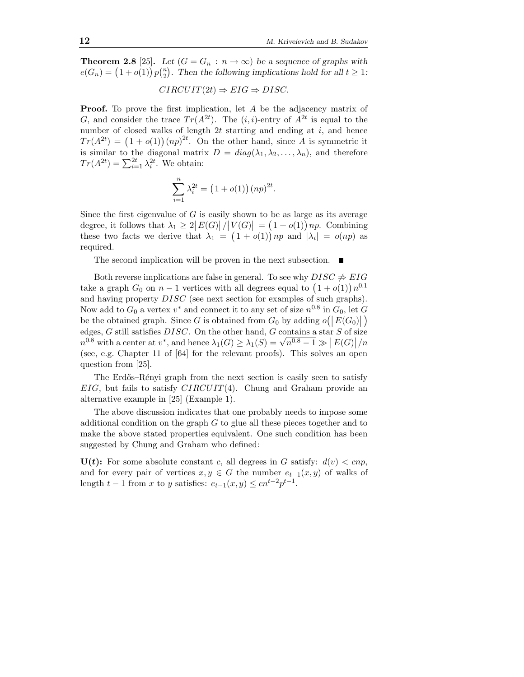**Theorem 2.8** [25]. Let  $(G = G_n : n \to \infty)$  be a sequence of graphs with  $e(G_n) = (1+o(1)) p_{2n}^{(n)}$  $n_2$ ). Then the following implications hold for all  $t \geq 1$ :

$$
CIRCUIT(2t) \Rightarrow EIG \Rightarrow DISC.
$$

**Proof.** To prove the first implication, let A be the adjacency matrix of G, and consider the trace  $Tr(A^{2t})$ . The  $(i, i)$ -entry of  $A^{2t}$  is equal to the number of closed walks of length  $2t$  starting and ending at i, and hence  $Tr(A^{2t}) = (1+o(1))(np)^{2t}$ . On the other hand, since A is symmetric it is similar to the diagonal matrix  $D = diag(\lambda_1, \lambda_2, ..., \lambda_n)$ , and therefore  $Tr(A^{2t}) = \sum_{i=1}^{2t} \lambda_i^{2t}$ . We obtain:

$$
\sum_{i=1}^{n} \lambda_i^{2t} = (1 + o(1))(np)^{2t}.
$$

Since the first eigenvalue of  $G$  is easily shown to be as large as its average degree, it follows that  $\lambda_1 \geq 2|E(G)|/|V(G)| = (1+o(1))$  *np.* Combining these two facts we derive that  $\lambda_1 = (1 + o(1)) np$  and  $|\lambda_i| = o(np)$  as required.

The second implication will be proven in the next subsection.  $\blacksquare$ 

Both reverse implications are false in general. To see why  $DISC \neq EIG$ take a graph  $G_0$  on  $n-1$  vertices with all degrees equal to  $(1+o(1))n^{0.1}$ and having property DISC (see next section for examples of such graphs). Now add to  $G_0$  a vertex  $v^*$  and connect it to any set of size  $n^{0.8}$  in  $G_0$ , let  $G$ be the obtained graph. Since G is obtained from  $G_0$  by adding  $o(|E(G_0)|)$ edges,  $G$  still satisfies  $DISC$ . On the other hand,  $G$  contains a star  $S$  of size  $n^{0.8}$  with a center at  $v^*$ , and hence  $\lambda_1(G) \geq \lambda_1(S) = \sqrt{n^{0.8} - 1} \gg |E(G)|/n$ (see, e.g. Chapter 11 of [64] for the relevant proofs). This solves an open question from [25].

The Erdős–Rényi graph from the next section is easily seen to satisfy  $EIG$ , but fails to satisfy  $CIRCUIT(4)$ . Chung and Graham provide an alternative example in [25] (Example 1).

The above discussion indicates that one probably needs to impose some additional condition on the graph  $G$  to glue all these pieces together and to make the above stated properties equivalent. One such condition has been suggested by Chung and Graham who defined:

 $U(t)$ : For some absolute constant c, all degrees in G satisfy:  $d(v) < cnp$ , and for every pair of vertices  $x, y \in G$  the number  $e_{t-1}(x, y)$  of walks of length  $t-1$  from x to y satisfies:  $e_{t-1}(x, y) \leq c n^{t-2} p^{t-1}$ .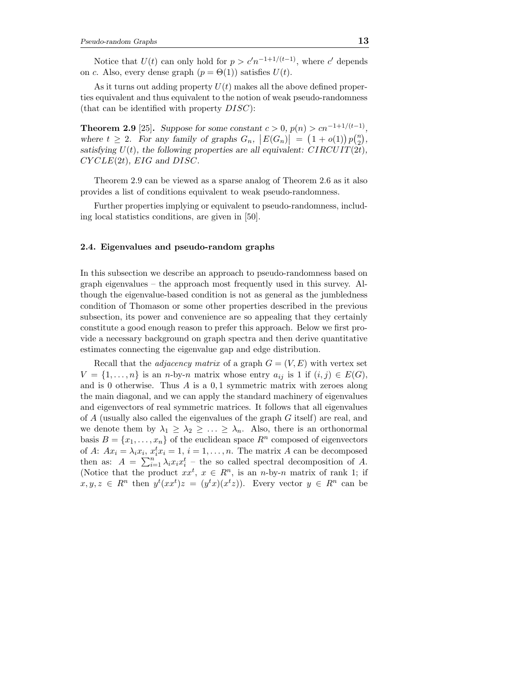Notice that  $U(t)$  can only hold for  $p > c'n^{-1+1/(t-1)}$ , where c' depends on c. Also, every dense graph  $(p = \Theta(1))$  satisfies  $U(t)$ .

As it turns out adding property  $U(t)$  makes all the above defined properties equivalent and thus equivalent to the notion of weak pseudo-randomness (that can be identified with property  $DISC$ ):

**Theorem 2.9** [25]. Suppose for some constant  $c > 0$ ,  $p(n) > cn^{-1+1/(t-1)}$ , where  $t \geq 2$ . For any family of graphs  $G_n$ ,  $|E(G_n)| = (1 + o(1))p\binom{n}{2}$  $\binom{n}{2}$ , satisfying  $U(t)$ , the following properties are all equivalent:  $CIRCUIT(2t)$ ,  $CYCLE(2t), EIG \text{ and } DISC.$ 

Theorem 2.9 can be viewed as a sparse analog of Theorem 2.6 as it also provides a list of conditions equivalent to weak pseudo-randomness.

Further properties implying or equivalent to pseudo-randomness, including local statistics conditions, are given in [50].

#### 2.4. Eigenvalues and pseudo-random graphs

In this subsection we describe an approach to pseudo-randomness based on graph eigenvalues – the approach most frequently used in this survey. Although the eigenvalue-based condition is not as general as the jumbledness condition of Thomason or some other properties described in the previous subsection, its power and convenience are so appealing that they certainly constitute a good enough reason to prefer this approach. Below we first provide a necessary background on graph spectra and then derive quantitative estimates connecting the eigenvalue gap and edge distribution.

Recall that the *adjacency matrix* of a graph  $G = (V, E)$  with vertex set  $V = \{1, \ldots, n\}$  is an *n*-by-*n* matrix whose entry  $a_{ij}$  is 1 if  $(i, j) \in E(G)$ , and is 0 otherwise. Thus  $A$  is a  $0,1$  symmetric matrix with zeroes along the main diagonal, and we can apply the standard machinery of eigenvalues and eigenvectors of real symmetric matrices. It follows that all eigenvalues of A (usually also called the eigenvalues of the graph G itself) are real, and we denote them by  $\lambda_1 \geq \lambda_2 \geq \ldots \geq \lambda_n$ . Also, there is an orthonormal basis  $B = \{x_1, \ldots, x_n\}$  of the euclidean space  $R^n$  composed of eigenvectors of A:  $Ax_i = \lambda_i x_i$ ,  $x_i^t x_i = 1$ ,  $i = 1, ..., n$ . The matrix A can be decomposed then as:  $A = \sum_{i=1}^{n} \lambda_i x_i x_i^t$  – the so called spectral decomposition of A. (Notice that the product  $xx^t$ ,  $x \in R^n$ , is an n-by-n matrix of rank 1; if  $x, y, z \in R^n$  then  $y^t(xx^t)z = (y^tx)(x^tz)$ ). Every vector  $y \in R^n$  can be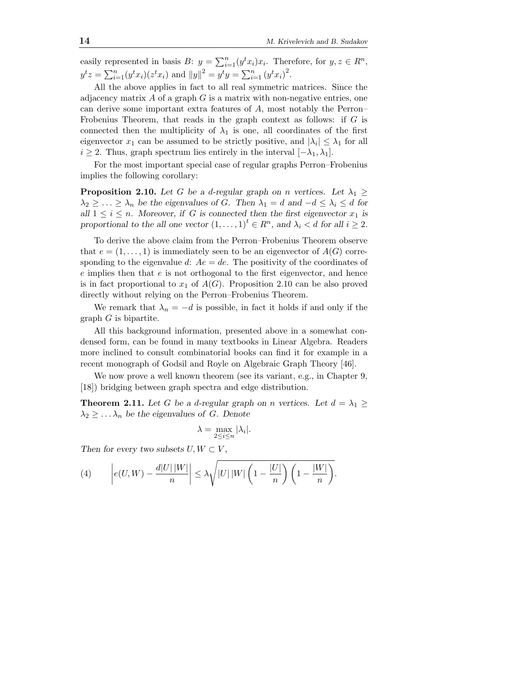easily represented in basis  $B: y = \sum_{i=1}^{n} (y^t x_i) x_i$ . Therefore, for  $y, z \in \mathbb{R}^n$ ,  $y^{t}z = \sum_{i=1}^{n} (y^{t}x_{i})(z^{t}x_{i})$  and  $||y||^{2} = y^{t}y = \sum_{i=1}^{n} (y^{t}x_{i})^{2}$ .

All the above applies in fact to all real symmetric matrices. Since the adjacency matrix  $A$  of a graph  $G$  is a matrix with non-negative entries, one can derive some important extra features of A, most notably the Perron– Frobenius Theorem, that reads in the graph context as follows: if  $G$  is connected then the multiplicity of  $\lambda_1$  is one, all coordinates of the first eigenvector  $x_1$  can be assumed to be strictly positive, and  $|\lambda_i| \leq \lambda_1$  for all  $i \geq 2$ . Thus, graph spectrum lies entirely in the interval  $[-\lambda_1, \lambda_1]$ .

For the most important special case of regular graphs Perron–Frobenius implies the following corollary:

**Proposition 2.10.** Let G be a d-regular graph on n vertices. Let  $\lambda_1 \geq$  $\lambda_2 \geq \ldots \geq \lambda_n$  be the eigenvalues of G. Then  $\lambda_1 = d$  and  $-d \leq \lambda_i \leq d$  for all  $1 \leq i \leq n$ . Moreover, if G is connected then the first eigenvector  $x_1$  is proportional to the all one vector  $(1, \ldots, 1)^t \in R^n$ , and  $\lambda_i < d$  for all  $i \geq 2$ .

To derive the above claim from the Perron–Frobenius Theorem observe that  $e = (1, \ldots, 1)$  is immediately seen to be an eigenvector of  $A(G)$  corresponding to the eigenvalue d:  $Ae = de$ . The positivity of the coordinates of  $e$  implies then that  $e$  is not orthogonal to the first eigenvector, and hence is in fact proportional to  $x_1$  of  $A(G)$ . Proposition 2.10 can be also proved directly without relying on the Perron–Frobenius Theorem.

We remark that  $\lambda_n = -d$  is possible, in fact it holds if and only if the  $graph G$  is bipartite.

All this background information, presented above in a somewhat condensed form, can be found in many textbooks in Linear Algebra. Readers more inclined to consult combinatorial books can find it for example in a recent monograph of Godsil and Royle on Algebraic Graph Theory [46].

We now prove a well known theorem (see its variant, e.g., in Chapter 9, [18]) bridging between graph spectra and edge distribution.

**Theorem 2.11.** Let G be a d-regular graph on n vertices. Let  $d = \lambda_1 \geq$  $\lambda_2 \geq \ldots \lambda_n$  be the eigenvalues of G. Denote

$$
\lambda = \max_{2 \le i \le n} |\lambda_i|.
$$

Then for every two subsets  $U, W \subset V$ ,

(4) 
$$
\left|e(U,W) - \frac{d|U||W|}{n}\right| \leq \lambda \sqrt{|U||W| \left(1 - \frac{|U|}{n}\right) \left(1 - \frac{|W|}{n}\right)}.
$$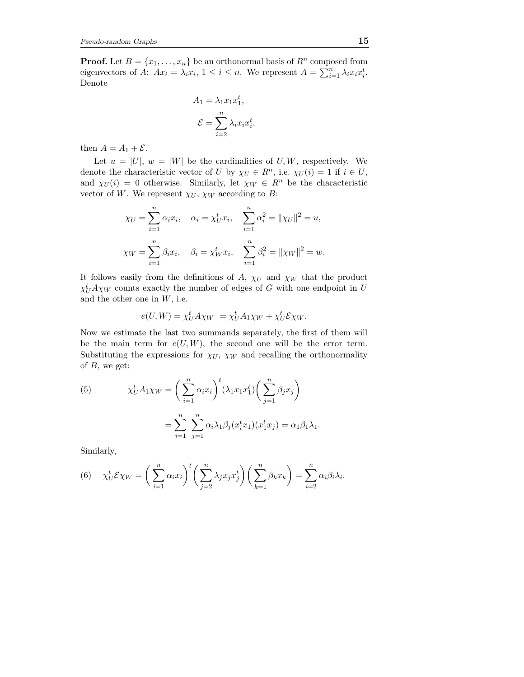**Proof.** Let  $B = \{x_1, \ldots, x_n\}$  be an orthonormal basis of  $R^n$  composed from eigenvectors of A:  $Ax_i = \lambda_i x_i, 1 \leq i \leq n$ . We represent  $A = \sum_{i=1}^n \lambda_i x_i x_i^t$ . Denote

$$
A_1 = \lambda_1 x_1 x_1^t,
$$
  

$$
\mathcal{E} = \sum_{i=2}^n \lambda_i x_i x_i^t,
$$

then  $A = A_1 + \mathcal{E}$ .

Let  $u = |U|$ ,  $w = |W|$  be the cardinalities of U, W, respectively. We denote the characteristic vector of U by  $\chi_U \in R^n$ , i.e.  $\chi_U(i) = 1$  if  $i \in U$ , and  $\chi_U(i) = 0$  otherwise. Similarly, let  $\chi_W \in R^n$  be the characteristic vector of W. We represent  $\chi_U$ ,  $\chi_W$  according to B:

$$
\chi_U = \sum_{i=1}^n \alpha_i x_i, \quad \alpha_i = \chi_U^t x_i, \quad \sum_{i=1}^n \alpha_i^2 = ||\chi_U||^2 = u,
$$
  

$$
\chi_W = \sum_{i=1}^n \beta_i x_i, \quad \beta_i = \chi_W^t x_i, \quad \sum_{i=1}^n \beta_i^2 = ||\chi_W||^2 = w.
$$

It follows easily from the definitions of A,  $\chi_U$  and  $\chi_W$  that the product  $\chi_U^t A \chi_W$  counts exactly the number of edges of G with one endpoint in U and the other one in  $W$ , i.e.

$$
e(U, W) = \chi_U^t A \chi_W = \chi_U^t A_1 \chi_W + \chi_U^t \mathcal{E} \chi_W.
$$

Now we estimate the last two summands separately, the first of them will be the main term for  $e(U, W)$ , the second one will be the error term. Substituting the expressions for  $\chi_U$ ,  $\chi_W$  and recalling the orthonormality of  $B$ , we get:

(5) 
$$
\chi_U^t A_1 \chi_W = \left(\sum_{i=1}^n \alpha_i x_i\right)^t (\lambda_1 x_1 x_1^t) \left(\sum_{j=1}^n \beta_j x_j\right)
$$

$$
= \sum_{i=1}^n \sum_{j=1}^n \alpha_i \lambda_1 \beta_j (x_i^t x_1) (x_1^t x_j) = \alpha_1 \beta_1 \lambda_1.
$$

Similarly,

(6) 
$$
\chi^t_U \mathcal{E} \chi_W = \left(\sum_{i=1}^n \alpha_i x_i\right)^t \left(\sum_{j=2}^n \lambda_j x_j x_j^t\right) \left(\sum_{k=1}^n \beta_k x_k\right) = \sum_{i=2}^n \alpha_i \beta_i \lambda_i.
$$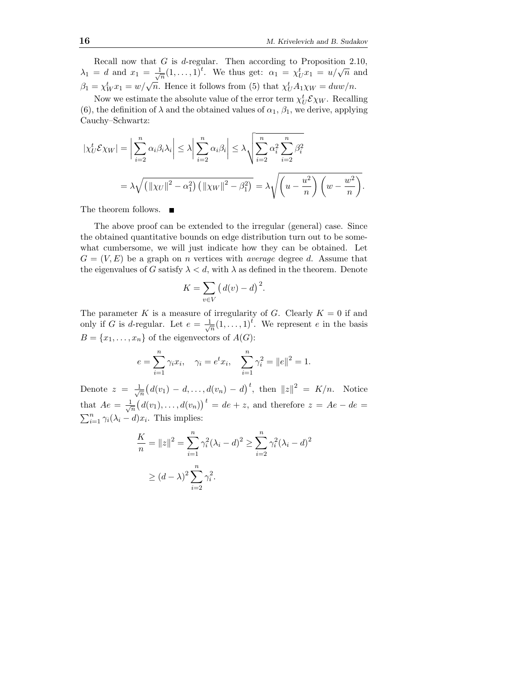Recall now that  $G$  is d-regular. Then according to Proposition 2.10,  $\lambda_1 = d$  and  $x_1 = \frac{1}{\sqrt{2}}$  $\frac{1}{\sqrt{n}}(1,\ldots,1)^t$ . We thus get:  $\alpha_1 = \chi_U^t x_1 = u/\sqrt{n}$  and  $\beta_1 = \chi_W^t x_1 = w/\sqrt{n}$ . Hence it follows from (5) that  $\chi_U^t A_1 \chi_W = duw/n$ .

Now we estimate the absolute value of the error term  $\chi_U^t \mathcal{E} \chi_W$ . Recalling (6), the definition of  $\lambda$  and the obtained values of  $\alpha_1, \beta_1$ , we derive, applying Cauchy–Schwartz:

$$
|\chi_U^t \mathcal{E}\chi_W| = \left|\sum_{i=2}^n \alpha_i \beta_i \lambda_i\right| \leq \lambda \left|\sum_{i=2}^n \alpha_i \beta_i\right| \leq \lambda \sqrt{\sum_{i=2}^n \alpha_i^2 \sum_{i=2}^n \beta_i^2}
$$
  
=  $\lambda \sqrt{\left(\|\chi_U\|^2 - \alpha_1^2\right) \left(\|\chi_W\|^2 - \beta_1^2\right)} = \lambda \sqrt{\left(u - \frac{u^2}{n}\right) \left(w - \frac{w^2}{n}\right)}.$ 

The theorem follows.

The above proof can be extended to the irregular (general) case. Since the obtained quantitative bounds on edge distribution turn out to be somewhat cumbersome, we will just indicate how they can be obtained. Let  $G = (V, E)$  be a graph on *n* vertices with *average* degree d. Assume that the eigenvalues of G satisfy  $\lambda < d$ , with  $\lambda$  as defined in the theorem. Denote

$$
K = \sum_{v \in V} \left( d(v) - d \right)^2.
$$

The parameter K is a measure of irregularity of G. Clearly  $K = 0$  if and only if G is d-regular. Let  $e = \frac{1}{\sqrt{2}}$  $\frac{1}{n}(1,\ldots,1)^t$ . We represent *e* in the basis  $B = \{x_1, \ldots, x_n\}$  of the eigenvectors of  $A(G)$ :

$$
e = \sum_{i=1}^{n} \gamma_i x_i
$$
,  $\gamma_i = e^t x_i$ ,  $\sum_{i=1}^{n} \gamma_i^2 = ||e||^2 = 1$ .

Denote  $z = \frac{1}{\sqrt{2}}$  $\frac{1}{n} (d(v_1) - d, \dots, d(v_n) - d)^t$ , then  $||z||^2 = K/n$ . Notice that  $Ae = \frac{1}{\sqrt{2}}$  $\frac{1}{n} (d(v_1), \ldots, d(v_n))$ <sup>t</sup> = de + z, and therefore  $z = Ae - de$  =  $\sum_{i=1}^n \gamma_i(\lambda_i - d)x_i$ . This implies:

$$
\frac{K}{n} = \|z\|^2 = \sum_{i=1}^n \gamma_i^2 (\lambda_i - d)^2 \ge \sum_{i=2}^n \gamma_i^2 (\lambda_i - d)^2
$$
  
 
$$
\ge (d - \lambda)^2 \sum_{i=2}^n \gamma_i^2.
$$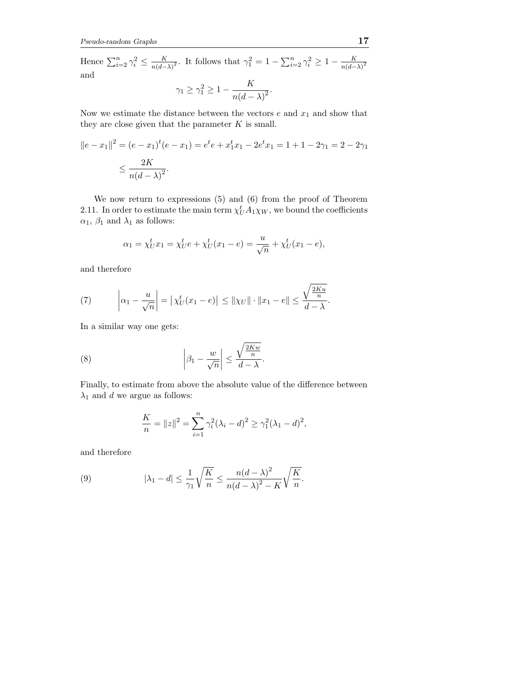Hence  $\sum_{i=2}^n \gamma_i^2 \leq \frac{K}{n(d-1)}$  $\frac{K}{(n(d-\lambda)^2})$ . It follows that  $\gamma_1^2 = 1 - \sum_{i=2}^n \gamma_i^2 \ge 1 - \frac{K}{n(d-\lambda)^2}$  $n(d-\lambda)^2$ and

$$
\gamma_1 \ge \gamma_1^2 \ge 1 - \frac{K}{n(d-\lambda)^2}.
$$

Now we estimate the distance between the vectors  $e$  and  $x_1$  and show that they are close given that the parameter  $K$  is small.

$$
||e - x_1||^2 = (e - x_1)^t (e - x_1) = e^t e + x_1^t x_1 - 2e^t x_1 = 1 + 1 - 2\gamma_1 = 2 - 2\gamma_1
$$
  

$$
\leq \frac{2K}{n(d - \lambda)^2}.
$$

We now return to expressions (5) and (6) from the proof of Theorem 2.11. In order to estimate the main term  $\chi_U^t A_1 \chi_W$ , we bound the coefficients  $\alpha_1$ ,  $\beta_1$  and  $\lambda_1$  as follows:

$$
\alpha_1 = \chi_U^t x_1 = \chi_U^t e + \chi_U^t (x_1 - e) = \frac{u}{\sqrt{n}} + \chi_U^t (x_1 - e),
$$

and therefore

(7) 
$$
\left| \alpha_1 - \frac{u}{\sqrt{n}} \right| = \left| \chi_U^t(x_1 - e) \right| \leq ||\chi_U|| \cdot ||x_1 - e|| \leq \frac{\sqrt{\frac{2Ku}{n}}}{d - \lambda}.
$$

In a similar way one gets:

(8) 
$$
\left|\beta_1 - \frac{w}{\sqrt{n}}\right| \le \frac{\sqrt{\frac{2Kw}{n}}}{d-\lambda}.
$$

Finally, to estimate from above the absolute value of the difference between  $\lambda_1$  and  $d$  we argue as follows:

$$
\frac{K}{n} = ||z||^2 = \sum_{i=1}^{n} \gamma_i^2 (\lambda_i - d)^2 \ge \gamma_1^2 (\lambda_1 - d)^2,
$$

and therefore

(9) 
$$
|\lambda_1 - d| \leq \frac{1}{\gamma_1} \sqrt{\frac{K}{n}} \leq \frac{n(d - \lambda)^2}{n(d - \lambda)^2 - K} \sqrt{\frac{K}{n}}.
$$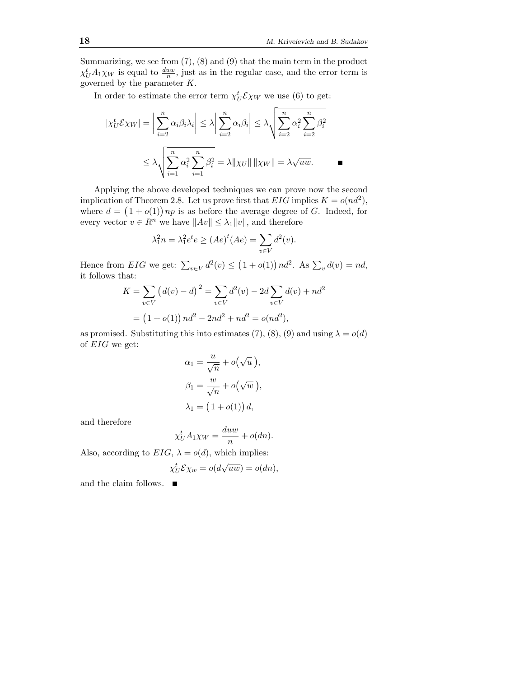Summarizing, we see from (7), (8) and (9) that the main term in the product  $\chi_U^t A_1 \chi_W$  is equal to  $\frac{duw}{n}$ , just as in the regular case, and the error term is governed by the parameter  $K$ .

In order to estimate the error term  $\chi_U^t \mathcal{E} \chi_W$  we use (6) to get:

$$
|\chi_U^t \mathcal{E}\chi_W| = \left|\sum_{i=2}^n \alpha_i \beta_i \lambda_i\right| \le \lambda \left|\sum_{i=2}^n \alpha_i \beta_i\right| \le \lambda \sqrt{\sum_{i=2}^n \alpha_i^2 \sum_{i=2}^n \beta_i^2}
$$

$$
\le \lambda \sqrt{\sum_{i=1}^n \alpha_i^2 \sum_{i=1}^n \beta_i^2} = \lambda \|\chi_U\| \|\chi_W\| = \lambda \sqrt{uw}.
$$

Applying the above developed techniques we can prove now the second implication of Theorem 2.8. Let us prove first that  $EIG$  implies  $K = o(nd^2)$ , where  $d = (1 + o(1)) np$  is as before the average degree of G. Indeed, for every vector  $v \in R^n$  we have  $||Av|| \leq \lambda_1 ||v||$ , and therefore

$$
\lambda_1^2 n = \lambda_1^2 e^t e \ge (Ae)^t (Ae) = \sum_{v \in V} d^2(v).
$$

Hence from *EIG* we get:  $\sum_{v \in V} d^2(v) \le (1 + o(1)) nd^2$ . As  $\sum_{v} d(v) = nd$ , it follows that:

$$
K = \sum_{v \in V} (d(v) - d)^2 = \sum_{v \in V} d^2(v) - 2d \sum_{v \in V} d(v) + nd^2
$$
  
= (1 + o(1)) nd<sup>2</sup> - 2nd<sup>2</sup> + nd<sup>2</sup> = o(nd<sup>2</sup>),

as promised. Substituting this into estimates (7), (8), (9) and using  $\lambda = o(d)$ of EIG we get:

$$
\alpha_1 = \frac{u}{\sqrt{n}} + o(\sqrt{u}),
$$
  
\n
$$
\beta_1 = \frac{w}{\sqrt{n}} + o(\sqrt{w}),
$$
  
\n
$$
\lambda_1 = (1 + o(1)) d,
$$

and therefore

$$
\chi_U^t A_1 \chi_W = \frac{duw}{n} + o(dn).
$$

Also, according to  $EIG$ ,  $\lambda = o(d)$ , which implies:

$$
\chi_U^t \mathcal{E} \chi_w = o(d\sqrt{uw}) = o(dn),
$$

and the claim follows.  $\quad \blacksquare$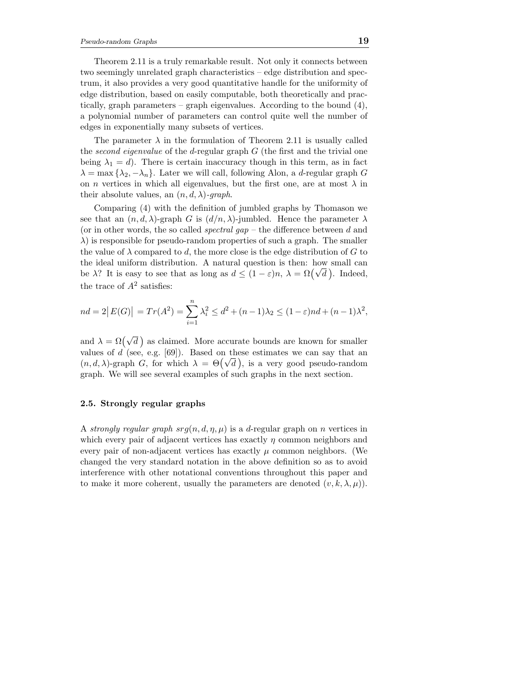Theorem 2.11 is a truly remarkable result. Not only it connects between two seemingly unrelated graph characteristics – edge distribution and spectrum, it also provides a very good quantitative handle for the uniformity of edge distribution, based on easily computable, both theoretically and practically, graph parameters – graph eigenvalues. According to the bound  $(4)$ , a polynomial number of parameters can control quite well the number of edges in exponentially many subsets of vertices.

The parameter  $\lambda$  in the formulation of Theorem 2.11 is usually called the second eigenvalue of the d-regular graph  $G$  (the first and the trivial one being  $\lambda_1 = d$ ). There is certain inaccuracy though in this term, as in fact  $\lambda = \max{\lambda_2, -\lambda_n}$ . Later we will call, following Alon, a *d*-regular graph G on *n* vertices in which all eigenvalues, but the first one, are at most  $\lambda$  in their absolute values, an  $(n, d, \lambda)$ -graph.

Comparing (4) with the definition of jumbled graphs by Thomason we see that an  $(n, d, \lambda)$ -graph G is  $(d/n, \lambda)$ -jumbled. Hence the parameter  $\lambda$ (or in other words, the so called *spectral gap* – the difference between d and  $\lambda$ ) is responsible for pseudo-random properties of such a graph. The smaller the value of  $\lambda$  compared to d, the more close is the edge distribution of G to the ideal uniform distribution. A natural question is then: how small can be  $\lambda$ ? It is easy to see that as long as  $d \leq (1 - \varepsilon)n$ ,  $\lambda = \Omega(\sqrt{d})$ . Indeed, the trace of  $A^2$  satisfies:

$$
nd = 2|E(G)| = Tr(A^2) = \sum_{i=1}^{n} \lambda_i^2 \le d^2 + (n-1)\lambda_2 \le (1-\varepsilon)nd + (n-1)\lambda^2,
$$

and  $\lambda = \Omega(\sqrt{d})$  as claimed. More accurate bounds are known for smaller values of  $d$  (see, e.g. [69]). Based on these estimates we can say that an (n, d,  $\lambda$ )-graph G, for which  $\lambda = \Theta(\sqrt{d})$ , is a very good pseudo-random graph. We will see several examples of such graphs in the next section.

### 2.5. Strongly regular graphs

A strongly regular graph  $srg(n, d, \eta, \mu)$  is a d-regular graph on n vertices in which every pair of adjacent vertices has exactly  $\eta$  common neighbors and every pair of non-adjacent vertices has exactly  $\mu$  common neighbors. (We changed the very standard notation in the above definition so as to avoid interference with other notational conventions throughout this paper and to make it more coherent, usually the parameters are denoted  $(v, k, \lambda, \mu)$ .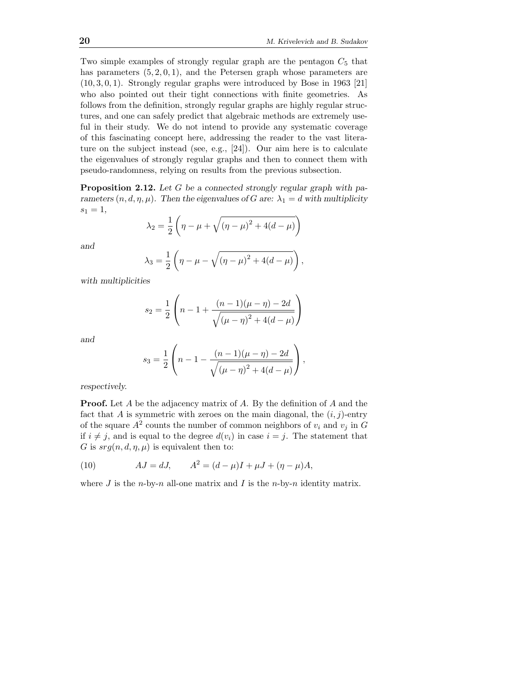Two simple examples of strongly regular graph are the pentagon  $C_5$  that has parameters  $(5, 2, 0, 1)$ , and the Petersen graph whose parameters are (10, 3, 0, 1). Strongly regular graphs were introduced by Bose in 1963 [21] who also pointed out their tight connections with finite geometries. As follows from the definition, strongly regular graphs are highly regular structures, and one can safely predict that algebraic methods are extremely useful in their study. We do not intend to provide any systematic coverage of this fascinating concept here, addressing the reader to the vast literature on the subject instead (see, e.g., [24]). Our aim here is to calculate the eigenvalues of strongly regular graphs and then to connect them with pseudo-randomness, relying on results from the previous subsection.

**Proposition 2.12.** Let  $G$  be a connected strongly regular graph with parameters  $(n, d, \eta, \mu)$ . Then the eigenvalues of G are:  $\lambda_1 = d$  with multiplicity  $s_1 = 1,$ 

$$
\lambda_2 = \frac{1}{2} \left( \eta - \mu + \sqrt{(\eta - \mu)^2 + 4(d - \mu)} \right)
$$

and

$$
\lambda_3 = \frac{1}{2} \left( \eta - \mu - \sqrt{(\eta - \mu)^2 + 4(d - \mu)} \right),
$$

with multiplicities

$$
s_2 = \frac{1}{2} \left( n - 1 + \frac{(n-1)(\mu - \eta) - 2d}{\sqrt{(\mu - \eta)^2 + 4(d - \mu)}} \right)
$$

and

$$
s_3 = \frac{1}{2} \left( n - 1 - \frac{(n-1)(\mu - \eta) - 2d}{\sqrt{(\mu - \eta)^2 + 4(d - \mu)}} \right),
$$

respectively.

**Proof.** Let A be the adjacency matrix of A. By the definition of A and the fact that A is symmetric with zeroes on the main diagonal, the  $(i, j)$ -entry of the square  $A^2$  counts the number of common neighbors of  $v_i$  and  $v_j$  in  $G$ if  $i \neq j$ , and is equal to the degree  $d(v_i)$  in case  $i = j$ . The statement that G is  $srg(n, d, \eta, \mu)$  is equivalent then to:

(10) 
$$
AJ = dJ, \qquad A^2 = (d - \mu)I + \mu J + (\eta - \mu)A,
$$

where  $J$  is the *n*-by-*n* all-one matrix and  $I$  is the *n*-by-*n* identity matrix.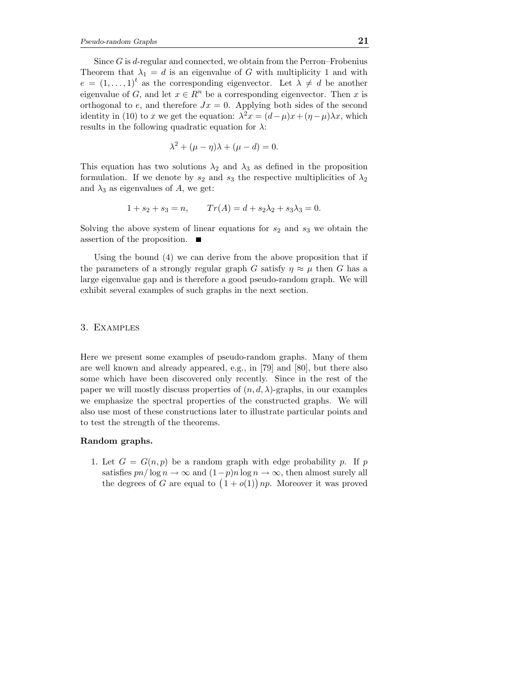Since  $G$  is d-regular and connected, we obtain from the Perron–Frobenius Theorem that  $\lambda_1 = d$  is an eigenvalue of G with multiplicity 1 and with  $e = (1, \ldots, 1)^t$  as the corresponding eigenvector. Let  $\lambda \neq d$  be another eigenvalue of G, and let  $x \in \mathbb{R}^n$  be a corresponding eigenvector. Then x is orthogonal to e, and therefore  $Jx = 0$ . Applying both sides of the second identity in (10) to x we get the equation:  $\lambda^2 x = (d - \mu)x + (\eta - \mu)\lambda x$ , which results in the following quadratic equation for  $\lambda$ :

$$
\lambda^2 + (\mu - \eta)\lambda + (\mu - d) = 0.
$$

This equation has two solutions  $\lambda_2$  and  $\lambda_3$  as defined in the proposition formulation. If we denote by  $s_2$  and  $s_3$  the respective multiplicities of  $\lambda_2$ and  $\lambda_3$  as eigenvalues of A, we get:

$$
1 + s_2 + s_3 = n, \qquad Tr(A) = d + s_2 \lambda_2 + s_3 \lambda_3 = 0.
$$

Solving the above system of linear equations for  $s_2$  and  $s_3$  we obtain the assertion of the proposition.

Using the bound (4) we can derive from the above proposition that if the parameters of a strongly regular graph G satisfy  $\eta \approx \mu$  then G has a large eigenvalue gap and is therefore a good pseudo-random graph. We will exhibit several examples of such graphs in the next section.

#### 3. Examples

Here we present some examples of pseudo-random graphs. Many of them are well known and already appeared, e.g., in [79] and [80], but there also some which have been discovered only recently. Since in the rest of the paper we will mostly discuss properties of  $(n, d, \lambda)$ -graphs, in our examples we emphasize the spectral properties of the constructed graphs. We will also use most of these constructions later to illustrate particular points and to test the strength of the theorems.

### Random graphs.

1. Let  $G = G(n, p)$  be a random graph with edge probability p. If p satisfies  $p n / \log n \to \infty$  and  $(1-p) n \log n \to \infty$ , then almost surely all the degrees of G are equal to  $(1+o(1))$  *np*. Moreover it was proved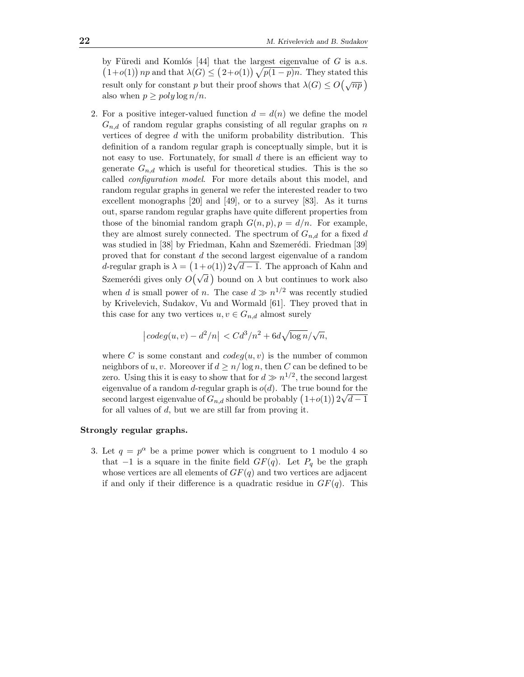by Füredi and Komlós [44] that the largest eigenvalue of  $G$  is a.s.  $(1+o(1))$  *np* and that  $\lambda(G) \leq (2+o(1))\sqrt{p(1-p)n}$ . They stated this result only for constant p but their proof shows that  $\lambda(G) \leq O\left(\sqrt{np}\right)$ also when  $p \geq poly \log n/n$ .

2. For a positive integer-valued function  $d = d(n)$  we define the model  $G_{n,d}$  of random regular graphs consisting of all regular graphs on n vertices of degree  $d$  with the uniform probability distribution. This definition of a random regular graph is conceptually simple, but it is not easy to use. Fortunately, for small d there is an efficient way to generate  $G_{n,d}$  which is useful for theoretical studies. This is the so called configuration model. For more details about this model, and random regular graphs in general we refer the interested reader to two excellent monographs [20] and [49], or to a survey [83]. As it turns out, sparse random regular graphs have quite different properties from those of the binomial random graph  $G(n, p)$ ,  $p = d/n$ . For example, they are almost surely connected. The spectrum of  $G_{n,d}$  for a fixed d was studied in [38] by Friedman, Kahn and Szemerédi. Friedman [39] proved that for constant d the second largest eigenvalue of a random d-regular graph is  $\lambda = (1+o(1))2\sqrt{d-1}$ . The approach of Kahn and Szemerédi gives only  $O(\sqrt{d})$  bound on  $\lambda$  but continues to work also when d is small power of n. The case  $d \gg n^{1/2}$  was recently studied by Krivelevich, Sudakov, Vu and Wormald [61]. They proved that in this case for any two vertices  $u, v \in G_{n,d}$  almost surely

$$
\left|\,codeg(u,v)-d^2/n\right|\\ < Cd^3/n^2+6d\sqrt{\log n}/\sqrt{n},
$$

where C is some constant and  $codeg(u, v)$  is the number of common neighbors of u, v. Moreover if  $d \geq n/\log n$ , then C can be defined to be zero. Using this it is easy to show that for  $d \gg n^{1/2}$ , the second largest eigenvalue of a random d-regular graph is  $o(d)$ . The true bound for the second largest eigenvalue of  $G_{n,d}$  should be probably  $(1+o(1)) 2\sqrt{d-1}$ for all values of d, but we are still far from proving it.

#### Strongly regular graphs.

3. Let  $q = p^{\alpha}$  be a prime power which is congruent to 1 modulo 4 so that  $-1$  is a square in the finite field  $GF(q)$ . Let  $P_q$  be the graph whose vertices are all elements of  $GF(q)$  and two vertices are adjacent if and only if their difference is a quadratic residue in  $GF(q)$ . This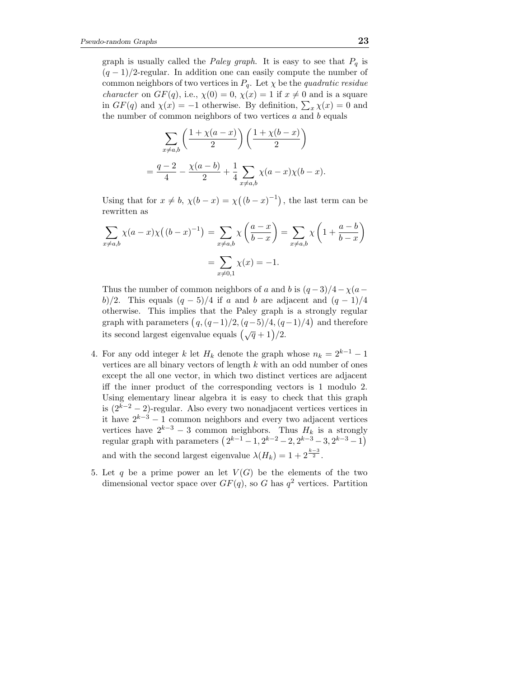graph is usually called the *Paley graph*. It is easy to see that  $P_q$  is  $(q-1)/2$ -regular. In addition one can easily compute the number of common neighbors of two vertices in  $P_q$ . Let  $\chi$  be the *quadratic residue character* on  $GF(q)$ , i.e.,  $\chi(0) = 0$ ,  $\chi(x) = 1$  if  $x \neq 0$  and is a square in  $GF(q)$  and  $\chi(x) = -1$  otherwise. By definition,  $\sum_{x} \chi(x) = 0$  and the number of common neighbors of two vertices  $a$  and  $b$  equals

$$
\sum_{x \neq a,b} \left( \frac{1 + \chi(a-x)}{2} \right) \left( \frac{1 + \chi(b-x)}{2} \right)
$$
  
=  $\frac{q-2}{4} - \frac{\chi(a-b)}{2} + \frac{1}{4} \sum_{x \neq a,b} \chi(a-x) \chi(b-x).$ 

Using that for  $x \neq b$ ,  $\chi(b-x) = \chi((b-x)^{-1})$ , the last term can be rewritten as

$$
\sum_{x \neq a,b} \chi(a-x)\chi((b-x)^{-1}) = \sum_{x \neq a,b} \chi\left(\frac{a-x}{b-x}\right) = \sum_{x \neq a,b} \chi\left(1 + \frac{a-b}{b-x}\right)
$$

$$
= \sum_{x \neq 0,1} \chi(x) = -1.
$$

Thus the number of common neighbors of a and b is  $(q-3)/4-\chi(a$ b)/2. This equals  $(q-5)/4$  if a and b are adjacent and  $(q-1)/4$ otherwise. This implies that the Paley graph is a strongly regular graph with parameters  $(q, (q-1)/2, (q-5)/4, (q-1)/4)$  and therefore its second largest eigenvalue equals  $(\sqrt{q}+1)/2$ .

- 4. For any odd integer k let  $H_k$  denote the graph whose  $n_k = 2^{k-1} 1$ vertices are all binary vectors of length  $k$  with an odd number of ones except the all one vector, in which two distinct vertices are adjacent iff the inner product of the corresponding vectors is 1 modulo 2. Using elementary linear algebra it is easy to check that this graph is  $(2^{k-2} - 2)$ -regular. Also every two nonadjacent vertices vertices in it have  $2^{k-3} - 1$  common neighbors and every two adjacent vertices vertices have  $2^{k-3} - 3$  common neighbors. Thus  $H_k$  is a strongly regular graph with parameters  $(2^{k-1} - 1, 2^{k-2} - 2, 2^{k-3} - 3, 2^{k-3} - 1)$ and with the second largest eigenvalue  $\lambda(H_k) = 1 + 2^{\frac{k-3}{2}}$ .
- 5. Let q be a prime power an let  $V(G)$  be the elements of the two dimensional vector space over  $GF(q)$ , so G has  $q^2$  vertices. Partition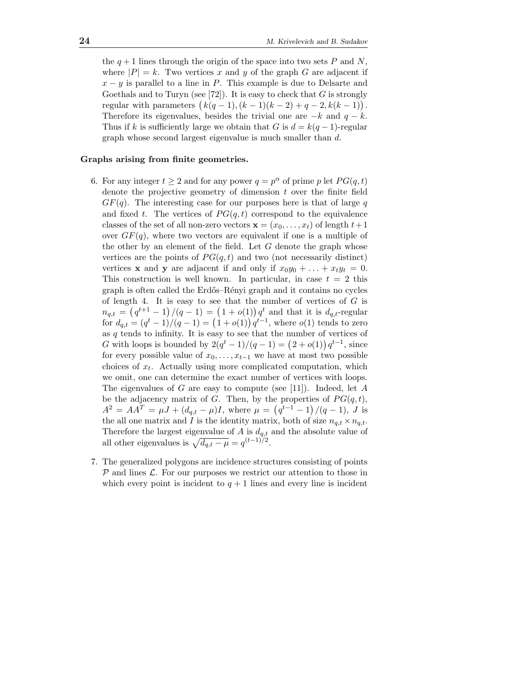the  $q+1$  lines through the origin of the space into two sets P and N, where  $|P| = k$ . Two vertices x and y of the graph G are adjacent if  $x - y$  is parallel to a line in P. This example is due to Delsarte and Goethals and to Turyn (see [72]). It is easy to check that  $G$  is strongly regular with parameters  $(k(q - 1), (k - 1)(k - 2) + q - 2, k(k - 1))$ . Therefore its eigenvalues, besides the trivial one are  $-k$  and  $q - k$ . Thus if k is sufficiently large we obtain that G is  $d = k(q-1)$ -regular graph whose second largest eigenvalue is much smaller than d.

### Graphs arising from finite geometries.

- 6. For any integer  $t \geq 2$  and for any power  $q = p^{\alpha}$  of prime p let  $PG(q, t)$ denote the projective geometry of dimension  $t$  over the finite field  $GF(q)$ . The interesting case for our purposes here is that of large q and fixed t. The vertices of  $PG(q,t)$  correspond to the equivalence classes of the set of all non-zero vectors  $\mathbf{x} = (x_0, \dots, x_t)$  of length  $t+1$ over  $GF(q)$ , where two vectors are equivalent if one is a multiple of the other by an element of the field. Let  $G$  denote the graph whose vertices are the points of  $PG(q,t)$  and two (not necessarily distinct) vertices **x** and **y** are adjacent if and only if  $x_0y_0 + \ldots + x_ty_t = 0$ . This construction is well known. In particular, in case  $t = 2$  this graph is often called the Erdős–Rényi graph and it contains no cycles of length 4. It is easy to see that the number of vertices of  $G$  is  $n_{q,t} = (q^{t+1} - 1)/(q - 1) = (1 + o(1))q^t$  and that it is  $d_{q,t}$ -regular for  $d_{q,t} = (q^t - 1)/(q - 1) = (1 + o(1))q^{t-1}$ , where  $o(1)$  tends to zero as  $q$  tends to infinity. It is easy to see that the number of vertices of G with loops is bounded by  $2(q^{t} - 1)/(q - 1) = (2 + o(1)) q^{t-1}$ , since for every possible value of  $x_0, \ldots, x_{t-1}$  we have at most two possible choices of  $x_t$ . Actually using more complicated computation, which we omit, one can determine the exact number of vertices with loops. The eigenvalues of G are easy to compute (see [11]). Indeed, let  $A$ be the adjacency matrix of G. Then, by the properties of  $PG(q,t)$ ,  $A^2 = AA^T = \mu J + (d_{q,t} - \mu)I$ , where  $\mu = (q^{t-1} - 1)/(q - 1)$ , J is the all one matrix and I is the identity matrix, both of size  $n_{q,t} \times n_{q,t}$ . Therefore the largest eigenvalue of A is  $d_{q,t}$  and the absolute value of all other eigenvalues is  $\sqrt{d_{q,t} - \mu} = q^{(t-1)/2}$ .
- 7. The generalized polygons are incidence structures consisting of points  $P$  and lines  $\mathcal{L}$ . For our purposes we restrict our attention to those in which every point is incident to  $q + 1$  lines and every line is incident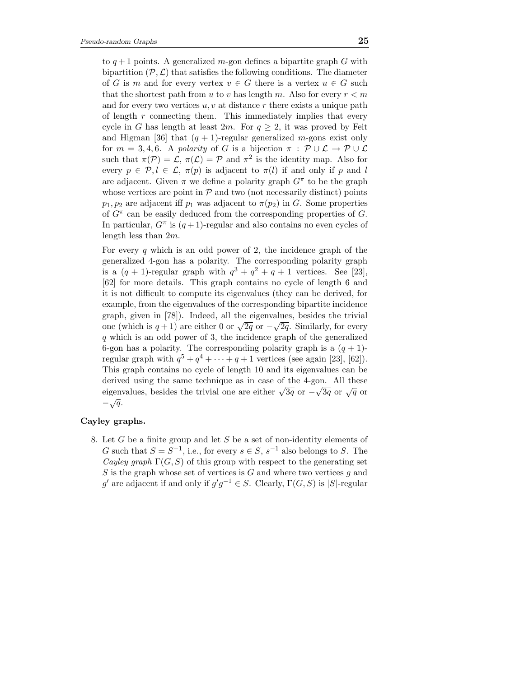to  $q+1$  points. A generalized m-gon defines a bipartite graph G with bipartition  $(\mathcal{P}, \mathcal{L})$  that satisfies the following conditions. The diameter of G is m and for every vertex  $v \in G$  there is a vertex  $u \in G$  such that the shortest path from u to v has length m. Also for every  $r < m$ and for every two vertices  $u, v$  at distance r there exists a unique path of length  $r$  connecting them. This immediately implies that every cycle in G has length at least 2m. For  $q \geq 2$ , it was proved by Feit and Higman [36] that  $(q + 1)$ -regular generalized *m*-gons exist only for  $m = 3, 4, 6$ . A polarity of G is a bijection  $\pi : \mathcal{P} \cup \mathcal{L} \rightarrow \mathcal{P} \cup \mathcal{L}$ such that  $\pi(\mathcal{P}) = \mathcal{L}, \pi(\mathcal{L}) = \mathcal{P}$  and  $\pi^2$  is the identity map. Also for every  $p \in \mathcal{P}, l \in \mathcal{L}, \pi(p)$  is adjacent to  $\pi(l)$  if and only if p and l are adjacent. Given  $\pi$  we define a polarity graph  $G^{\pi}$  to be the graph whose vertices are point in  $P$  and two (not necessarily distinct) points  $p_1, p_2$  are adjacent iff  $p_1$  was adjacent to  $\pi(p_2)$  in G. Some properties of  $G^{\pi}$  can be easily deduced from the corresponding properties of  $G$ . In particular,  $G^{\pi}$  is  $(q+1)$ -regular and also contains no even cycles of length less than 2m.

For every  $q$  which is an odd power of 2, the incidence graph of the generalized 4-gon has a polarity. The corresponding polarity graph is a  $(q + 1)$ -regular graph with  $q^3 + q^2 + q + 1$  vertices. See [23], [62] for more details. This graph contains no cycle of length 6 and it is not difficult to compute its eigenvalues (they can be derived, for example, from the eigenvalues of the corresponding bipartite incidence graph, given in [78]). Indeed, all the eigenvalues, besides the trivial one (which is  $q + 1$ ) are either 0 or  $\sqrt{2q}$  or  $-\sqrt{2q}$ . Similarly, for every q which is an odd power of 3, the incidence graph of the generalized 6-gon has a polarity. The corresponding polarity graph is a  $(q + 1)$ regular graph with  $q^5 + q^4 + \cdots + q + 1$  vertices (see again [23], [62]). This graph contains no cycle of length 10 and its eigenvalues can be derived using the same technique as in case of the 4-gon. All these eigenvalues, besides the trivial one are either  $\sqrt{3q}$  or  $-\sqrt{3q}$  or  $\sqrt{q}$  or  $-\sqrt{q}$ .

### Cayley graphs.

8. Let  $G$  be a finite group and let  $S$  be a set of non-identity elements of G such that  $S = S^{-1}$ , i.e., for every  $s \in S$ ,  $s^{-1}$  also belongs to S. The Cayley graph  $\Gamma(G, S)$  of this group with respect to the generating set S is the graph whose set of vertices is  $G$  and where two vertices  $g$  and g' are adjacent if and only if  $g'g^{-1} \in S$ . Clearly,  $\Gamma(G, S)$  is  $|S|$ -regular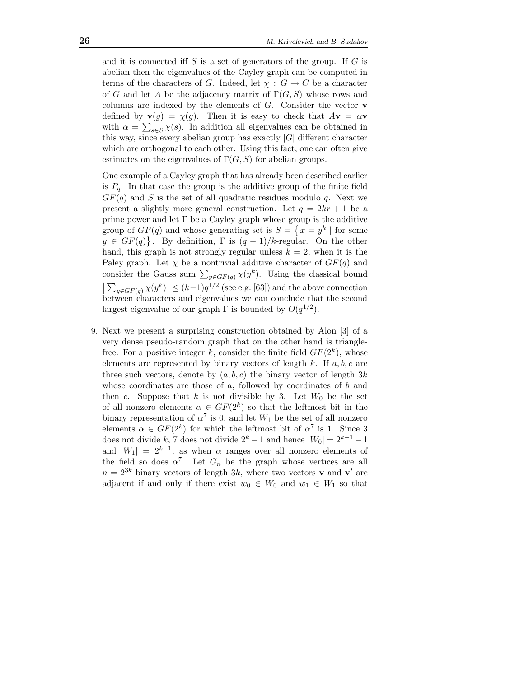and it is connected iff  $S$  is a set of generators of the group. If  $G$  is abelian then the eigenvalues of the Cayley graph can be computed in terms of the characters of G. Indeed, let  $\chi : G \to C$  be a character of G and let A be the adjacency matrix of  $\Gamma(G, S)$  whose rows and columns are indexed by the elements of  $G$ . Consider the vector  $\bf{v}$ defined by  $\mathbf{v}(g) = \chi(g)$ . Then it is easy to check that  $A\mathbf{v} = \alpha \mathbf{v}$ with  $\alpha = \sum_{s \in S} \chi(s)$ . In addition all eigenvalues can be obtained in this way, since every abelian group has exactly  $|G|$  different character which are orthogonal to each other. Using this fact, one can often give estimates on the eigenvalues of  $\Gamma(G, S)$  for abelian groups.

One example of a Cayley graph that has already been described earlier is  $P_q$ . In that case the group is the additive group of the finite field  $GF(q)$  and S is the set of all quadratic residues modulo q. Next we present a slightly more general construction. Let  $q = 2kr + 1$  be a prime power and let  $\Gamma$  be a Cayley graph whose group is the additive group of  $GF(q)$  and whose generating set is  $S = \{x = y^k | \text{ for some }$  $y \in GF(q)$ . By definition,  $\Gamma$  is  $(q-1)/k$ -regular. On the other hand, this graph is not strongly regular unless  $k = 2$ , when it is the Paley graph. Let  $\chi$  be a nontrivial additive character of  $GF(q)$  and consider the Gauss sum  $\sum_{y \in GF(q)} \chi(y^k)$ . Using the classical bound  $|\sum_{y \in GF(q)} \chi(y^{\alpha})| \leq (k-1)q^{1/2}$  (see e.g. [63]) and the above connection between characters and eigenvalues we can conclude that the second  $\sum_{y \in GF(q)} \chi(y^k) \le (k-1)q^{1/2}$  (see e.g. [63]) and the above connection largest eigenvalue of our graph  $\Gamma$  is bounded by  $O(q^{1/2})$ .

9. Next we present a surprising construction obtained by Alon [3] of a very dense pseudo-random graph that on the other hand is trianglefree. For a positive integer k, consider the finite field  $GF(2<sup>k</sup>)$ , whose elements are represented by binary vectors of length  $k$ . If  $a, b, c$  are three such vectors, denote by  $(a, b, c)$  the binary vector of length 3k whose coordinates are those of  $a$ , followed by coordinates of  $b$  and then c. Suppose that k is not divisible by 3. Let  $W_0$  be the set of all nonzero elements  $\alpha \in GF(2^k)$  so that the leftmost bit in the binary representation of  $\alpha^7$  is 0, and let  $W_1$  be the set of all nonzero elements  $\alpha \in GF(2^k)$  for which the leftmost bit of  $\alpha^7$  is 1. Since 3 does not divide  $k$ , 7 does not divide  $2^k - 1$  and hence  $|W_0| = 2^{k-1} - 1$ and  $|W_1| = 2^{k-1}$ , as when  $\alpha$  ranges over all nonzero elements of the field so does  $\alpha^7$ . Let  $G_n$  be the graph whose vertices are all  $n = 2^{3k}$  binary vectors of length 3k, where two vectors **v** and **v'** are adjacent if and only if there exist  $w_0 \in W_0$  and  $w_1 \in W_1$  so that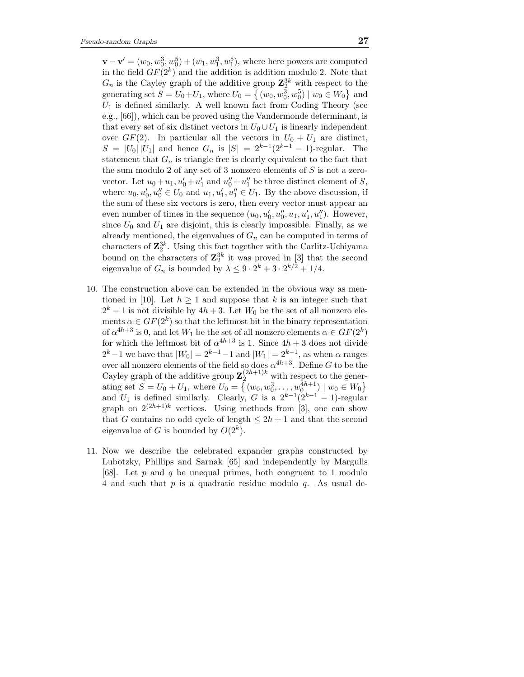$\mathbf{v} - \mathbf{v}' = (w_0, w_0^3, w_0^5) + (w_1, w_1^3, w_1^5)$ , where here powers are computed in the field  $GF(2^k)$  and the addition is addition modulo 2. Note that  $G_n$  is the Cayley graph of the additive group  $\mathbb{Z}_2^{3k}$  with respect to the generating set  $S = U_0 + U_1$ , where  $U_0 = \{ (w_0, w_0^3, w_0^5) \mid w_0 \in W_0 \}$  and  $U_1$  is defined similarly. A well known fact from Coding Theory (see e.g., [66]), which can be proved using the Vandermonde determinant, is that every set of six distinct vectors in  $U_0 \cup U_1$  is linearly independent over  $GF(2)$ . In particular all the vectors in  $U_0 + U_1$  are distinct,  $S = |U_0||U_1|$  and hence  $G_n$  is  $|S| = 2^{k-1}(2^{k-1} - 1)$ -regular. The statement that  $G_n$  is triangle free is clearly equivalent to the fact that the sum modulo 2 of any set of 3 nonzero elements of  $S$  is not a zerovector. Let  $u_0 + u_1, u'_0 + u'_1$  and  $u''_0 + u''_1$  be three distinct element of S, where  $u_0, u'_0, u''_0 \in U_0$  and  $u_1, u'_1, u''_1 \in U_1$ . By the above discussion, if the sum of these six vectors is zero, then every vector must appear an even number of times in the sequence  $(u_0, u'_0, u''_0, u_1, u'_1, u''_1)$ . However, since  $U_0$  and  $U_1$  are disjoint, this is clearly impossible. Finally, as we already mentioned, the eigenvalues of  $G_n$  can be computed in terms of characters of  $\mathbb{Z}_2^{3k}$ . Using this fact together with the Carlitz-Uchiyama bound on the characters of  $\mathbb{Z}_2^{3k}$  it was proved in [3] that the second eigenvalue of  $G_n$  is bounded by  $\lambda \leq 9 \cdot 2^k + 3 \cdot 2^{k/2} + 1/4$ .

- 10. The construction above can be extended in the obvious way as mentioned in [10]. Let  $h \ge 1$  and suppose that k is an integer such that  $2^k - 1$  is not divisible by  $4h + 3$ . Let  $W_0$  be the set of all nonzero elements  $\alpha \in GF(2^k)$  so that the leftmost bit in the binary representation of  $\alpha^{4h+3}$  is 0, and let  $W_1$  be the set of all nonzero elements  $\alpha \in GF(2^k)$ for which the leftmost bit of  $\alpha^{4h+3}$  is 1. Since  $4h+3$  does not divide  $2^k-1$  we have that  $|W_0| = 2^{k-1}-1$  and  $|W_1| = 2^{k-1}$ , as when  $\alpha$  ranges over all nonzero elements of the field so does  $\alpha^{4h+3}$ . Define G to be the Cayley graph of the additive group  $\mathbf{Z}_2^{(2h+1)k}$  with respect to the generating set  $S = U_0 + U_1$ , where  $U_0 = \{ (w_0, w_0^3, \dots, w_0^{4h+1}) \mid w_0 \in W_0 \}$ and  $U_1$  is defined similarly. Clearly, G is a  $2^{k-1}(2^{k-1}-1)$ -regular graph on  $2^{(2h+1)k}$  vertices. Using methods from [3], one can show that G contains no odd cycle of length  $\leq 2h+1$  and that the second eigenvalue of G is bounded by  $O(2^k)$ .
- 11. Now we describe the celebrated expander graphs constructed by Lubotzky, Phillips and Sarnak [65] and independently by Margulis [68]. Let  $p$  and  $q$  be unequal primes, both congruent to 1 modulo 4 and such that  $p$  is a quadratic residue modulo  $q$ . As usual de-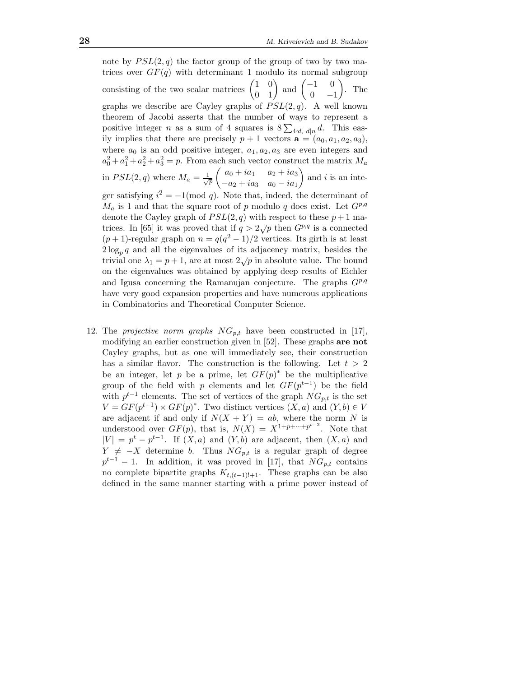note by  $PSL(2,q)$  the factor group of the group of two by two matrices over  $GF(q)$  with determinant 1 modulo its normal subgroup consisting of the two scalar matrices  $\begin{pmatrix} 1 & 0 \\ 0 & 1 \end{pmatrix}$ 0 1 ) and  $\begin{pmatrix} -1 & 0 \\ 0 & 0 \end{pmatrix}$  $0 \t -1$  $\Big).$  The graphs we describe are Cayley graphs of  $PSL(2, q)$ . A well known theorem of Jacobi asserts that the number of ways to represent a positive integer *n* as a sum of 4 squares is  $8\sum_{4|d, d|n}d$ . This easily implies that there are precisely  $p + 1$  vectors  $\mathbf{a} = (a_0, a_1, a_2, a_3)$ , where  $a_0$  is an odd positive integer,  $a_1, a_2, a_3$  are even integers and  $a_0^2 + a_1^2 + a_2^2 + a_3^2 = p$ . From each such vector construct the matrix  $M_a$ in  $PSL(2,q)$  where  $M_a = \frac{1}{\sqrt{p}}$  $\int a_0 + ia_1 \quad a_2 + ia_3$  $-a_2 + ia_3$   $a_0 - ia_1$ ) and  $i$  is an integer satisfying  $i^2 = -1 \pmod{q}$ . Note that, indeed, the determinant of  $M_a$  is 1 and that the square root of p modulo q does exist. Let  $G^{p,q}$ denote the Cayley graph of  $PSL(2, q)$  with respect to these  $p + 1$  matrices. In [65] it was proved that if  $q > 2\sqrt{p}$  then  $G^{p,q}$  is a connected  $(p+1)$ -regular graph on  $n = q(q^2 - 1)/2$  vertices. Its girth is at least  $2\log_p q$  and all the eigenvalues of its adjacency matrix, besides the trivial one  $\lambda_1 = p + 1$ , are at most  $2\sqrt{p}$  in absolute value. The bound on the eigenvalues was obtained by applying deep results of Eichler and Igusa concerning the Ramanujan conjecture. The graphs  $G^{p,q}$ have very good expansion properties and have numerous applications in Combinatorics and Theoretical Computer Science.

12. The *projective norm graphs*  $NG_{p,t}$  have been constructed in [17], modifying an earlier construction given in [52]. These graphs are not Cayley graphs, but as one will immediately see, their construction has a similar flavor. The construction is the following. Let  $t > 2$ be an integer, let p be a prime, let  $GF(p)^*$  be the multiplicative group of the field with p elements and let  $GF(p^{t-1})$  be the field with  $p^{t-1}$  elements. The set of vertices of the graph  $NG_{p,t}$  is the set  $V = GF(p^{t-1}) \times GF(p)^*$ . Two distinct vertices  $(X, a)$  and  $(Y, b) \in V$ are adjacent if and only if  $N(X + Y) = ab$ , where the norm N is understood over  $GF(p)$ , that is,  $N(X) = X^{1+p+\cdots+p^{t-2}}$ . Note that  $|V| = p<sup>t</sup> - p<sup>t-1</sup>$ . If  $(X, a)$  and  $(Y, b)$  are adjacent, then  $(X, a)$  and  $Y \neq -X$  determine b. Thus  $NG_{p,t}$  is a regular graph of degree  $p^{t-1} - 1$ . In addition, it was proved in [17], that  $NG_{p,t}$  contains no complete bipartite graphs  $K_{t,(t-1)!+1}$ . These graphs can be also defined in the same manner starting with a prime power instead of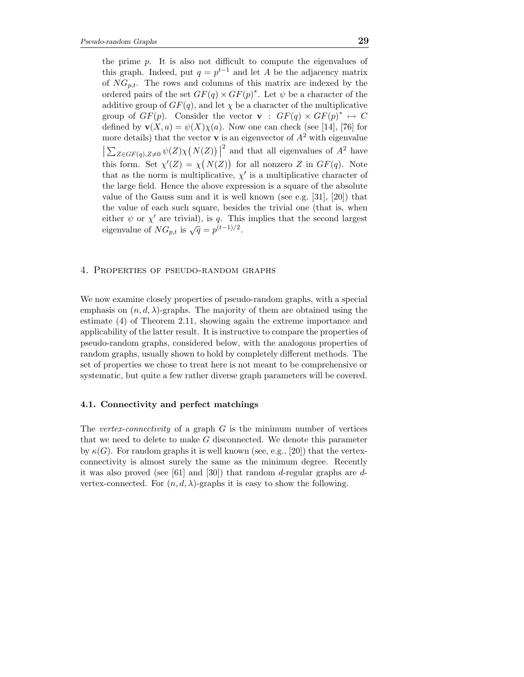the prime p. It is also not difficult to compute the eigenvalues of this graph. Indeed, put  $q = p^{t-1}$  and let A be the adjacency matrix of  $NG_{n,t}$ . The rows and columns of this matrix are indexed by the ordered pairs of the set  $GF(q) \times GF(p)^*$ . Let  $\psi$  be a character of the additive group of  $GF(q)$ , and let  $\chi$  be a character of the multiplicative group of  $GF(p)$ . Consider the vector  $\mathbf{v}$  :  $GF(q) \times GF(p)^* \mapsto C$ defined by  $\mathbf{v}(X, a) = \psi(X)\chi(a)$ . Now one can check (see [14], [76] for more details) that the vector **v** is an eigenvector of  $A^2$  with eigenvalue  $\left|\sum_{Z \in GF(q), Z \neq 0} \psi(Z)\chi(N(Z))\right|^2$  and that all eigenvalues of  $A^2$  have this form. Set  $\chi'(Z) = \chi(N(Z))$  for all nonzero Z in  $GF(q)$ . Note that as the norm is multiplicative,  $\chi'$  is a multiplicative character of the large field. Hence the above expression is a square of the absolute value of the Gauss sum and it is well known (see e.g. [31], [20]) that the value of each such square, besides the trivial one (that is, when either  $\psi$  or  $\chi'$  are trivial), is q. This implies that the second largest eigenvalue of  $NG_{p,t}$  is  $\sqrt{q} = p^{(t-1)/2}$ .

#### 4. Properties of pseudo-random graphs

We now examine closely properties of pseudo-random graphs, with a special emphasis on  $(n, d, \lambda)$ -graphs. The majority of them are obtained using the estimate (4) of Theorem 2.11, showing again the extreme importance and applicability of the latter result. It is instructive to compare the properties of pseudo-random graphs, considered below, with the analogous properties of random graphs, usually shown to hold by completely different methods. The set of properties we chose to treat here is not meant to be comprehensive or systematic, but quite a few rather diverse graph parameters will be covered.

# 4.1. Connectivity and perfect matchings

The *vertex-connectivity* of a graph  $G$  is the minimum number of vertices that we need to delete to make  $G$  disconnected. We denote this parameter by  $\kappa(G)$ . For random graphs it is well known (see, e.g., [20]) that the vertexconnectivity is almost surely the same as the minimum degree. Recently it was also proved (see [61] and [30]) that random d-regular graphs are dvertex-connected. For  $(n, d, \lambda)$ -graphs it is easy to show the following.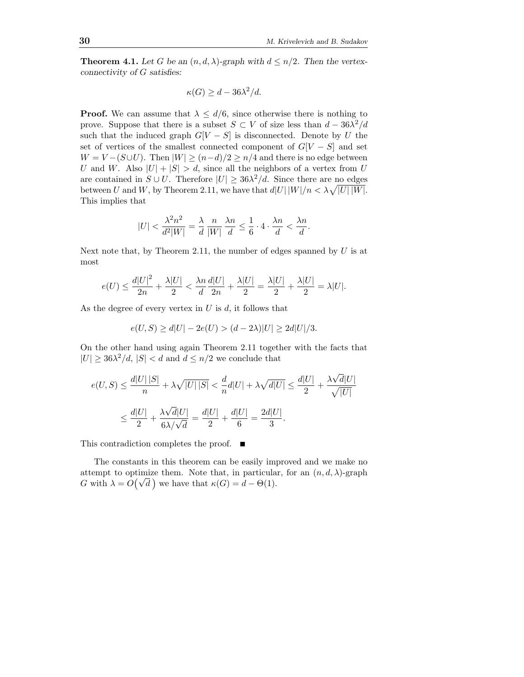**Theorem 4.1.** Let G be an  $(n, d, \lambda)$ -graph with  $d \leq n/2$ . Then the vertexconnectivity of G satisfies:

$$
\kappa(G) \ge d - 36\lambda^2/d.
$$

**Proof.** We can assume that  $\lambda \leq d/6$ , since otherwise there is nothing to prove. Suppose that there is a subset  $S \subset V$  of size less than  $d - 36\lambda^2/d$ such that the induced graph  $G[V - S]$  is disconnected. Denote by U the set of vertices of the smallest connected component of  $G[V-S]$  and set  $W = V - (S \cup U)$ . Then  $|W| \ge (n-d)/2 \ge n/4$  and there is no edge between U and W. Also  $|U| + |S| > d$ , since all the neighbors of a vertex from U are contained in  $S \cup U$ . Therefore  $|U| \geq 36\lambda^2/d$ . Since there are no edges between U and W, by Theorem 2.11, we have that  $d|U| |W|/n < \lambda \sqrt{|U| |W|}$ . This implies that

$$
|U| < \frac{\lambda^2 n^2}{d^2 |W|} = \frac{\lambda}{d} \frac{n}{|W|} \frac{\lambda n}{d} \le \frac{1}{6} \cdot 4 \cdot \frac{\lambda n}{d} < \frac{\lambda n}{d}.
$$

Next note that, by Theorem 2.11, the number of edges spanned by  $U$  is at most

$$
e(U) \le \frac{d|U|^2}{2n} + \frac{\lambda |U|}{2} < \frac{\lambda n}{d} \frac{d|U|}{2n} + \frac{\lambda |U|}{2} = \frac{\lambda |U|}{2} + \frac{\lambda |U|}{2} = \lambda |U|.
$$

As the degree of every vertex in  $U$  is  $d$ , it follows that

$$
e(U, S) \ge d|U| - 2e(U) > (d - 2\lambda)|U| \ge 2d|U|/3.
$$

On the other hand using again Theorem 2.11 together with the facts that  $|U| \geq 36\lambda^2/d, |S| < d$  and  $d \leq n/2$  we conclude that

$$
\begin{aligned} e(U,S)&\leq \frac{d|U|\left|S\right|}{n}+\lambda\sqrt{\left|U\right|\left|S\right|}<\frac{d}{n}d|U|+\lambda\sqrt{d|U|}\leq \frac{d|U|}{2}+\frac{\lambda\sqrt{d}|U|}{\sqrt{\left|U\right|}}\\ &\leq \frac{d|U|}{2}+\frac{\lambda\sqrt{d}|U|}{6\lambda/\sqrt{d}}=\frac{d|U|}{2}+\frac{d|U|}{6}=\frac{2d|U|}{3}.\end{aligned}
$$

This contradiction completes the proof. ■

The constants in this theorem can be easily improved and we make no attempt to optimize them. Note that, in particular, for an  $(n, d, \lambda)$ -graph  $G$  with  $\lambda = O(\sqrt{d})$  we have that  $\kappa(G) = d - \Theta(1)$ .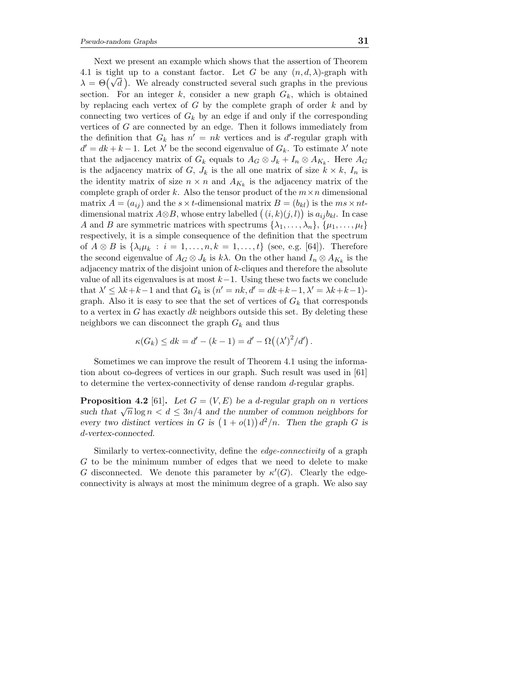Next we present an example which shows that the assertion of Theorem 4.1 is tight up to a constant factor. Let G be any  $(n, d, \lambda)$ -graph with  $\lambda = \Theta(\sqrt{d})$ . We already constructed several such graphs in the previous section. For an integer  $k$ , consider a new graph  $G_k$ , which is obtained by replacing each vertex of  $G$  by the complete graph of order  $k$  and by connecting two vertices of  $G_k$  by an edge if and only if the corresponding vertices of G are connected by an edge. Then it follows immediately from the definition that  $G_k$  has  $n' = nk$  vertices and is d'-regular graph with  $d' = dk + k - 1$ . Let  $\lambda'$  be the second eigenvalue of  $G_k$ . To estimate  $\lambda'$  note that the adjacency matrix of  $G_k$  equals to  $A_G \otimes J_k + I_n \otimes A_{K_k}$ . Here  $A_G$ is the adjacency matrix of G,  $J_k$  is the all one matrix of size  $k \times k$ ,  $I_n$  is the identity matrix of size  $n \times n$  and  $A_{K_k}$  is the adjacency matrix of the complete graph of order k. Also the tensor product of the  $m \times n$  dimensional matrix  $A = (a_{ij})$  and the  $s \times t$ -dimensional matrix  $B = (b_{kl})$  is the  $ms \times nt$ dimensional matrix  $A \otimes B$ , whose entry labelled  $((i,k)(j,l))$  is  $a_{ij}b_{kl}$ . In case A and B are symmetric matrices with spectrums  $\{\lambda_1, \ldots, \lambda_n\}, \{\mu_1, \ldots, \mu_t\}$ respectively, it is a simple consequence of the definition that the spectrum of  $A \otimes B$  is  $\{\lambda_i \mu_k : i = 1, \ldots, n, k = 1, \ldots, t\}$  (see, e.g. [64]). Therefore the second eigenvalue of  $A_G \otimes J_k$  is  $k\lambda$ . On the other hand  $I_n \otimes A_{K_k}$  is the adjacency matrix of the disjoint union of k-cliques and therefore the absolute value of all its eigenvalues is at most  $k-1$ . Using these two facts we conclude that  $\lambda' \leq \lambda k + k - 1$  and that  $G_k$  is  $(n' = nk, d' = dk + k - 1, \lambda' = \lambda k + k - 1)$ graph. Also it is easy to see that the set of vertices of  $G_k$  that corresponds to a vertex in G has exactly  $dk$  neighbors outside this set. By deleting these neighbors we can disconnect the graph  $G_k$  and thus

$$
\kappa(G_k) \leq dk = d' - (k - 1) = d' - \Omega((\lambda')^2/d').
$$

Sometimes we can improve the result of Theorem 4.1 using the information about co-degrees of vertices in our graph. Such result was used in [61] to determine the vertex-connectivity of dense random d-regular graphs.

**Proposition 4.2** [61]. Let  $G = (V, E)$  be a d-regular graph on n vertices such that  $\sqrt{n}\log n < d \leq 3n/4$  and the number of common neighbors for every two distinct vertices in G is  $(1 + o(1))d^2/n$ . Then the graph G is d-vertex-connected.

Similarly to vertex-connectivity, define the edge-connectivity of a graph G to be the minimum number of edges that we need to delete to make G disconnected. We denote this parameter by  $\kappa'(G)$ . Clearly the edgeconnectivity is always at most the minimum degree of a graph. We also say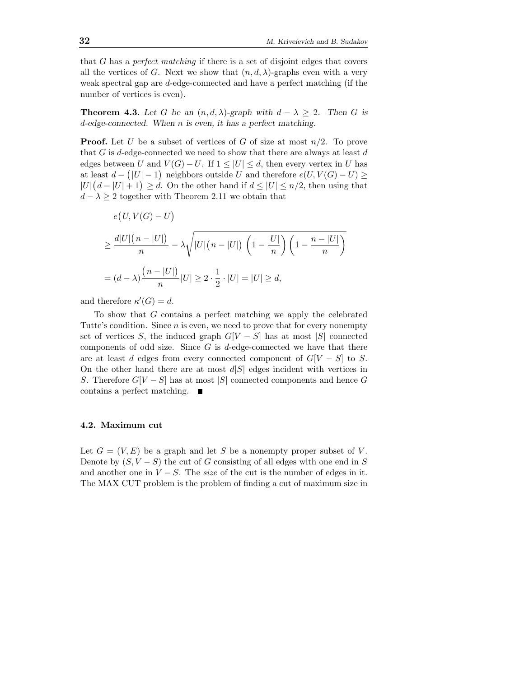that  $G$  has a *perfect matching* if there is a set of disjoint edges that covers all the vertices of G. Next we show that  $(n, d, \lambda)$ -graphs even with a very weak spectral gap are d-edge-connected and have a perfect matching (if the number of vertices is even).

**Theorem 4.3.** Let G be an  $(n, d, \lambda)$ -graph with  $d - \lambda \geq 2$ . Then G is d-edge-connected. When n is even, it has a perfect matching.

**Proof.** Let U be a subset of vertices of G of size at most  $n/2$ . To prove that G is d-edge-connected we need to show that there are always at least  $d$ edges between U and  $V(G) - U$ . If  $1 \leq |U| \leq d$ , then every vertex in U has at least  $d - (|U| - 1)$  neighbors outside U and therefore  $e(U, V(G) - U) \ge$  $|U|\left(d-|U|+1\right) \geq d$ . On the other hand if  $d \leq |U| \leq n/2$ , then using that  $d - \lambda \geq 2$  together with Theorem 2.11 we obtain that

$$
e(U, V(G) - U)
$$
  
\n
$$
\geq \frac{d|U|(n - |U|)}{n} - \lambda \sqrt{|U|(n - |U|) \left(1 - \frac{|U|}{n}\right) \left(1 - \frac{n - |U|}{n}\right)}
$$
  
\n
$$
= (d - \lambda) \frac{(n - |U|)}{n} |U| \geq 2 \cdot \frac{1}{2} \cdot |U| = |U| \geq d,
$$

and therefore  $\kappa'(G) = d$ .

To show that G contains a perfect matching we apply the celebrated Tutte's condition. Since  $n$  is even, we need to prove that for every nonempty set of vertices S, the induced graph  $G[V - S]$  has at most |S| connected components of odd size. Since  $G$  is d-edge-connected we have that there are at least d edges from every connected component of  $G[V-S]$  to S. On the other hand there are at most  $d|S|$  edges incident with vertices in S. Therefore  $G[V-S]$  has at most |S| connected components and hence G contains a perfect matching.

### 4.2. Maximum cut

Let  $G = (V, E)$  be a graph and let S be a nonempty proper subset of V. Denote by  $(S, V - S)$  the cut of G consisting of all edges with one end in S and another one in  $V - S$ . The size of the cut is the number of edges in it. The MAX CUT problem is the problem of finding a cut of maximum size in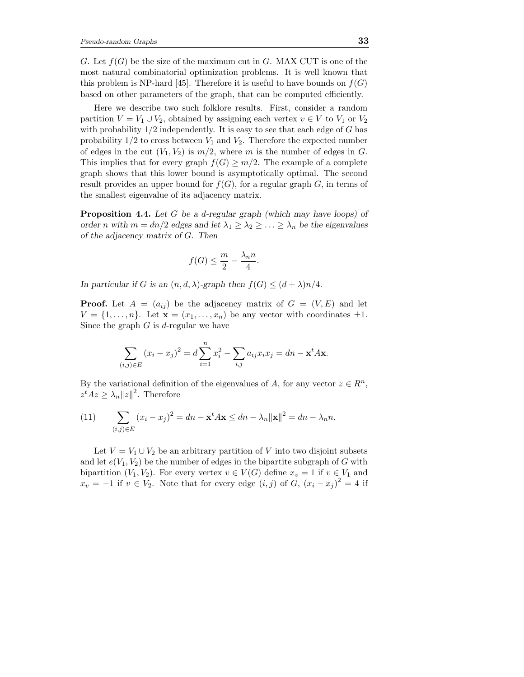G. Let  $f(G)$  be the size of the maximum cut in G. MAX CUT is one of the most natural combinatorial optimization problems. It is well known that this problem is NP-hard [45]. Therefore it is useful to have bounds on  $f(G)$ based on other parameters of the graph, that can be computed efficiently.

Here we describe two such folklore results. First, consider a random partition  $V = V_1 \cup V_2$ , obtained by assigning each vertex  $v \in V$  to  $V_1$  or  $V_2$ with probability  $1/2$  independently. It is easy to see that each edge of G has probability  $1/2$  to cross between  $V_1$  and  $V_2$ . Therefore the expected number of edges in the cut  $(V_1, V_2)$  is  $m/2$ , where m is the number of edges in G. This implies that for every graph  $f(G) \geq m/2$ . The example of a complete graph shows that this lower bound is asymptotically optimal. The second result provides an upper bound for  $f(G)$ , for a regular graph G, in terms of the smallest eigenvalue of its adjacency matrix.

Proposition 4.4. Let G be a d-regular graph (which may have loops) of order n with  $m = dn/2$  edges and let  $\lambda_1 \geq \lambda_2 \geq \ldots \geq \lambda_n$  be the eigenvalues of the adjacency matrix of G. Then

$$
f(G) \le \frac{m}{2} - \frac{\lambda_n n}{4}.
$$

In particular if G is an  $(n, d, \lambda)$ -graph then  $f(G) \leq (d + \lambda)n/4$ .

**Proof.** Let  $A = (a_{ij})$  be the adjacency matrix of  $G = (V, E)$  and let  $V = \{1, \ldots, n\}$ . Let  $\mathbf{x} = (x_1, \ldots, x_n)$  be any vector with coordinates  $\pm 1$ . Since the graph  $G$  is d-regular we have

$$
\sum_{(i,j)\in E} (x_i - x_j)^2 = d \sum_{i=1}^n x_i^2 - \sum_{i,j} a_{ij} x_i x_j = dn - \mathbf{x}^t A \mathbf{x}.
$$

By the variational definition of the eigenvalues of A, for any vector  $z \in \mathbb{R}^n$ ,  $z^t A z \geq \lambda_n ||z||^2$ . Therefore

(11) 
$$
\sum_{(i,j)\in E} (x_i - x_j)^2 = dn - \mathbf{x}^t A \mathbf{x} \le dn - \lambda_n ||\mathbf{x}||^2 = dn - \lambda_n n.
$$

Let  $V = V_1 \cup V_2$  be an arbitrary partition of V into two disjoint subsets and let  $e(V_1, V_2)$  be the number of edges in the bipartite subgraph of G with bipartition  $(V_1, V_2)$ . For every vertex  $v \in V(G)$  define  $x_v = 1$  if  $v \in V_1$  and  $x_v = -1$  if  $v \in V_2$ . Note that for every edge  $(i, j)$  of  $G, (x_i - x_j)^2 = 4$  if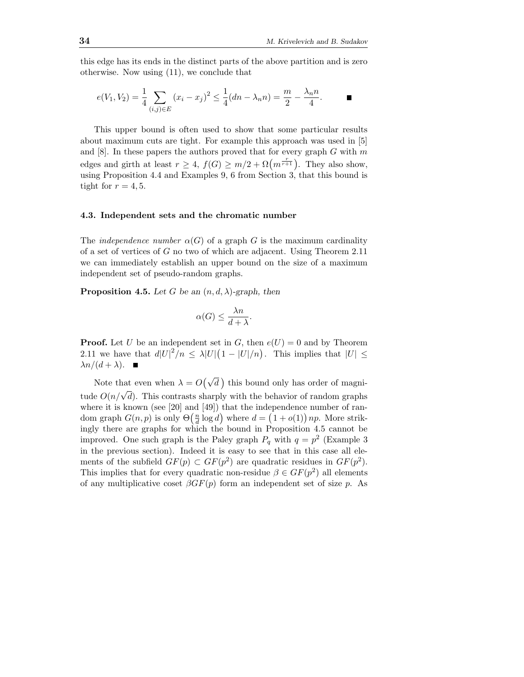this edge has its ends in the distinct parts of the above partition and is zero otherwise. Now using (11), we conclude that

$$
e(V_1, V_2) = \frac{1}{4} \sum_{(i,j) \in E} (x_i - x_j)^2 \le \frac{1}{4} (dn - \lambda_n n) = \frac{m}{2} - \frac{\lambda_n n}{4}.
$$

This upper bound is often used to show that some particular results about maximum cuts are tight. For example this approach was used in [5] and  $[8]$ . In these papers the authors proved that for every graph G with m edges and girth at least  $r \geq 4$ ,  $f(G) \geq m/2 + \Omega(m^{\frac{r}{r+1}})$ . They also show, using Proposition 4.4 and Examples 9, 6 from Section  $3$ , that this bound is tight for  $r = 4, 5$ .

# 4.3. Independent sets and the chromatic number

The *independence number*  $\alpha(G)$  of a graph G is the maximum cardinality of a set of vertices of G no two of which are adjacent. Using Theorem 2.11 we can immediately establish an upper bound on the size of a maximum independent set of pseudo-random graphs.

**Proposition 4.5.** Let G be an  $(n, d, \lambda)$ -graph, then

$$
\alpha(G) \le \frac{\lambda n}{d + \lambda}.
$$

**Proof.** Let U be an independent set in G, then  $e(U) = 0$  and by Theorem 2.11 we have that  $d|U|^2/n \leq \lambda |U|\left(1-|U|/n\right)$ . This implies that  $|U| \leq$  $\lambda n/(d+\lambda)$ .

Note that even when  $\lambda = O(\sqrt{d})$  this bound only has order of magnitude  $O(n/\sqrt{d})$ . This contrasts sharply with the behavior of random graphs where it is known (see [20] and [49]) that the independence number of random graph  $G(n, p)$  is only  $\Theta\left(\frac{n}{d} \log d\right)$  where  $d = (1 + o(1)) np$ . More strikingly there are graphs for which the bound in Proposition 4.5 cannot be improved. One such graph is the Paley graph  $P_q$  with  $q = p^2$  (Example 3) in the previous section). Indeed it is easy to see that in this case all elements of the subfield  $GF(p) \subset GF(p^2)$  are quadratic residues in  $GF(p^2)$ . This implies that for every quadratic non-residue  $\beta \in GF(p^2)$  all elements of any multiplicative coset  $\beta GF(p)$  form an independent set of size p. As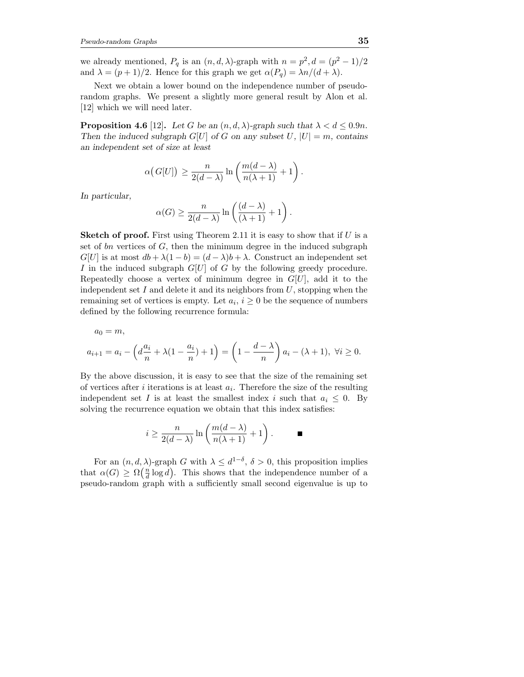we already mentioned,  $P_q$  is an  $(n, d, \lambda)$ -graph with  $n = p^2, d = (p^2 - 1)/2$ and  $\lambda = (p+1)/2$ . Hence for this graph we get  $\alpha(P_q) = \lambda n/(d+\lambda)$ .

Next we obtain a lower bound on the independence number of pseudorandom graphs. We present a slightly more general result by Alon et al. [12] which we will need later.

**Proposition 4.6** [12]. Let G be an  $(n, d, \lambda)$ -graph such that  $\lambda < d \leq 0.9n$ . Then the induced subgraph  $G[U]$  of G on any subset U,  $|U| = m$ , contains an independent set of size at least

$$
\alpha\big(G[U]\big) \ge \frac{n}{2(d-\lambda)}\ln\bigg(\frac{m(d-\lambda)}{n(\lambda+1)}+1\bigg).
$$

In particular,

$$
\alpha(G) \ge \frac{n}{2(d-\lambda)} \ln \left( \frac{(d-\lambda)}{(\lambda+1)} + 1 \right).
$$

**Sketch of proof.** First using Theorem 2.11 it is easy to show that if  $U$  is a set of  $bn$  vertices of  $G$ , then the minimum degree in the induced subgraph  $G[U]$  is at most  $db + \lambda(1-b) = (d - \lambda)b + \lambda$ . Construct an independent set I in the induced subgraph  $G[U]$  of G by the following greedy procedure. Repeatedly choose a vertex of minimum degree in  $G[U]$ , add it to the independent set  $I$  and delete it and its neighbors from  $U$ , stopping when the remaining set of vertices is empty. Let  $a_i, i \geq 0$  be the sequence of numbers defined by the following recurrence formula:

$$
a_0 = m,
$$
  

$$
a_{i+1} = a_i - \left(d\frac{a_i}{n} + \lambda(1 - \frac{a_i}{n}) + 1\right) = \left(1 - \frac{d - \lambda}{n}\right)a_i - (\lambda + 1), \ \forall i \ge 0.
$$

By the above discussion, it is easy to see that the size of the remaining set of vertices after *i* iterations is at least  $a_i$ . Therefore the size of the resulting independent set I is at least the smallest index i such that  $a_i \leq 0$ . By solving the recurrence equation we obtain that this index satisfies:

$$
i \ge \frac{n}{2(d-\lambda)} \ln \left( \frac{m(d-\lambda)}{n(\lambda+1)} + 1 \right).
$$

For an  $(n, d, \lambda)$ -graph G with  $\lambda \leq d^{1-\delta}$ ,  $\delta > 0$ , this proposition implies that  $\alpha(G) \geq \Omega\left(\frac{n}{d}\log d\right)$ . This shows that the independence number of a pseudo-random graph with a sufficiently small second eigenvalue is up to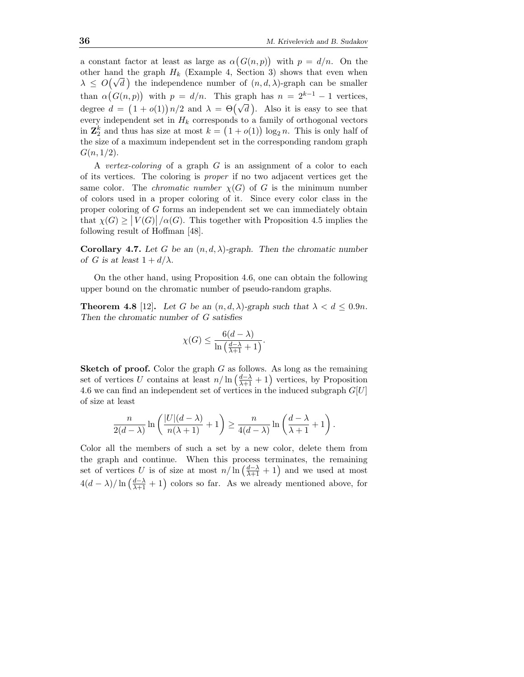a constant factor at least as large as  $\alpha(G(n, p))$  with  $p = d/n$ . On the other hand the graph  $H_k$  (Example 4, Section 3) shows that even when  $\lambda \leq O(\sqrt{d})$  the independence number of  $(n, d, \lambda)$ -graph can be smaller than  $\alpha(G(n,p))$  with  $p = d/n$ . This graph has  $n = 2^{k-1} - 1$  vertices, degree  $d = (1 + o(1))n/2$  and  $\lambda = \Theta(\sqrt{d})$ . Also it is easy to see that every independent set in  $H_k$  corresponds to a family of orthogonal vectors in  $\mathbb{Z}_2^k$  and thus has size at most  $k = (1 + o(1)) \log_2 n$ . This is only half of the size of a maximum independent set in the corresponding random graph  $G(n, 1/2)$ .

A vertex-coloring of a graph  $G$  is an assignment of a color to each of its vertices. The coloring is proper if no two adjacent vertices get the same color. The *chromatic number*  $\chi(G)$  of G is the minimum number of colors used in a proper coloring of it. Since every color class in the proper coloring of G forms an independent set we can immediately obtain that  $\chi(G) \ge |V(G)| / \alpha(G)$ . This together with Proposition 4.5 implies the following result of Hoffman [48].

Corollary 4.7. Let G be an  $(n, d, \lambda)$ -graph. Then the chromatic number of G is at least  $1 + d/\lambda$ .

On the other hand, using Proposition 4.6, one can obtain the following upper bound on the chromatic number of pseudo-random graphs.

**Theorem 4.8** [12]. Let G be an  $(n, d, \lambda)$ -graph such that  $\lambda < d \leq 0.9n$ . Then the chromatic number of G satisfies

$$
\chi(G) \le \frac{6(d-\lambda)}{\ln\left(\frac{d-\lambda}{\lambda+1}+1\right)}.
$$

**Sketch of proof.** Color the graph  $G$  as follows. As long as the remaining set of vertices U contains at least  $n/\ln\left(\frac{d-\lambda}{\lambda+1}+1\right)$  vertices, by Proposition 4.6 we can find an independent set of vertices in the induced subgraph  $G[U]$ of size at least

$$
\frac{n}{2(d-\lambda)}\ln\left(\frac{|U|(d-\lambda)}{n(\lambda+1)}+1\right)\geq \frac{n}{4(d-\lambda)}\ln\left(\frac{d-\lambda}{\lambda+1}+1\right).
$$

Color all the members of such a set by a new color, delete them from the graph and continue. When this process terminates, the remaining set of vertices U is of size at most  $n/\ln\left(\frac{d-\lambda}{\lambda+1}+1\right)$  and we used at most  $4(d - \lambda)/\ln\left(\frac{d - \lambda}{\lambda + 1} + 1\right)$  colors so far. As we already mentioned above, for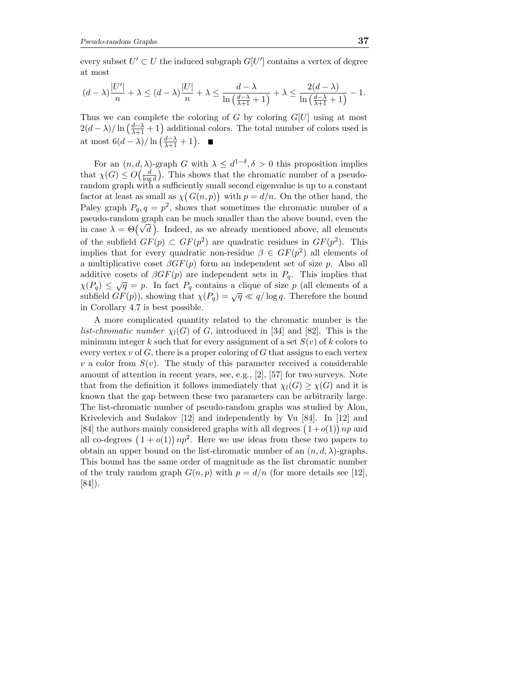every subset  $U' \subset U$  the induced subgraph  $G[U']$  contains a vertex of degree at most

$$
(d - \lambda)\frac{|U'|}{n} + \lambda \le (d - \lambda)\frac{|U|}{n} + \lambda \le \frac{d - \lambda}{\ln\left(\frac{d - \lambda}{\lambda + 1}\right)} + \lambda \le \frac{2(d - \lambda)}{\ln\left(\frac{d - \lambda}{\lambda + 1}\right)} - 1.
$$

Thus we can complete the coloring of G by coloring  $G[U]$  using at most  $2(d - \lambda)/\ln\left(\frac{d - \lambda}{\lambda + 1}\right)$  additional colors. The total number of colors used is at most  $6(d - \lambda) / \ln\left(\frac{d - \lambda}{\lambda + 1} + 1\right)$ .

For an  $(n, d, \lambda)$ -graph G with  $\lambda \leq d^{1-\delta}, \delta > 0$  this proposition implies that  $\chi(G) \leq O\left(\frac{d}{\log d}\right)$ . This shows that the chromatic number of a pseudorandom graph with a sufficiently small second eigenvalue is up to a constant factor at least as small as  $\chi(G(n, p))$  with  $p = d/n$ . On the other hand, the Paley graph  $P_q, q = p^2$ , shows that sometimes the chromatic number of a pseudo-random graph can be much smaller than the above bound, even the in case  $\lambda = \Theta(\sqrt{d})$ . Indeed, as we already mentioned above, all elements of the subfield  $GF(p) \subset GF(p^2)$  are quadratic residues in  $GF(p^2)$ . This implies that for every quadratic non-residue  $\beta \in GF(p^2)$  all elements of a multiplicative coset  $\beta GF(p)$  form an independent set of size p. Also all additive cosets of  $\beta GF(p)$  are independent sets in  $P_q$ . This implies that  $\chi(P_q) \leq \sqrt{q} = p$ . In fact  $P_q$  contains a clique of size p (all elements of a subfield  $GF(p)$ , showing that  $\chi(P_q) = \sqrt{q} \ll q/\log q$ . Therefore the bound in Corollary 4.7 is best possible.

A more complicated quantity related to the chromatic number is the *list-chromatic number*  $\chi_l(G)$  of G, introduced in [34] and [82]. This is the minimum integer k such that for every assignment of a set  $S(v)$  of k colors to every vertex  $v$  of  $G$ , there is a proper coloring of  $G$  that assigns to each vertex v a color from  $S(v)$ . The study of this parameter received a considerable amount of attention in recent years, see, e.g., [2], [57] for two surveys. Note that from the definition it follows immediately that  $\chi_l(G) \geq \chi(G)$  and it is known that the gap between these two parameters can be arbitrarily large. The list-chromatic number of pseudo-random graphs was studied by Alon, Krivelevich and Sudakov [12] and independently by Vu [84]. In [12] and [84] the authors mainly considered graphs with all degrees  $(1+o(1))$  *np* and all co-degrees  $(1+o(1))np^2$ . Here we use ideas from these two papers to obtain an upper bound on the list-chromatic number of an  $(n, d, \lambda)$ -graphs. This bound has the same order of magnitude as the list chromatic number of the truly random graph  $G(n, p)$  with  $p = d/n$  (for more details see [12], [84]).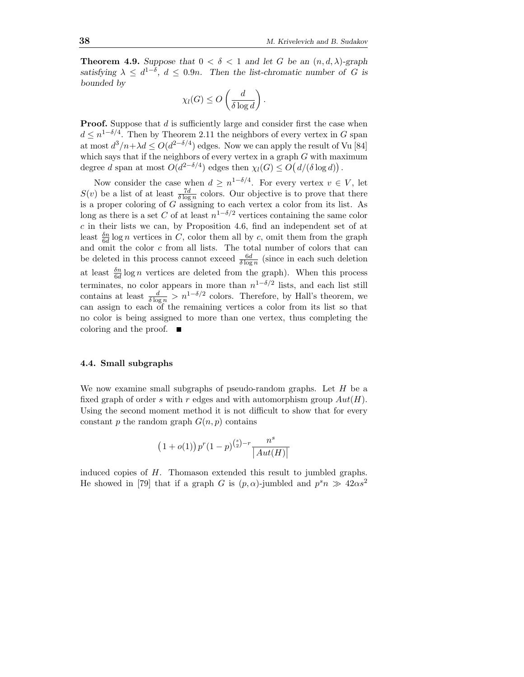**Theorem 4.9.** Suppose that  $0 < \delta < 1$  and let G be an  $(n, d, \lambda)$ -graph satisfying  $\lambda \leq d^{1-\delta}$ ,  $d \leq 0.9n$ . Then the list-chromatic number of G is bounded by

$$
\chi_l(G) \le O\left(\frac{d}{\delta \log d}\right)
$$

.

**Proof.** Suppose that d is sufficiently large and consider first the case when  $d \leq n^{1-\delta/4}$ . Then by Theorem 2.11 the neighbors of every vertex in G span at most  $d^3/n + \lambda d \leq O(d^{2-\delta/4})$  edges. Now we can apply the result of Vu [84] which says that if the neighbors of every vertex in a graph  $G$  with maximum degree d span at most  $O(d^{2-\delta/4})$  edges then  $\chi_l(G) \leq O(d/(\delta \log d))$ .

Now consider the case when  $d \geq n^{1-\delta/4}$ . For every vertex  $v \in V$ , let  $S(v)$  be a list of at least  $\frac{7d}{\delta \log n}$  colors. Our objective is to prove that there is a proper coloring of G assigning to each vertex a color from its list. As long as there is a set C of at least  $n^{1-\delta/2}$  vertices containing the same color  $c$  in their lists we can, by Proposition 4.6, find an independent set of at least  $\frac{\delta n}{6d}$  log *n* vertices in *C*, color them all by *c*, omit them from the graph and omit the color c from all lists. The total number of colors that can be deleted in this process cannot exceed  $\frac{6d}{\delta \log n}$  (since in each such deletion at least  $\frac{\delta n}{6d} \log n$  vertices are deleted from the graph). When this process 6d terminates, no color appears in more than  $n^{1-\delta/2}$  lists, and each list still contains at least  $\frac{d}{\delta \log n} > n^{1-\delta/2}$  colors. Therefore, by Hall's theorem, we can assign to each of the remaining vertices a color from its list so that no color is being assigned to more than one vertex, thus completing the coloring and the proof.

### 4.4. Small subgraphs

We now examine small subgraphs of pseudo-random graphs. Let  $H$  be a fixed graph of order s with r edges and with automorphism group  $Aut(H)$ . Using the second moment method it is not difficult to show that for every constant p the random graph  $G(n, p)$  contains

$$
(1+o(1)) pr (1-p)^{{s \choose 2}-r} \frac{ns}{|Aut(H)|}
$$

induced copies of H. Thomason extended this result to jumbled graphs. He showed in [79] that if a graph G is  $(p, \alpha)$ -jumbled and  $p^s n \gg 42\alpha s^2$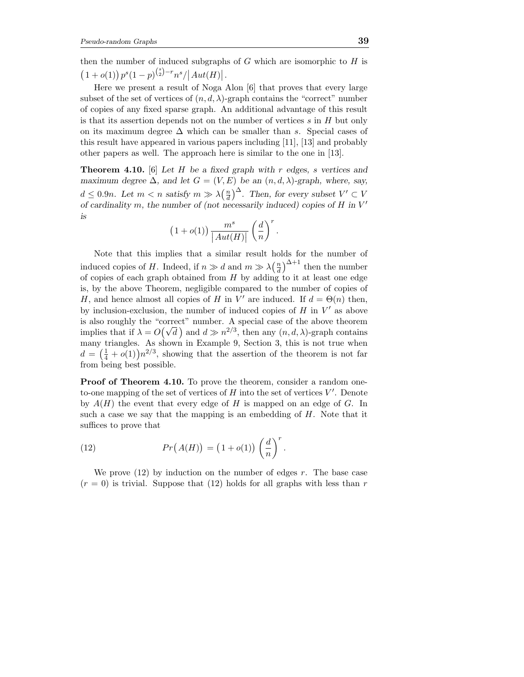then the number of induced subgraphs of  $G$  which are isomorphic to  $H$  is  $(1+o(1)) p<sup>s</sup>(1-p)<sup>(s</sup>)<sup>-r</sup> n<sup>s</sup> / |Aut(H)|.$ 

Here we present a result of Noga Alon [6] that proves that every large subset of the set of vertices of  $(n, d, \lambda)$ -graph contains the "correct" number of copies of any fixed sparse graph. An additional advantage of this result is that its assertion depends not on the number of vertices  $s$  in  $H$  but only on its maximum degree  $\Delta$  which can be smaller than s. Special cases of this result have appeared in various papers including [11], [13] and probably other papers as well. The approach here is similar to the one in [13].

**Theorem 4.10.** [6] Let H be a fixed graph with r edges, s vertices and maximum degree  $\Delta$ , and let  $G = (V, E)$  be an  $(n, d, \lambda)$ -graph, where, say,  $d \leq 0.9n$ . Let  $m < n$  satisfy  $m \gg \lambda \left(\frac{n}{d}\right)^{\Delta}$ . Then, for every subset  $V' \subset V$ of cardinality m, the number of (not necessarily induced) copies of  $H$  in  $V'$ is

$$
\left(1+o(1)\right)\frac{m^s}{\left|Aut(H)\right|}\left(\frac{d}{n}\right)^r.
$$

Note that this implies that a similar result holds for the number of induced copies of H. Indeed, if  $n \gg d$  and  $m \gg \lambda \left(\frac{n}{d}\right)^{\Delta+1}$  then the number of copies of each graph obtained from  $H$  by adding to it at least one edge is, by the above Theorem, negligible compared to the number of copies of H, and hence almost all copies of H in V' are induced. If  $d = \Theta(n)$  then, by inclusion-exclusion, the number of induced copies of  $H$  in  $V'$  as above is also roughly the "correct" number. A special case of the above theorem implies that if  $\lambda = O(\sqrt{d})$  and  $d \gg n^{2/3}$ , then any  $(n, d, \lambda)$ -graph contains many triangles. As shown in Example 9, Section 3, this is not true when  $d = \left(\frac{1}{4} + o(1)\right) n^{2/3}$ , showing that the assertion of the theorem is not far from being best possible.

Proof of Theorem 4.10. To prove the theorem, consider a random oneto-one mapping of the set of vertices of  $H$  into the set of vertices  $V'$ . Denote by  $A(H)$  the event that every edge of H is mapped on an edge of G. In such a case we say that the mapping is an embedding of  $H$ . Note that it suffices to prove that

(12) 
$$
Pr(A(H)) = (1 + o(1)) \left(\frac{d}{n}\right)^r.
$$

We prove  $(12)$  by induction on the number of edges r. The base case  $(r = 0)$  is trivial. Suppose that (12) holds for all graphs with less than r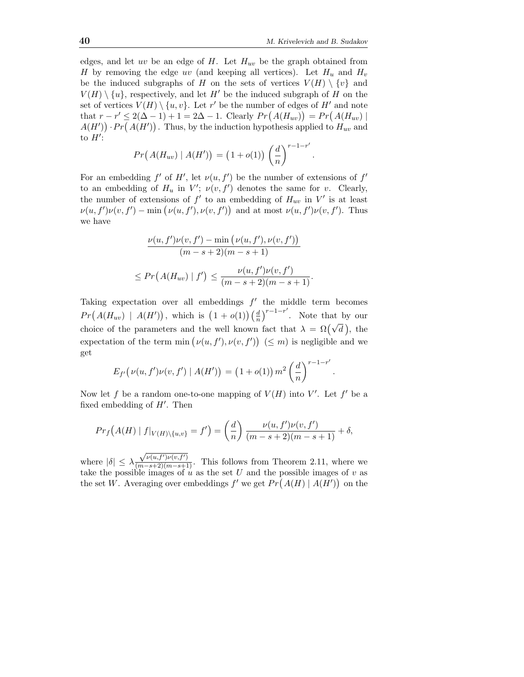.

.

edges, and let uv be an edge of H. Let  $H_{uv}$  be the graph obtained from H by removing the edge uv (and keeping all vertices). Let  $H_u$  and  $H_v$ be the induced subgraphs of H on the sets of vertices  $V(H) \setminus \{v\}$  and  $V(H) \setminus \{u\}$ , respectively, and let H' be the induced subgraph of H on the set of vertices  $V(H) \setminus \{u, v\}$ . Let  $r'$  be the number of edges of  $H'$  and note that  $r - r' \leq 2(\Delta - 1) + 1 = 2\Delta - 1$ . Clearly  $Pr(A(H_{uv})) = Pr(A(H_{uv}))$  $A(H')$ ) ·  $Pr(A(H'))$  . Thus, by the induction hypothesis applied to  $H_{uv}$  and to  $H'$ :

$$
Pr(A(H_{uv}) | A(H')) = (1 + o(1)) \left(\frac{d}{n}\right)^{r-1-r'}
$$

For an embedding f' of H', let  $\nu(u, f')$  be the number of extensions of f' to an embedding of  $H_u$  in  $V'$ ;  $\nu(v, f')$  denotes the same for v. Clearly, the number of extensions of  $f'$  to an embedding of  $H_{uv}$  in  $V'$  is at least  $\nu(u, f')\nu(v, f') - \min(\nu(u, f'), \nu(v, f'))$  and at most  $\nu(u, f')\nu(v, f')$ . Thus we have

$$
\frac{\nu(u, f')\nu(v, f') - \min(\nu(u, f'), \nu(v, f'))}{(m - s + 2)(m - s + 1)}
$$
  

$$
\leq Pr(A(H_{uv}) | f') \leq \frac{\nu(u, f')\nu(v, f')}{(m - s + 2)(m - s + 1)}.
$$

Taking expectation over all embeddings  $f'$  the middle term becomes  $Pr(A(H_{uv}) | A(H'))$ , which is  $(1 + o(1)) \left(\frac{d}{n}\right)^{r-1-r'}$ . Note that by our choice of the parameters and the well known fact that  $\lambda = \Omega(\sqrt{d})$ , the expectation of the term  $\min(\nu(u, f'), \nu(v, f')) \leq m$  is negligible and we get

$$
E_{f'}(\nu(u, f')\nu(v, f') | A(H')) = (1 + o(1)) m^2 \left(\frac{d}{n}\right)^{r-1-r'}
$$

Now let f be a random one-to-one mapping of  $V(H)$  into  $V'$ . Let f' be a fixed embedding of  $H'$ . Then

$$
Pr_f(A(H) | f|_{V(H) \setminus \{u,v\}} = f') = \left(\frac{d}{n}\right) \frac{\nu(u, f')\nu(v, f')}{(m - s + 2)(m - s + 1)} + \delta,
$$

where  $|\delta| \leq \lambda$ where  $|\delta| \leq \lambda \frac{\sqrt{\nu(u,f')\nu(v,f')}}{(m-s+2)(m-s+1)}$ . This follows from Theorem 2.11, where we take the possible images of u as the set U and the possible images of v as the set W. Averaging over embeddings  $f'$  we get  $Pr(A(H) | A(H'))$  on the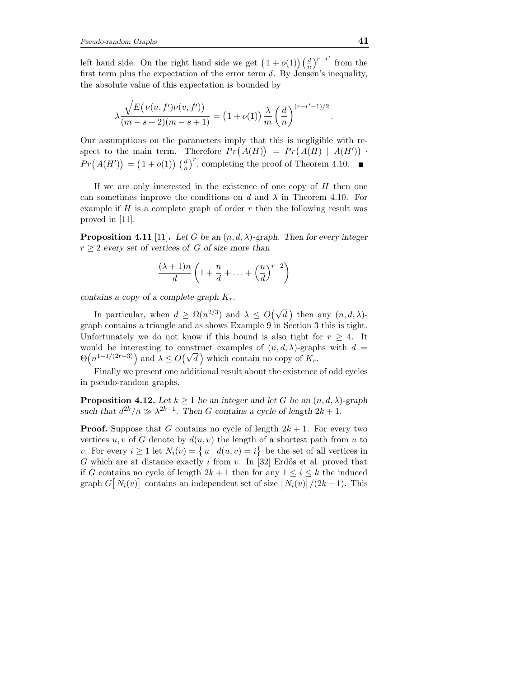left hand side. On the right hand side we get  $(1 + o(1))(\frac{d}{n})^{r-r'}$  from the first term plus the expectation of the error term  $\delta$ . By Jensen's inequality, the absolute value of this expectation is bounded by

$$
\lambda \frac{\sqrt{E(\nu(u, f')\nu(v, f'))}}{(m-s+2)(m-s+1)} = (1+o(1)) \frac{\lambda}{m} \left(\frac{d}{n}\right)^{(r-r'-1)/2}
$$

Our assumptions on the parameters imply that this is negligible with respect to the main term. Therefore  $Pr(A(H)) = Pr(A(H) | A(H'))$ .  $Pr(A(H')) = (1 + o(1)) \left(\frac{d}{n}\right)^r$ , completing the proof of Theorem 4.10.

If we are only interested in the existence of one copy of  $H$  then one can sometimes improve the conditions on d and  $\lambda$  in Theorem 4.10. For example if  $H$  is a complete graph of order  $r$  then the following result was proved in [11].

**Proposition 4.11** [11]. Let G be an  $(n, d, \lambda)$ -graph. Then for every integer  $r \geq 2$  every set of vertices of G of size more than

$$
\frac{(\lambda+1)n}{d}\left(1+\frac{n}{d}+\ldots+\left(\frac{n}{d}\right)^{r-2}\right)
$$

contains a copy of a complete graph  $K_r$ .

In particular, when  $d \ge \Omega(n^{2/3})$  and  $\lambda \le O(\sqrt{d})$  then any  $(n, d, \lambda)$ graph contains a triangle and as shows Example 9 in Section 3 this is tight. Unfortunately we do not know if this bound is also tight for  $r \geq 4$ . It would be interesting to construct examples of  $(n, d, \lambda)$ -graphs with  $d =$  $\Theta(n^{1-1/(2r-3)})$  and  $\lambda \leq O(\sqrt{d})$  which contain no copy of  $K_r$ .

Finally we present one additional result about the existence of odd cycles in pseudo-random graphs.

**Proposition 4.12.** Let  $k \geq 1$  be an integer and let G be an  $(n, d, \lambda)$ -graph such that  $d^{2k}/n \gg \lambda^{2k-1}$ . Then G contains a cycle of length  $2k+1$ .

**Proof.** Suppose that G contains no cycle of length  $2k + 1$ . For every two vertices u, v of G denote by  $d(u, v)$  the length of a shortest path from u to v. For every  $i \geq 1$  let  $N_i(v) = \{u \mid d(u, v) = i\}$  be the set of all vertices in G which are at distance exactly i from v. In [32] Erdős et al. proved that if G contains no cycle of length  $2k + 1$  then for any  $1 \leq i \leq k$  the induced graph  $G[N_i(v)]$  contains an independent set of size  $|N_i(v)|/(2k-1)$ . This

.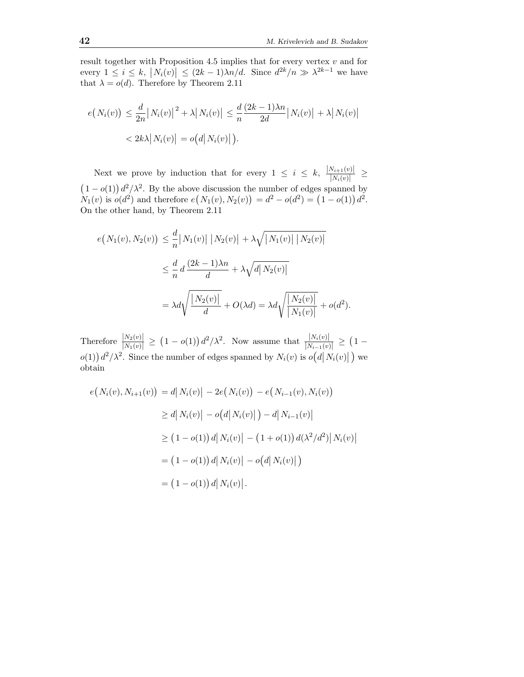result together with Proposition 4.5 implies that for every vertex  $v$  and for every  $1 \leq i \leq k$ ,  $|N_i(v)| \leq (2k-1)\lambda n/d$ . Since  $d^{2k}/n \gg \lambda^{2k-1}$  we have that  $\lambda = o(d)$ . Therefore by Theorem 2.11

$$
e(N_i(v)) \leq \frac{d}{2n} |N_i(v)|^2 + \lambda |N_i(v)| \leq \frac{d}{n} \frac{(2k-1)\lambda n}{2d} |N_i(v)| + \lambda |N_i(v)|
$$
  

$$
< 2k\lambda |N_i(v)| = o(d|N_i(v)|).
$$

Next we prove by induction that for every  $1 \leq i \leq k$ ,  $\frac{|N_{i+1}(v)|}{|N_i(v)|} \geq$  $|N_i(v)|$  $(1-o(1))d^2/\lambda^2$ . By the above discussion the number of edges spanned by  $N_1(v)$  is  $o(d^2)$  and therefore  $e(N_1(v), N_2(v)) = d^2 - o(d^2) = (1 - o(1)) d^2$ . On the other hand, by Theorem 2.11

$$
e(N_1(v), N_2(v)) \leq \frac{d}{n} |N_1(v)| |N_2(v)| + \lambda \sqrt{|N_1(v)| |N_2(v)|}
$$
  

$$
\leq \frac{d}{n} d \frac{(2k-1)\lambda n}{d} + \lambda \sqrt{d |N_2(v)|}
$$
  

$$
= \lambda d \sqrt{\frac{|N_2(v)|}{d}} + O(\lambda d) = \lambda d \sqrt{\frac{|N_2(v)|}{|N_1(v)|}} + o(d^2).
$$

Therefore  $\frac{|N_2(v)|}{|N_1(v)|} \ge (1 - o(1)) d^2/\lambda^2$ . Now assume that  $\frac{|N_i(v)|}{|N_{i-1}(v)|} \ge (1 - o(1)) d^2/\lambda^2$ .  $o(1)$   $d^2/\lambda^2$ . Since the number of edges spanned by  $N_i(v)$  is  $o(d|N_i(v)|)$  we obtain

$$
e(N_i(v), N_{i+1}(v)) = d|N_i(v)| - 2e(N_i(v)) - e(N_{i-1}(v), N_i(v))
$$
  
\n
$$
\geq d|N_i(v)| - o(d|N_i(v)|) - d|N_{i-1}(v)|
$$
  
\n
$$
\geq (1 - o(1)) d|N_i(v)| - (1 + o(1)) d(\lambda^2/d^2)|N_i(v)|
$$
  
\n
$$
= (1 - o(1)) d|N_i(v)| - o(d|N_i(v)|)
$$
  
\n
$$
= (1 - o(1)) d|N_i(v)|.
$$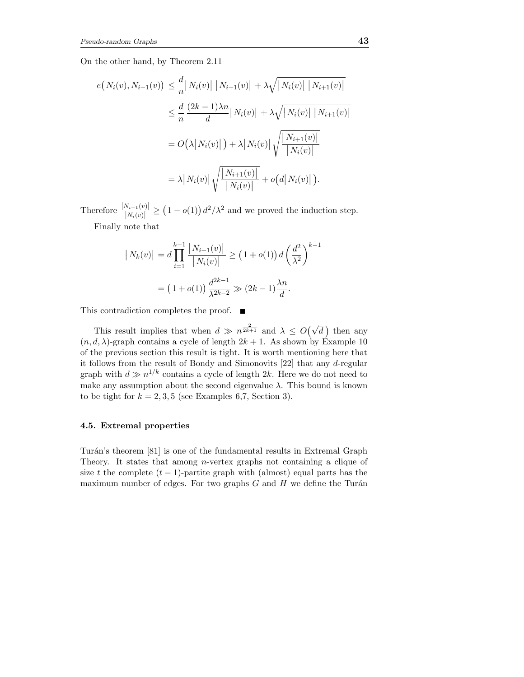On the other hand, by Theorem 2.11

$$
e(N_i(v), N_{i+1}(v)) \leq \frac{d}{n} |N_i(v)| |N_{i+1}(v)| + \lambda \sqrt{|N_i(v)| |N_{i+1}(v)|}
$$
  

$$
\leq \frac{d}{n} \frac{(2k-1)\lambda n}{d} |N_i(v)| + \lambda \sqrt{|N_i(v)| |N_{i+1}(v)|}
$$
  

$$
= O(\lambda |N_i(v)|) + \lambda |N_i(v)| \sqrt{\frac{|N_{i+1}(v)|}{|N_i(v)|}}
$$
  

$$
= \lambda |N_i(v)| \sqrt{\frac{|N_{i+1}(v)|}{|N_i(v)|}} + o(d|N_i(v)|).
$$

Therefore  $\frac{|N_{i+1}(v)|}{|N_i(v)|} \ge (1 - o(1)) d^2/\lambda^2$  and we proved the induction step. Finally note that

$$
\left| N_k(v) \right| = d \prod_{i=1}^{k-1} \frac{\left| N_{i+1}(v) \right|}{\left| N_i(v) \right|} \ge \left( 1 + o(1) \right) d \left( \frac{d^2}{\lambda^2} \right)^{k-1}
$$

$$
= \left( 1 + o(1) \right) \frac{d^{2k-1}}{\lambda^{2k-2}} \gg \left( 2k - 1 \right) \frac{\lambda n}{d}.
$$

This contradiction completes the proof. ■

This result implies that when  $d \gg n^{\frac{2}{2k+1}}$  and  $\lambda \leq O(\sqrt{d})$  then any  $(n, d, \lambda)$ -graph contains a cycle of length  $2k + 1$ . As shown by Example 10 of the previous section this result is tight. It is worth mentioning here that it follows from the result of Bondy and Simonovits [22] that any d-regular graph with  $d \gg n^{1/k}$  contains a cycle of length 2k. Here we do not need to make any assumption about the second eigenvalue  $\lambda$ . This bound is known to be tight for  $k = 2, 3, 5$  (see Examples 6,7, Section 3).

## 4.5. Extremal properties

Turán's theorem [81] is one of the fundamental results in Extremal Graph Theory. It states that among n-vertex graphs not containing a clique of size t the complete  $(t - 1)$ -partite graph with (almost) equal parts has the maximum number of edges. For two graphs  $G$  and  $H$  we define the Turán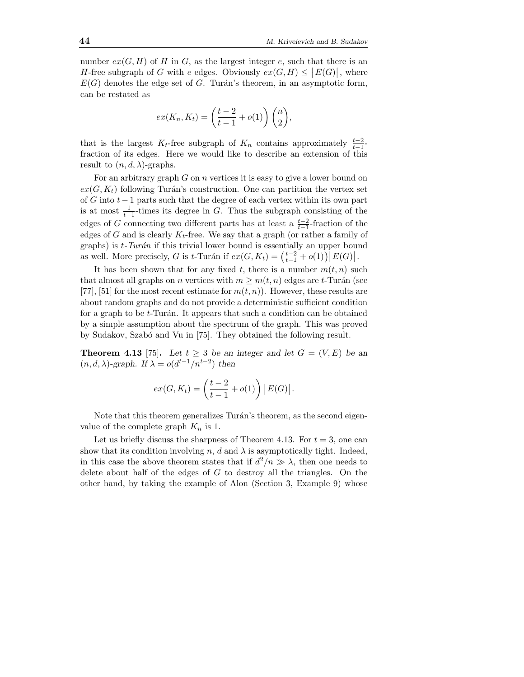number  $ex(G, H)$  of H in G, as the largest integer e, such that there is an H-free subgraph of G with e edges. Obviously  $ex(G, H) \leq |E(G)|$ , where  $E(G)$  denotes the edge set of G. Turán's theorem, in an asymptotic form, can be restated as

$$
ex(K_n, K_t) = \left(\frac{t-2}{t-1} + o(1)\right) \binom{n}{2},
$$

that is the largest K<sub>t</sub>-free subgraph of K<sub>n</sub> contains approximately  $\frac{t-2}{t-1}$ fraction of its edges. Here we would like to describe an extension of this result to  $(n, d, \lambda)$ -graphs.

For an arbitrary graph  $G$  on  $n$  vertices it is easy to give a lower bound on  $ex(G, K_t)$  following Turán's construction. One can partition the vertex set of G into  $t-1$  parts such that the degree of each vertex within its own part is at most  $\frac{1}{t-1}$ -times its degree in G. Thus the subgraph consisting of the edges of G connecting two different parts has at least a  $\frac{t-2}{t-1}$ -fraction of the edges of G and is clearly  $K_t$ -free. We say that a graph (or rather a family of graphs) is  $t$ -Turán if this trivial lower bound is essentially an upper bound as well. More precisely, G is t-Turán if  $ex(G, K_t) = (\frac{t-2}{t-1} + o(1)) |E(G)|$ .

It has been shown that for any fixed t, there is a number  $m(t, n)$  such that almost all graphs on *n* vertices with  $m \geq m(t, n)$  edges are t-Turán (see [77], [51] for the most recent estimate for  $m(t, n)$ ). However, these results are about random graphs and do not provide a deterministic sufficient condition for a graph to be  $t$ -Turán. It appears that such a condition can be obtained by a simple assumption about the spectrum of the graph. This was proved by Sudakov, Szabó and Vu in [75]. They obtained the following result.

**Theorem 4.13** [75]. Let  $t \geq 3$  be an integer and let  $G = (V, E)$  be an  $(n, d, \lambda)$ -graph. If  $\lambda = o(d^{t-1}/n^{t-2})$  then

$$
ex(G, K_t) = \left(\frac{t-2}{t-1} + o(1)\right) |E(G)|.
$$

Note that this theorem generalizes Turán's theorem, as the second eigenvalue of the complete graph  $K_n$  is 1.

Let us briefly discuss the sharpness of Theorem 4.13. For  $t = 3$ , one can show that its condition involving n, d and  $\lambda$  is asymptotically tight. Indeed, in this case the above theorem states that if  $d^2/n \gg \lambda$ , then one needs to delete about half of the edges of  $G$  to destroy all the triangles. On the other hand, by taking the example of Alon (Section 3, Example 9) whose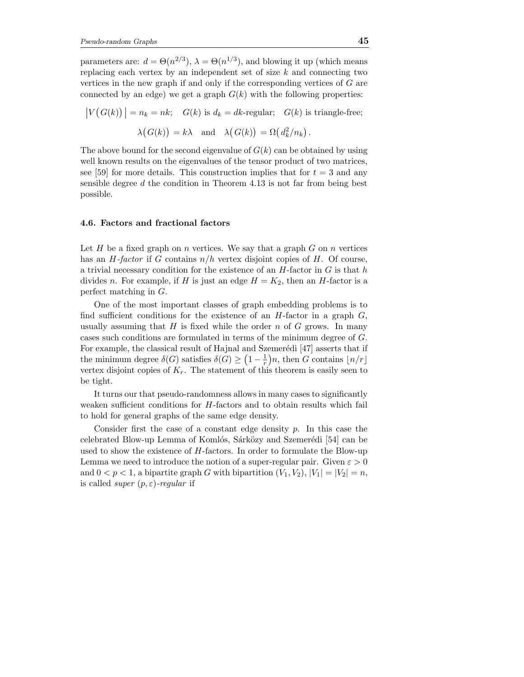parameters are:  $d = \Theta(n^{2/3})$ ,  $\lambda = \Theta(n^{1/3})$ , and blowing it up (which means replacing each vertex by an independent set of size  $k$  and connecting two vertices in the new graph if and only if the corresponding vertices of  $G$  are connected by an edge) we get a graph  $G(k)$  with the following properties:

$$
|V(G(k))| = n_k = nk; \quad G(k) \text{ is } d_k = dk\text{-regular}; \quad G(k) \text{ is triangle-free};
$$

$$
\lambda(G(k)) = k\lambda \quad \text{and} \quad \lambda(G(k)) = \Omega(d_k^2/n_k).
$$

The above bound for the second eigenvalue of  $G(k)$  can be obtained by using well known results on the eigenvalues of the tensor product of two matrices, see [59] for more details. This construction implies that for  $t = 3$  and any sensible degree  $d$  the condition in Theorem 4.13 is not far from being best possible.

#### 4.6. Factors and fractional factors

Let  $H$  be a fixed graph on  $n$  vertices. We say that a graph  $G$  on  $n$  vertices has an  $H$ -factor if G contains  $n/h$  vertex disjoint copies of H. Of course, a trivial necessary condition for the existence of an  $H$ -factor in  $G$  is that  $h$ divides n. For example, if H is just an edge  $H = K_2$ , then an H-factor is a perfect matching in G.

One of the most important classes of graph embedding problems is to find sufficient conditions for the existence of an  $H$ -factor in a graph  $G$ , usually assuming that H is fixed while the order n of G grows. In many cases such conditions are formulated in terms of the minimum degree of G. For example, the classical result of Hajnal and Szemerédi  $[47]$  asserts that if the minimum degree  $\delta(G)$  satisfies  $\delta(G) \geq (1 - \frac{1}{r})n$ , then G contains  $\lfloor n/r \rfloor$ vertex disjoint copies of  $K_r$ . The statement of this theorem is easily seen to be tight.

It turns our that pseudo-randomness allows in many cases to significantly weaken sufficient conditions for  $H$ -factors and to obtain results which fail to hold for general graphs of the same edge density.

Consider first the case of a constant edge density  $p$ . In this case the celebrated Blow-up Lemma of Komlós, Sárközy and Szemerédi [54] can be used to show the existence of  $H$ -factors. In order to formulate the Blow-up Lemma we need to introduce the notion of a super-regular pair. Given  $\varepsilon > 0$ and  $0 < p < 1$ , a bipartite graph G with bipartition  $(V_1, V_2), |V_1| = |V_2| = n$ , is called *super*  $(p, \varepsilon)$ -regular if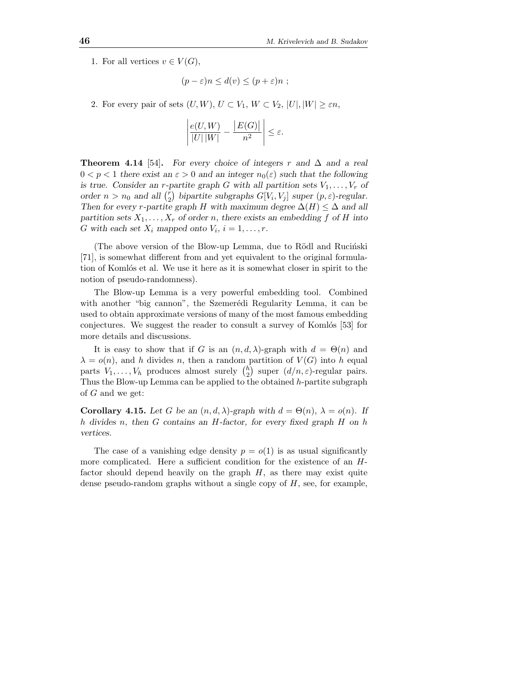1. For all vertices  $v \in V(G)$ ,

$$
(p - \varepsilon)n \leq d(v) \leq (p + \varepsilon)n ;
$$

2. For every pair of sets  $(U, W)$ ,  $U \subset V_1$ ,  $W \subset V_2$ ,  $|U|, |W| \geq \varepsilon n$ ,

$$
\left|\frac{e(U,W)}{|U||W|} - \frac{|E(G)|}{n^2}\right| \le \varepsilon.
$$

**Theorem 4.14** [54]. For every choice of integers r and  $\Delta$  and a real  $0 < p < 1$  there exist an  $\varepsilon > 0$  and an integer  $n_0(\varepsilon)$  such that the following is true. Consider an r-partite graph G with all partition sets  $V_1, \ldots, V_r$  of order  $n > n_0$  and all  $\binom{r}{2}$ <sup>r</sup><sub>2</sub>) bipartite subgraphs  $G[V_i, V_j]$  super  $(p, \varepsilon)$ -regular. Then for every r-partite graph H with maximum degree  $\Delta(H) \leq \Delta$  and all partition sets  $X_1, \ldots, X_r$  of order n, there exists an embedding f of H into G with each set  $X_i$  mapped onto  $V_i$ ,  $i = 1, \ldots, r$ .

(The above version of the Blow-up Lemma, due to Rödl and Rucinski [71], is somewhat different from and yet equivalent to the original formulation of Komlós et al. We use it here as it is somewhat closer in spirit to the notion of pseudo-randomness).

The Blow-up Lemma is a very powerful embedding tool. Combined with another "big cannon", the Szemerédi Regularity Lemma, it can be used to obtain approximate versions of many of the most famous embedding conjectures. We suggest the reader to consult a survey of Komlós [53] for more details and discussions.

It is easy to show that if G is an  $(n, d, \lambda)$ -graph with  $d = \Theta(n)$  and  $\lambda = o(n)$ , and h divides n, then a random partition of  $V(G)$  into h equal parts  $V_1, \ldots, V_h$  produces almost surely  $\binom{h}{2}$ <sup>h</sup><sub>2</sub>) super  $(d/n, \varepsilon)$ -regular pairs. Thus the Blow-up Lemma can be applied to the obtained h-partite subgraph of G and we get:

Corollary 4.15. Let G be an  $(n, d, \lambda)$ -graph with  $d = \Theta(n)$ ,  $\lambda = o(n)$ . If h divides n, then  $G$  contains an  $H$ -factor, for every fixed graph  $H$  on  $h$ vertices.

The case of a vanishing edge density  $p = o(1)$  is as usual significantly more complicated. Here a sufficient condition for the existence of an Hfactor should depend heavily on the graph  $H$ , as there may exist quite dense pseudo-random graphs without a single copy of  $H$ , see, for example,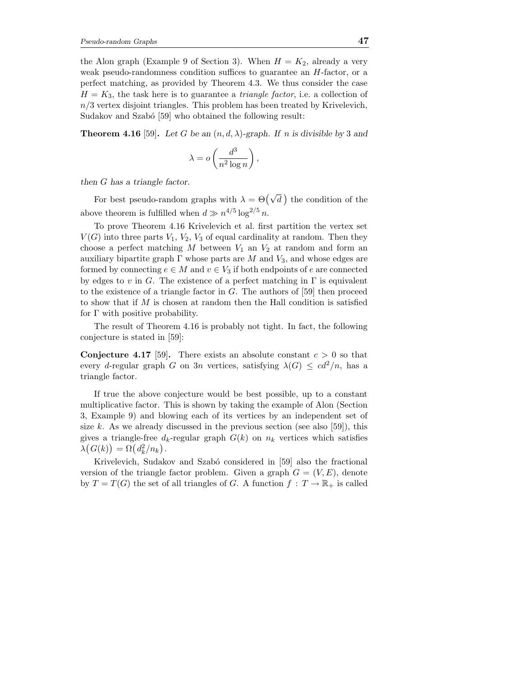the Alon graph (Example 9 of Section 3). When  $H = K_2$ , already a very weak pseudo-randomness condition suffices to guarantee an  $H$ -factor, or a perfect matching, as provided by Theorem 4.3. We thus consider the case  $H = K_3$ , the task here is to guarantee a *triangle factor*, i.e. a collection of  $n/3$  vertex disjoint triangles. This problem has been treated by Krivelevich, Sudakov and Szabó [59] who obtained the following result:

**Theorem 4.16** [59]. Let G be an  $(n, d, \lambda)$ -graph. If n is divisible by 3 and

$$
\lambda = o\left(\frac{d^3}{n^2 \log n}\right),\,
$$

then G has a triangle factor.

For best pseudo-random graphs with  $\lambda = \Theta(\sqrt{d})$  the condition of the above theorem is fulfilled when  $d \gg n^{4/5} \log^{2/5} n$ .

To prove Theorem 4.16 Krivelevich et al. first partition the vertex set  $V(G)$  into three parts  $V_1, V_2, V_3$  of equal cardinality at random. Then they choose a perfect matching  $M$  between  $V_1$  an  $V_2$  at random and form an auxiliary bipartite graph  $\Gamma$  whose parts are M and  $V_3$ , and whose edges are formed by connecting  $e \in M$  and  $v \in V_3$  if both endpoints of e are connected by edges to v in G. The existence of a perfect matching in  $\Gamma$  is equivalent to the existence of a triangle factor in  $G$ . The authors of [59] then proceed to show that if  $M$  is chosen at random then the Hall condition is satisfied for Γ with positive probability.

The result of Theorem 4.16 is probably not tight. In fact, the following conjecture is stated in [59]:

**Conjecture 4.17** [59]. There exists an absolute constant  $c > 0$  so that every d-regular graph G on 3n vertices, satisfying  $\lambda(G) \leq cd^2/n$ , has a triangle factor.

If true the above conjecture would be best possible, up to a constant multiplicative factor. This is shown by taking the example of Alon (Section 3, Example 9) and blowing each of its vertices by an independent set of size k. As we already discussed in the previous section (see also [59]), this gives a triangle-free  $d_k$ -regular graph  $G(k)$  on  $n_k$  vertices which satisfies  $\lambda\big(G(k)\big) = \Omega\big(d_k^2/n_k\big).$ 

Krivelevich, Sudakov and Szabó considered in [59] also the fractional version of the triangle factor problem. Given a graph  $G = (V, E)$ , denote by  $T = T(G)$  the set of all triangles of G. A function  $f : T \to \mathbb{R}_+$  is called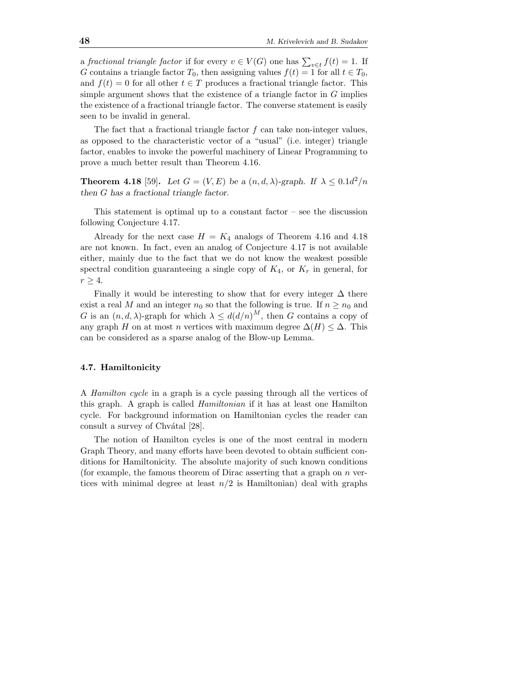a fractional triangle factor if for every  $v \in V(G)$  one has  $\sum_{v \in t} f(t) = 1$ . If G contains a triangle factor  $T_0$ , then assigning values  $f(t) = 1$  for all  $t \in T_0$ , and  $f(t) = 0$  for all other  $t \in T$  produces a fractional triangle factor. This simple argument shows that the existence of a triangle factor in  $G$  implies the existence of a fractional triangle factor. The converse statement is easily seen to be invalid in general.

The fact that a fractional triangle factor  $f$  can take non-integer values, as opposed to the characteristic vector of a "usual" (i.e. integer) triangle factor, enables to invoke the powerful machinery of Linear Programming to prove a much better result than Theorem 4.16.

**Theorem 4.18** [59]. Let  $G = (V, E)$  be a  $(n, d, \lambda)$ -graph. If  $\lambda \leq 0.1d^2/n$ then G has a fractional triangle factor.

This statement is optimal up to a constant factor – see the discussion following Conjecture 4.17.

Already for the next case  $H = K_4$  analogs of Theorem 4.16 and 4.18 are not known. In fact, even an analog of Conjecture 4.17 is not available either, mainly due to the fact that we do not know the weakest possible spectral condition guaranteeing a single copy of  $K_4$ , or  $K_r$  in general, for  $r \geq 4$ .

Finally it would be interesting to show that for every integer  $\Delta$  there exist a real M and an integer  $n_0$  so that the following is true. If  $n \geq n_0$  and G is an  $(n, d, \lambda)$ -graph for which  $\lambda \leq d(d/n)^M$ , then G contains a copy of any graph H on at most n vertices with maximum degree  $\Delta(H) \leq \Delta$ . This can be considered as a sparse analog of the Blow-up Lemma.

# 4.7. Hamiltonicity

A Hamilton cycle in a graph is a cycle passing through all the vertices of this graph. A graph is called Hamiltonian if it has at least one Hamilton cycle. For background information on Hamiltonian cycles the reader can consult a survey of Chvátal [28].

The notion of Hamilton cycles is one of the most central in modern Graph Theory, and many efforts have been devoted to obtain sufficient conditions for Hamiltonicity. The absolute majority of such known conditions (for example, the famous theorem of Dirac asserting that a graph on  $n$  vertices with minimal degree at least  $n/2$  is Hamiltonian) deal with graphs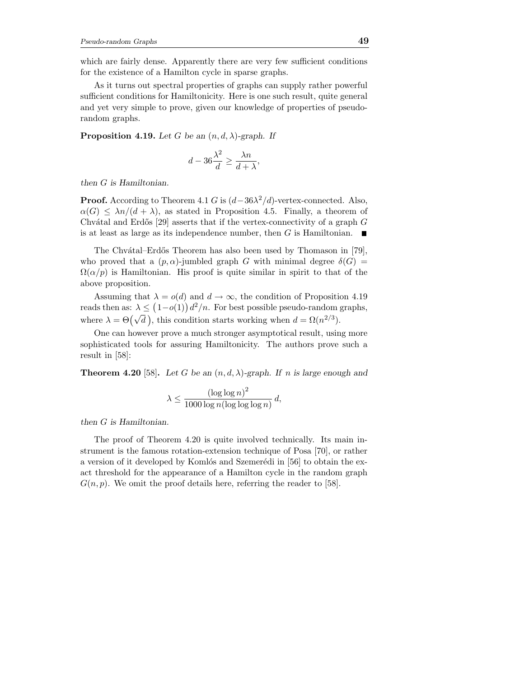which are fairly dense. Apparently there are very few sufficient conditions for the existence of a Hamilton cycle in sparse graphs.

As it turns out spectral properties of graphs can supply rather powerful sufficient conditions for Hamiltonicity. Here is one such result, quite general and yet very simple to prove, given our knowledge of properties of pseudorandom graphs.

**Proposition 4.19.** Let G be an  $(n, d, \lambda)$ -graph. If

$$
d - 36\frac{\lambda^2}{d} \ge \frac{\lambda n}{d + \lambda},
$$

then G is Hamiltonian.

**Proof.** According to Theorem 4.1 G is  $(d-36\lambda^2/d)$ -vertex-connected. Also,  $\alpha(G) \leq \lambda n/(d+\lambda)$ , as stated in Proposition 4.5. Finally, a theorem of Chvátal and Erdős [29] asserts that if the vertex-connectivity of a graph  $G$ is at least as large as its independence number, then G is Hamiltonian.  $\overline{\phantom{a}}$ 

The Chvátal–Erdős Theorem has also been used by Thomason in [79], who proved that a  $(p, \alpha)$ -jumbled graph G with minimal degree  $\delta(G)$  =  $\Omega(\alpha/p)$  is Hamiltonian. His proof is quite similar in spirit to that of the above proposition.

Assuming that  $\lambda = o(d)$  and  $d \to \infty$ , the condition of Proposition 4.19 reads then as:  $\lambda \leq (1 - o(1)) d^2/n$ . For best possible pseudo-random graphs, where  $\lambda = \Theta(\sqrt{d})$ , this condition starts working when  $d = \Omega(n^{2/3})$ .

One can however prove a much stronger asymptotical result, using more sophisticated tools for assuring Hamiltonicity. The authors prove such a result in [58]:

**Theorem 4.20** [58]. Let G be an  $(n, d, \lambda)$ -graph. If n is large enough and

$$
\lambda \le \frac{(\log \log n)^2}{1000 \log n (\log \log \log n)} d,
$$

then G is Hamiltonian.

The proof of Theorem 4.20 is quite involved technically. Its main instrument is the famous rotation-extension technique of Posa [70], or rather a version of it developed by Komlós and Szemerédi in  $[56]$  to obtain the exact threshold for the appearance of a Hamilton cycle in the random graph  $G(n, p)$ . We omit the proof details here, referring the reader to [58].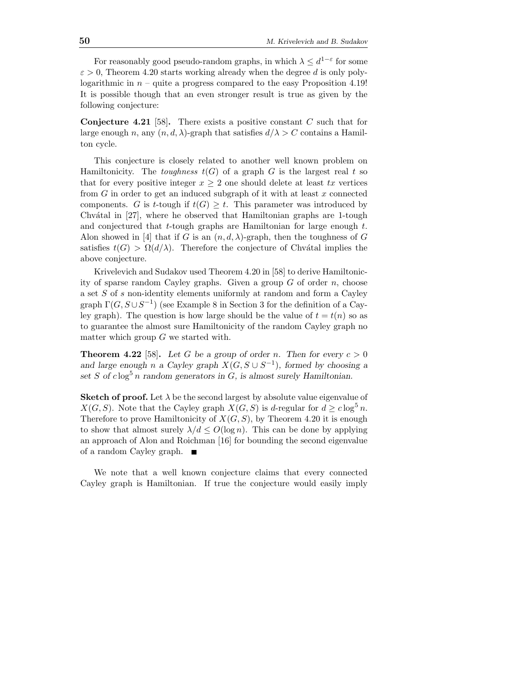For reasonably good pseudo-random graphs, in which  $\lambda \leq d^{1-\varepsilon}$  for some  $\varepsilon > 0$ , Theorem 4.20 starts working already when the degree d is only polylogarithmic in  $n -$  quite a progress compared to the easy Proposition 4.19! It is possible though that an even stronger result is true as given by the following conjecture:

**Conjecture 4.21** [58]. There exists a positive constant  $C$  such that for large enough n, any  $(n, d, \lambda)$ -graph that satisfies  $d/\lambda > C$  contains a Hamilton cycle.

This conjecture is closely related to another well known problem on Hamiltonicity. The *toughness*  $t(G)$  of a graph G is the largest real t so that for every positive integer  $x > 2$  one should delete at least tx vertices from  $G$  in order to get an induced subgraph of it with at least  $x$  connected components. G is t-tough if  $t(G) \geq t$ . This parameter was introduced by Chvátal in  $[27]$ , where he observed that Hamiltonian graphs are 1-tough and conjectured that t-tough graphs are Hamiltonian for large enough t. Alon showed in [4] that if G is an  $(n, d, \lambda)$ -graph, then the toughness of G satisfies  $t(G) > \Omega(d/\lambda)$ . Therefore the conjecture of Chvátal implies the above conjecture.

Krivelevich and Sudakov used Theorem 4.20 in [58] to derive Hamiltonicity of sparse random Cayley graphs. Given a group  $G$  of order  $n$ , choose a set S of s non-identity elements uniformly at random and form a Cayley graph  $\Gamma(G, S \cup S^{-1})$  (see Example 8 in Section 3 for the definition of a Cayley graph). The question is how large should be the value of  $t = t(n)$  so as to guarantee the almost sure Hamiltonicity of the random Cayley graph no matter which group  $G$  we started with.

**Theorem 4.22** [58]. Let G be a group of order n. Then for every  $c > 0$ and large enough n a Cayley graph  $X(G, S \cup S^{-1})$ , formed by choosing a set S of  $c \log^5 n$  random generators in G, is almost surely Hamiltonian.

**Sketch of proof.** Let  $\lambda$  be the second largest by absolute value eigenvalue of  $X(G, S)$ . Note that the Cayley graph  $X(G, S)$  is d-regular for  $d > c \log^5 n$ . Therefore to prove Hamiltonicity of  $X(G, S)$ , by Theorem 4.20 it is enough to show that almost surely  $\lambda/d \le O(\log n)$ . This can be done by applying an approach of Alon and Roichman [16] for bounding the second eigenvalue of a random Cayley graph.

We note that a well known conjecture claims that every connected Cayley graph is Hamiltonian. If true the conjecture would easily imply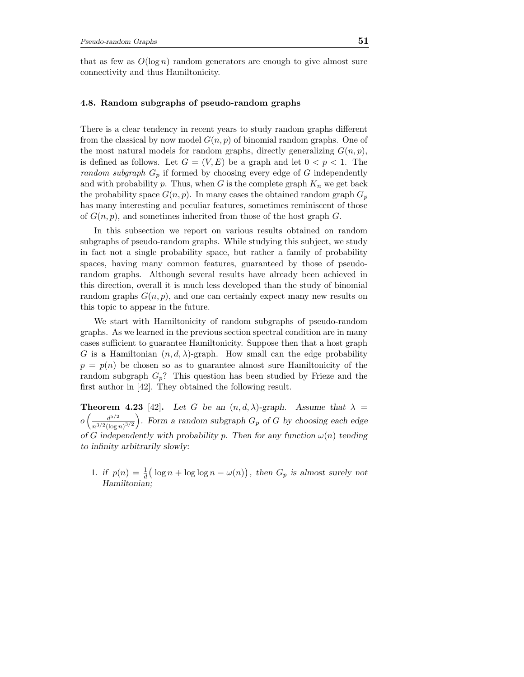that as few as  $O(\log n)$  random generators are enough to give almost sure connectivity and thus Hamiltonicity.

## 4.8. Random subgraphs of pseudo-random graphs

There is a clear tendency in recent years to study random graphs different from the classical by now model  $G(n, p)$  of binomial random graphs. One of the most natural models for random graphs, directly generalizing  $G(n, p)$ , is defined as follows. Let  $G = (V, E)$  be a graph and let  $0 < p < 1$ . The random subgraph  $G_p$  if formed by choosing every edge of G independently and with probability p. Thus, when G is the complete graph  $K_n$  we get back the probability space  $G(n, p)$ . In many cases the obtained random graph  $G_p$ has many interesting and peculiar features, sometimes reminiscent of those of  $G(n, p)$ , and sometimes inherited from those of the host graph G.

In this subsection we report on various results obtained on random subgraphs of pseudo-random graphs. While studying this subject, we study in fact not a single probability space, but rather a family of probability spaces, having many common features, guaranteed by those of pseudorandom graphs. Although several results have already been achieved in this direction, overall it is much less developed than the study of binomial random graphs  $G(n, p)$ , and one can certainly expect many new results on this topic to appear in the future.

We start with Hamiltonicity of random subgraphs of pseudo-random graphs. As we learned in the previous section spectral condition are in many cases sufficient to guarantee Hamiltonicity. Suppose then that a host graph G is a Hamiltonian  $(n, d, \lambda)$ -graph. How small can the edge probability  $p = p(n)$  be chosen so as to guarantee almost sure Hamiltonicity of the random subgraph  $G_p$ ? This question has been studied by Frieze and the first author in [42]. They obtained the following result.

**Theorem 4.23** [42]. Let G be an  $(n, d, \lambda)$ -graph. Assume that  $\lambda =$  $o\left(\frac{d^{5/2}}{3/2} \right)$  $\frac{d^{5/2}}{n^{3/2}(\log n)^{3/2}}$ . Form a random subgraph  $G_p$  of G by choosing each edge of G independently with probability p. Then for any function  $\omega(n)$  tending to infinity arbitrarily slowly:

1. if  $p(n) = \frac{1}{d}(\log n + \log \log n - \omega(n))$ , then  $G_p$  is almost surely not Hamiltonian;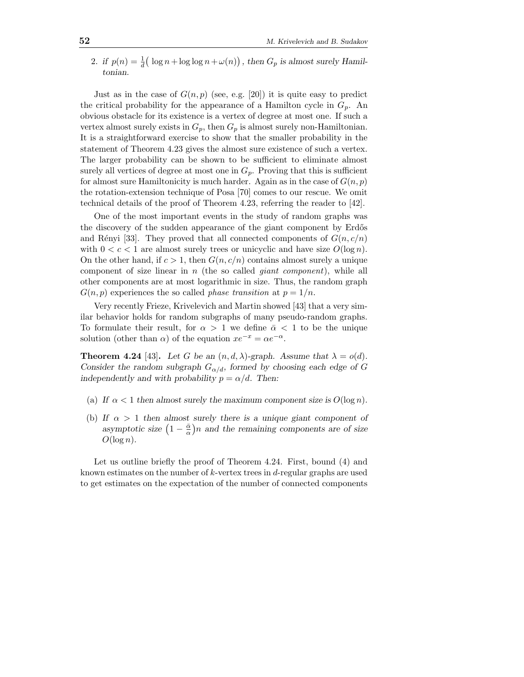2. if  $p(n) = \frac{1}{d}(\log n + \log \log n + \omega(n)),$  then  $G_p$  is almost surely Hamiltonian.

Just as in the case of  $G(n, p)$  (see, e.g. [20]) it is quite easy to predict the critical probability for the appearance of a Hamilton cycle in  $G_p$ . An obvious obstacle for its existence is a vertex of degree at most one. If such a vertex almost surely exists in  $G_p$ , then  $G_p$  is almost surely non-Hamiltonian. It is a straightforward exercise to show that the smaller probability in the statement of Theorem 4.23 gives the almost sure existence of such a vertex. The larger probability can be shown to be sufficient to eliminate almost surely all vertices of degree at most one in  $G_p$ . Proving that this is sufficient for almost sure Hamiltonicity is much harder. Again as in the case of  $G(n, p)$ the rotation-extension technique of Posa [70] comes to our rescue. We omit technical details of the proof of Theorem 4.23, referring the reader to [42].

One of the most important events in the study of random graphs was the discovery of the sudden appearance of the giant component by Erdős and Rényi [33]. They proved that all connected components of  $G(n, c/n)$ with  $0 < c < 1$  are almost surely trees or unicyclic and have size  $O(\log n)$ . On the other hand, if  $c > 1$ , then  $G(n, c/n)$  contains almost surely a unique component of size linear in  $n$  (the so called *giant component*), while all other components are at most logarithmic in size. Thus, the random graph  $G(n, p)$  experiences the so called *phase transition* at  $p = 1/n$ .

Very recently Frieze, Krivelevich and Martin showed [43] that a very similar behavior holds for random subgraphs of many pseudo-random graphs. To formulate their result, for  $\alpha > 1$  we define  $\bar{\alpha} < 1$  to be the unique solution (other than  $\alpha$ ) of the equation  $xe^{-x} = \alpha e^{-\alpha}$ .

**Theorem 4.24** [43]. Let G be an  $(n, d, \lambda)$ -graph. Assume that  $\lambda = o(d)$ . Consider the random subgraph  $G_{\alpha/d}$ , formed by choosing each edge of G independently and with probability  $p = \alpha/d$ . Then:

- (a) If  $\alpha < 1$  then almost surely the maximum component size is  $O(\log n)$ .
- (b) If  $\alpha > 1$  then almost surely there is a unique giant component of asymptotic size  $(1 - \frac{\bar{\alpha}}{\alpha})n$  and the remaining components are of size  $O(\log n)$ .

Let us outline briefly the proof of Theorem 4.24. First, bound (4) and known estimates on the number of  $k$ -vertex trees in  $d$ -regular graphs are used to get estimates on the expectation of the number of connected components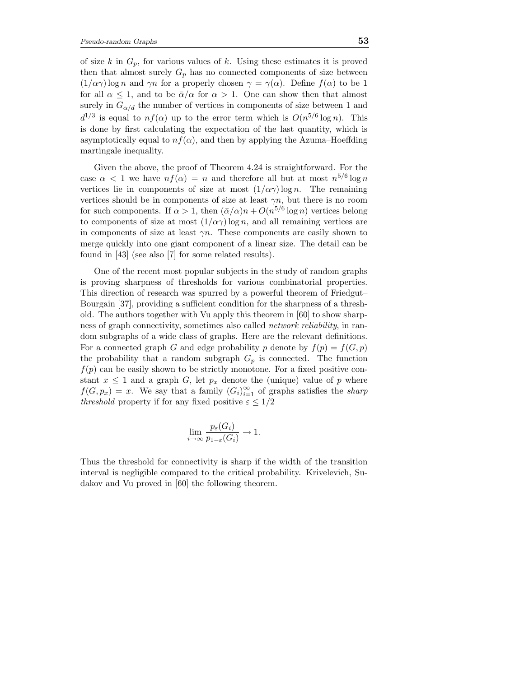of size k in  $G_p$ , for various values of k. Using these estimates it is proved then that almost surely  $G_p$  has no connected components of size between  $(1/\alpha\gamma)$ log n and  $\gamma n$  for a properly chosen  $\gamma = \gamma(\alpha)$ . Define  $f(\alpha)$  to be 1 for all  $\alpha \leq 1$ , and to be  $\overline{\alpha}/\alpha$  for  $\alpha > 1$ . One can show then that almost surely in  $G_{\alpha/d}$  the number of vertices in components of size between 1 and  $d^{1/3}$  is equal to  $nf(\alpha)$  up to the error term which is  $O(n^{5/6} \log n)$ . This is done by first calculating the expectation of the last quantity, which is asymptotically equal to  $nf(\alpha)$ , and then by applying the Azuma–Hoeffding martingale inequality.

Given the above, the proof of Theorem 4.24 is straightforward. For the case  $\alpha < 1$  we have  $nf(\alpha) = n$  and therefore all but at most  $n^{5/6} \log n$ vertices lie in components of size at most  $(1/\alpha \gamma) \log n$ . The remaining vertices should be in components of size at least  $\gamma n$ , but there is no room for such components. If  $\alpha > 1$ , then  $(\bar{\alpha}/\alpha)n + O(n^{5/6} \log n)$  vertices belong to components of size at most  $(1/\alpha \gamma) \log n$ , and all remaining vertices are in components of size at least  $\gamma n$ . These components are easily shown to merge quickly into one giant component of a linear size. The detail can be found in [43] (see also [7] for some related results).

One of the recent most popular subjects in the study of random graphs is proving sharpness of thresholds for various combinatorial properties. This direction of research was spurred by a powerful theorem of Friedgut– Bourgain [37], providing a sufficient condition for the sharpness of a threshold. The authors together with Vu apply this theorem in [60] to show sharpness of graph connectivity, sometimes also called network reliability, in random subgraphs of a wide class of graphs. Here are the relevant definitions. For a connected graph G and edge probability p denote by  $f(p) = f(G, p)$ the probability that a random subgraph  $G_p$  is connected. The function  $f(p)$  can be easily shown to be strictly monotone. For a fixed positive constant  $x \leq 1$  and a graph G, let  $p_x$  denote the (unique) value of p where  $f(G, p_x) = x$ . We say that a family  $(G_i)_{i=1}^{\infty}$  of graphs satisfies the *sharp* threshold property if for any fixed positive  $\varepsilon \leq 1/2$ 

$$
\lim_{i \to \infty} \frac{p_{\varepsilon}(G_i)}{p_{1-\varepsilon}(G_i)} \to 1.
$$

Thus the threshold for connectivity is sharp if the width of the transition interval is negligible compared to the critical probability. Krivelevich, Sudakov and Vu proved in [60] the following theorem.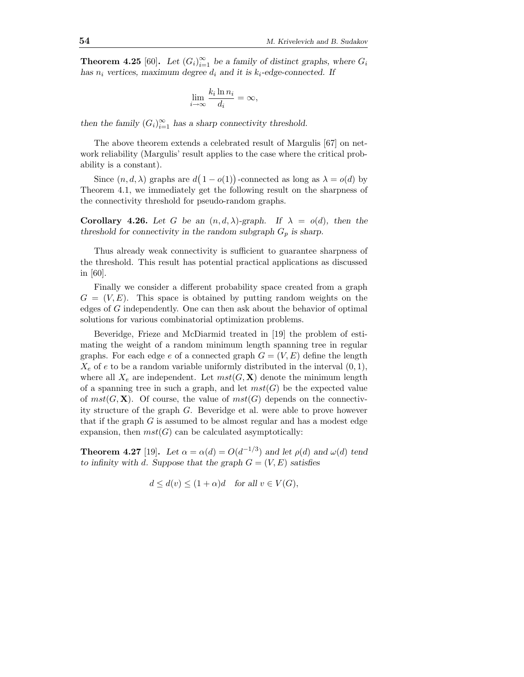**Theorem 4.25** [60]. Let  $(G_i)_{i=1}^{\infty}$  be a family of distinct graphs, where  $G_i$ has  $n_i$  vertices, maximum degree  $d_i$  and it is  $k_i$ -edge-connected. If

$$
\lim_{i \to \infty} \frac{k_i \ln n_i}{d_i} = \infty,
$$

then the family  $(G_i)_{i=1}^{\infty}$  has a sharp connectivity threshold.

The above theorem extends a celebrated result of Margulis [67] on network reliability (Margulis' result applies to the case where the critical probability is a constant).

Since  $(n, d, \lambda)$  graphs are  $d(1 - o(1))$ -connected as long as  $\lambda = o(d)$  by Theorem 4.1, we immediately get the following result on the sharpness of the connectivity threshold for pseudo-random graphs.

**Corollary 4.26.** Let G be an  $(n, d, \lambda)$ -graph. If  $\lambda = o(d)$ , then the threshold for connectivity in the random subgraph  $G_p$  is sharp.

Thus already weak connectivity is sufficient to guarantee sharpness of the threshold. This result has potential practical applications as discussed in [60].

Finally we consider a different probability space created from a graph  $G = (V, E)$ . This space is obtained by putting random weights on the edges of G independently. One can then ask about the behavior of optimal solutions for various combinatorial optimization problems.

Beveridge, Frieze and McDiarmid treated in [19] the problem of estimating the weight of a random minimum length spanning tree in regular graphs. For each edge e of a connected graph  $G = (V, E)$  define the length  $X_e$  of e to be a random variable uniformly distributed in the interval  $(0, 1)$ , where all  $X_e$  are independent. Let  $mst(G, X)$  denote the minimum length of a spanning tree in such a graph, and let  $mst(G)$  be the expected value of  $mst(G, X)$ . Of course, the value of  $mst(G)$  depends on the connectivity structure of the graph G. Beveridge et al. were able to prove however that if the graph  $G$  is assumed to be almost regular and has a modest edge expansion, then  $mst(G)$  can be calculated asymptotically:

**Theorem 4.27** [19]. Let  $\alpha = \alpha(d) = O(d^{-1/3})$  and let  $\rho(d)$  and  $\omega(d)$  tend to infinity with d. Suppose that the graph  $G = (V, E)$  satisfies

$$
d \le d(v) \le (1+\alpha)d \quad \text{for all } v \in V(G),
$$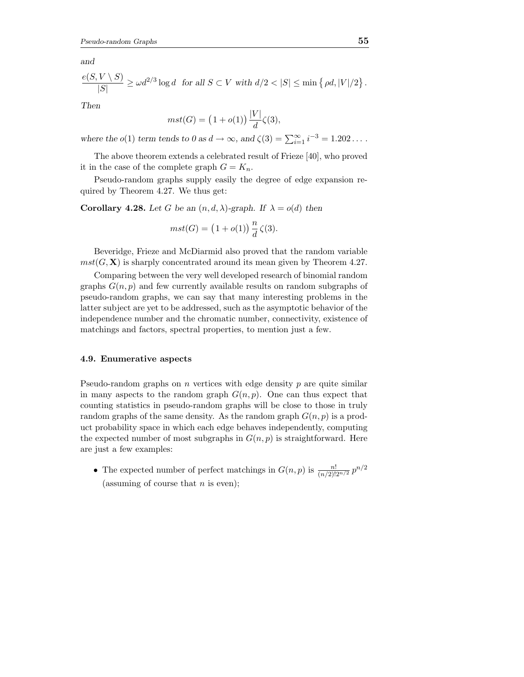and

$$
\frac{e(S, V \setminus S)}{|S|} \ge \omega d^{2/3} \log d \text{ for all } S \subset V \text{ with } d/2 < |S| \le \min \left\{ \rho d, |V|/2 \right\}.
$$

Then

$$
mst(G) = (1 + o(1)) \frac{|V|}{d} \zeta(3),
$$

where the  $o(1)$  term tends to  $0$  as  $d \to \infty$ , and  $\zeta(3) = \sum_{i=1}^{\infty} i^{-3} = 1.202...$ .

The above theorem extends a celebrated result of Frieze [40], who proved it in the case of the complete graph  $G = K_n$ .

Pseudo-random graphs supply easily the degree of edge expansion required by Theorem 4.27. We thus get:

Corollary 4.28. Let G be an  $(n, d, \lambda)$ -graph. If  $\lambda = o(d)$  then

$$
mst(G) = (1 + o(1)) \frac{n}{d} \zeta(3).
$$

Beveridge, Frieze and McDiarmid also proved that the random variable  $mst(G, X)$  is sharply concentrated around its mean given by Theorem 4.27.

Comparing between the very well developed research of binomial random graphs  $G(n, p)$  and few currently available results on random subgraphs of pseudo-random graphs, we can say that many interesting problems in the latter subject are yet to be addressed, such as the asymptotic behavior of the independence number and the chromatic number, connectivity, existence of matchings and factors, spectral properties, to mention just a few.

#### 4.9. Enumerative aspects

Pseudo-random graphs on  $n$  vertices with edge density  $p$  are quite similar in many aspects to the random graph  $G(n, p)$ . One can thus expect that counting statistics in pseudo-random graphs will be close to those in truly random graphs of the same density. As the random graph  $G(n, p)$  is a product probability space in which each edge behaves independently, computing the expected number of most subgraphs in  $G(n, p)$  is straightforward. Here are just a few examples:

• The expected number of perfect matchings in  $G(n, p)$  is  $\frac{n!}{(n/2)!2^{n/2}} p^{n/2}$ (assuming of course that  $n$  is even);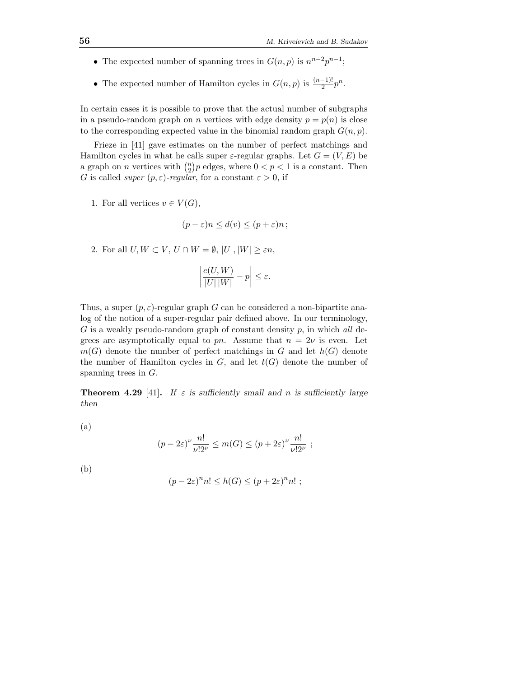- The expected number of spanning trees in  $G(n, p)$  is  $n^{n-2}p^{n-1}$ ;
- The expected number of Hamilton cycles in  $G(n, p)$  is  $\frac{(n-1)!}{2}p^n$ .

In certain cases it is possible to prove that the actual number of subgraphs in a pseudo-random graph on n vertices with edge density  $p = p(n)$  is close to the corresponding expected value in the binomial random graph  $G(n, p)$ .

Frieze in [41] gave estimates on the number of perfect matchings and Hamilton cycles in what he calls super  $\varepsilon$ -regular graphs. Let  $G = (V, E)$  be a graph on *n* vertices with  $\binom{n}{2}$  $n \choose 2} p$  edges, where  $0 < p < 1$  is a constant. Then G is called *super*  $(p, \varepsilon)$ -regular, for a constant  $\varepsilon > 0$ , if

1. For all vertices  $v \in V(G)$ ,

$$
(p - \varepsilon)n \le d(v) \le (p + \varepsilon)n ;
$$

2. For all  $U, W \subset V, U \cap W = \emptyset, |U|, |W| \geq \varepsilon n$ ,

$$
\left|\frac{e(U,W)}{|U|\,|W|}-p\right|\leq\varepsilon.
$$

Thus, a super  $(p, \varepsilon)$ -regular graph G can be considered a non-bipartite analog of the notion of a super-regular pair defined above. In our terminology,  $G$  is a weakly pseudo-random graph of constant density  $p$ , in which all degrees are asymptotically equal to pn. Assume that  $n = 2\nu$  is even. Let  $m(G)$  denote the number of perfect matchings in G and let  $h(G)$  denote the number of Hamilton cycles in  $G$ , and let  $t(G)$  denote the number of spanning trees in  $G$ .

**Theorem 4.29** [41]. If  $\varepsilon$  is sufficiently small and n is sufficiently large then

(a)

$$
(p-2\varepsilon)^{\nu} \frac{n!}{\nu!2^{\nu}} \le m(G) \le (p+2\varepsilon)^{\nu} \frac{n!}{\nu!2^{\nu}} ;
$$

(b)

$$
(p-2\varepsilon)^n n! \le h(G) \le (p+2\varepsilon)^n n! ;
$$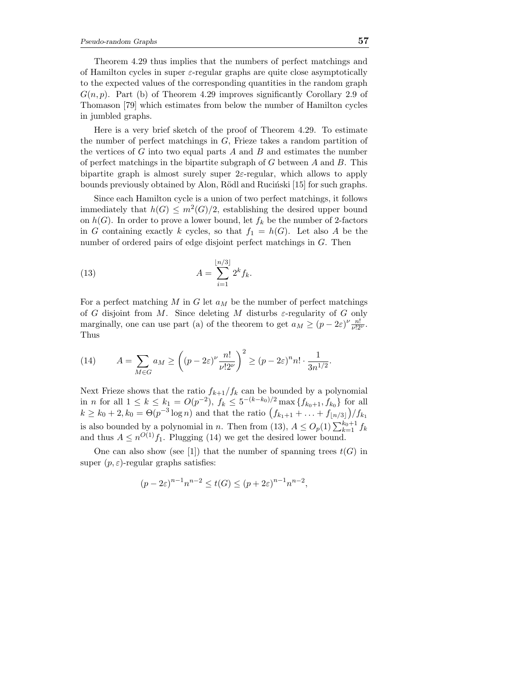Theorem 4.29 thus implies that the numbers of perfect matchings and of Hamilton cycles in super  $\varepsilon$ -regular graphs are quite close asymptotically to the expected values of the corresponding quantities in the random graph  $G(n, p)$ . Part (b) of Theorem 4.29 improves significantly Corollary 2.9 of Thomason [79] which estimates from below the number of Hamilton cycles in jumbled graphs.

Here is a very brief sketch of the proof of Theorem 4.29. To estimate the number of perfect matchings in  $G$ , Frieze takes a random partition of the vertices of  $G$  into two equal parts  $A$  and  $B$  and estimates the number of perfect matchings in the bipartite subgraph of  $G$  between  $A$  and  $B$ . This bipartite graph is almost surely super  $2\varepsilon$ -regular, which allows to apply bounds previously obtained by Alon, Rödl and Rucinski [15] for such graphs.

Since each Hamilton cycle is a union of two perfect matchings, it follows immediately that  $h(G) \leq m^2(G)/2$ , establishing the desired upper bound on  $h(G)$ . In order to prove a lower bound, let  $f_k$  be the number of 2-factors in G containing exactly k cycles, so that  $f_1 = h(G)$ . Let also A be the number of ordered pairs of edge disjoint perfect matchings in G. Then

(13) 
$$
A = \sum_{i=1}^{\lfloor n/3 \rfloor} 2^k f_k.
$$

For a perfect matching M in G let  $a_M$  be the number of perfect matchings of G disjoint from M. Since deleting M disturbs  $\varepsilon$ -regularity of G only marginally, one can use part (a) of the theorem to get  $a_M \ge (p - 2\varepsilon)^{\nu} \frac{n!}{\nu! 2^{\nu}}$ . Thus

(14) 
$$
A = \sum_{M \in G} a_M \ge \left( (p - 2\varepsilon)^{\nu} \frac{n!}{\nu! 2^{\nu}} \right)^2 \ge (p - 2\varepsilon)^n n! \cdot \frac{1}{3n^{1/2}}.
$$

Next Frieze shows that the ratio  $f_{k+1}/f_k$  can be bounded by a polynomial in *n* for all  $1 \leq k \leq k_1 = O(p^{-2}), f_k \leq 5^{-(k-k_0)/2} \max\{f_{k_0+1}, f_{k_0}\}\$ for all  $k \geq k_0 + 2, k_0 = \Theta(p^{-3} \log n)$  and that the ratio  $(f_{k_1+1} + \ldots + f_{\lfloor n/3 \rfloor})/f_{k_1}$ is also bounded by a polynomial in n. Then from (13),  $A \leq O_p(1) \sum_{k=1}^{k_0+1} f_k$ and thus  $A \leq n^{O(1)} f_1$ . Plugging (14) we get the desired lower bound.

One can also show (see [1]) that the number of spanning trees  $t(G)$  in super  $(p, \varepsilon)$ -regular graphs satisfies:

$$
(p - 2\varepsilon)^{n-1} n^{n-2} \le t(G) \le (p + 2\varepsilon)^{n-1} n^{n-2},
$$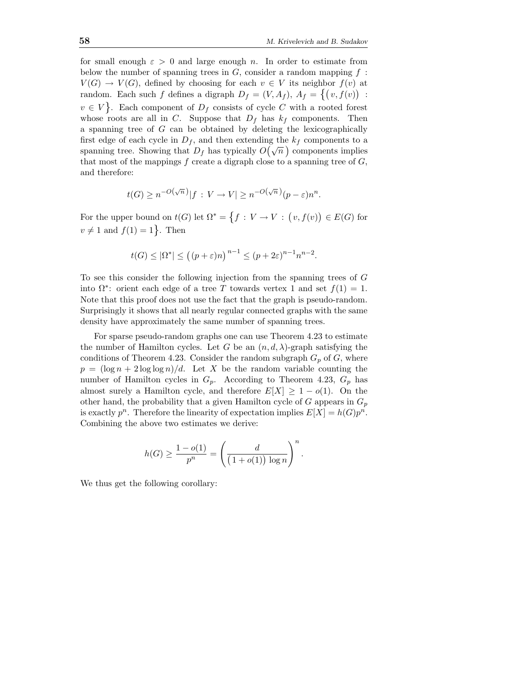for small enough  $\varepsilon > 0$  and large enough n. In order to estimate from below the number of spanning trees in  $G$ , consider a random mapping  $f$ :  $V(G) \to V(G)$ , defined by choosing for each  $v \in V$  its neighbor  $f(v)$  at random. Each such f defines a digraph  $D_f = (V, A_f)$ ,  $A_f = \{(v, f(v))$ :  $v \in V$ . Each component of  $D_f$  consists of cycle C with a rooted forest whose roots are all in C. Suppose that  $D_f$  has  $k_f$  components. Then a spanning tree of G can be obtained by deleting the lexicographically first edge of each cycle in  $D_f$ , and then extending the  $k_f$  components to a spanning tree. Showing that  $D_f$  has typically  $\widetilde{O(\sqrt{n})}$  components implies that most of the mappings  $f$  create a digraph close to a spanning tree of  $G$ , and therefore:

$$
t(G) \ge n^{-O(\sqrt{n})}|f : V \to V| \ge n^{-O(\sqrt{n})}(p-\varepsilon)n^n.
$$

For the upper bound on  $t(G)$  let  $\Omega^* = \{f : V \to V : (v, f(v)) \in E(G) \text{ for }$  $v \neq 1$  and  $f(1) = 1$ . Then

$$
t(G) \le |\Omega^*| \le ((p+\varepsilon)n)^{n-1} \le (p+2\varepsilon)^{n-1}n^{n-2}.
$$

To see this consider the following injection from the spanning trees of G into  $\Omega^*$ : orient each edge of a tree T towards vertex 1 and set  $f(1) = 1$ . Note that this proof does not use the fact that the graph is pseudo-random. Surprisingly it shows that all nearly regular connected graphs with the same density have approximately the same number of spanning trees.

For sparse pseudo-random graphs one can use Theorem 4.23 to estimate the number of Hamilton cycles. Let G be an  $(n, d, \lambda)$ -graph satisfying the conditions of Theorem 4.23. Consider the random subgraph  $G_p$  of G, where  $p = (\log n + 2 \log \log n)/d$ . Let X be the random variable counting the number of Hamilton cycles in  $G_p$ . According to Theorem 4.23,  $G_p$  has almost surely a Hamilton cycle, and therefore  $E[X] \geq 1 - o(1)$ . On the other hand, the probability that a given Hamilton cycle of G appears in  $G_p$ is exactly  $p^n$ . Therefore the linearity of expectation implies  $E[X] = h(G)p^n$ . Combining the above two estimates we derive:

$$
h(G) \ge \frac{1 - o(1)}{p^n} = \left(\frac{d}{(1 + o(1)) \log n}\right)^n.
$$

We thus get the following corollary: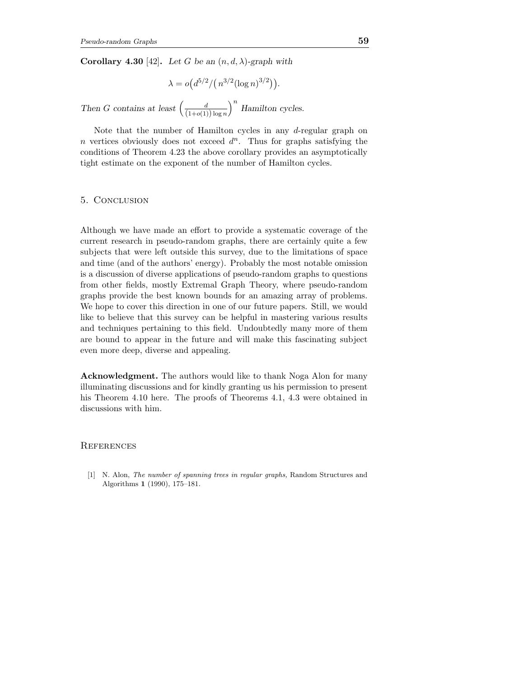Corollary 4.30 [42]. Let G be an  $(n, d, \lambda)$ -graph with

$$
\lambda = o\left(d^{5/2}/\left(n^{3/2}(\log n)^{3/2}\right)\right).
$$

Then G contains at least  $\left(\frac{d}{(1+o(1))\log n}\right)$  $\big)^n$  Hamilton cycles.

Note that the number of Hamilton cycles in any d-regular graph on n vertices obviously does not exceed  $d^n$ . Thus for graphs satisfying the conditions of Theorem 4.23 the above corollary provides an asymptotically tight estimate on the exponent of the number of Hamilton cycles.

#### 5. Conclusion

Although we have made an effort to provide a systematic coverage of the current research in pseudo-random graphs, there are certainly quite a few subjects that were left outside this survey, due to the limitations of space and time (and of the authors' energy). Probably the most notable omission is a discussion of diverse applications of pseudo-random graphs to questions from other fields, mostly Extremal Graph Theory, where pseudo-random graphs provide the best known bounds for an amazing array of problems. We hope to cover this direction in one of our future papers. Still, we would like to believe that this survey can be helpful in mastering various results and techniques pertaining to this field. Undoubtedly many more of them are bound to appear in the future and will make this fascinating subject even more deep, diverse and appealing.

Acknowledgment. The authors would like to thank Noga Alon for many illuminating discussions and for kindly granting us his permission to present his Theorem 4.10 here. The proofs of Theorems 4.1, 4.3 were obtained in discussions with him.

## **REFERENCES**

[1] N. Alon, The number of spanning trees in regular graphs, Random Structures and Algorithms 1 (1990), 175–181.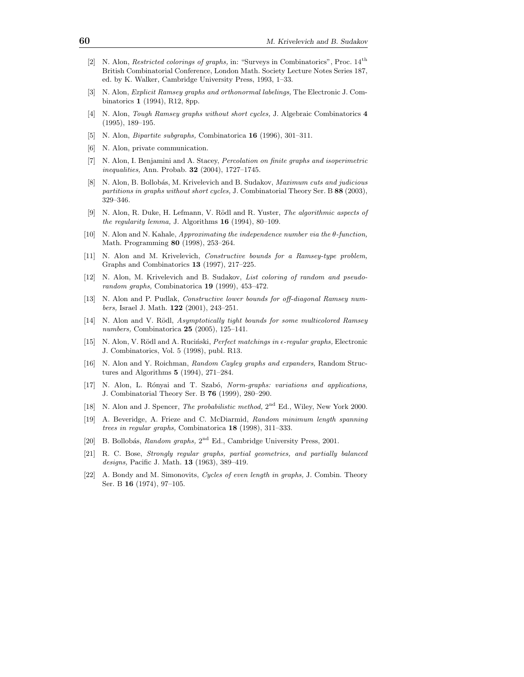- [2] N. Alon, Restricted colorings of graphs, in: "Surveys in Combinatorics", Proc. 14th British Combinatorial Conference, London Math. Society Lecture Notes Series 187, ed. by K. Walker, Cambridge University Press, 1993, 1–33.
- [3] N. Alon, Explicit Ramsey graphs and orthonormal labelings, The Electronic J. Combinatorics 1 (1994), R12, 8pp.
- [4] N. Alon, Tough Ramsey graphs without short cycles, J. Algebraic Combinatorics 4 (1995), 189–195.
- [5] N. Alon, Bipartite subgraphs, Combinatorica 16 (1996), 301–311.
- [6] N. Alon, private communication.
- [7] N. Alon, I. Benjamini and A. Stacey, Percolation on finite graphs and isoperimetric inequalities, Ann. Probab. 32 (2004), 1727–1745.
- [8] N. Alon, B. Bollobás, M. Krivelevich and B. Sudakov, Maximum cuts and judicious partitions in graphs without short cycles, J. Combinatorial Theory Ser. B 88 (2003), 329–346.
- [9] N. Alon, R. Duke, H. Lefmann, V. Rödl and R. Yuster, The algorithmic aspects of the regularity lemma, J. Algorithms  $16$  (1994), 80-109.
- [10] N. Alon and N. Kahale, Approximating the independence number via the θ-function, Math. Programming 80 (1998), 253–264.
- [11] N. Alon and M. Krivelevich, Constructive bounds for a Ramsey-type problem, Graphs and Combinatorics 13 (1997), 217–225.
- [12] N. Alon, M. Krivelevich and B. Sudakov, List coloring of random and pseudorandom graphs, Combinatorica 19 (1999), 453–472.
- [13] N. Alon and P. Pudlak, Constructive lower bounds for off-diagonal Ramsey numbers, Israel J. Math. 122 (2001), 243–251.
- [14] N. Alon and V. Rödl, Asymptotically tight bounds for some multicolored Ramsey numbers, Combinatorica 25 (2005), 125–141.
- [15] N. Alon, V. Rödl and A. Ruciński, Perfect matchings in  $\epsilon$ -regular graphs, Electronic J. Combinatorics, Vol. 5 (1998), publ. R13.
- [16] N. Alon and Y. Roichman, Random Cayley graphs and expanders, Random Structures and Algorithms 5 (1994), 271–284.
- [17] N. Alon, L. Rónyai and T. Szabó, Norm-graphs: variations and applications, J. Combinatorial Theory Ser. B 76 (1999), 280–290.
- [18] N. Alon and J. Spencer, *The probabilistic method*,  $2<sup>nd</sup>$  Ed., Wiley, New York 2000.
- [19] A. Beveridge, A. Frieze and C. McDiarmid, Random minimum length spanning trees in regular graphs, Combinatorica 18 (1998), 311–333.
- [20] B. Bollobás, Random graphs, 2<sup>nd</sup> Ed., Cambridge University Press, 2001.
- [21] R. C. Bose, Strongly regular graphs, partial geometries, and partially balanced designs, Pacific J. Math. 13 (1963), 389–419.
- [22] A. Bondy and M. Simonovits, Cycles of even length in graphs, J. Combin. Theory Ser. B 16 (1974), 97-105.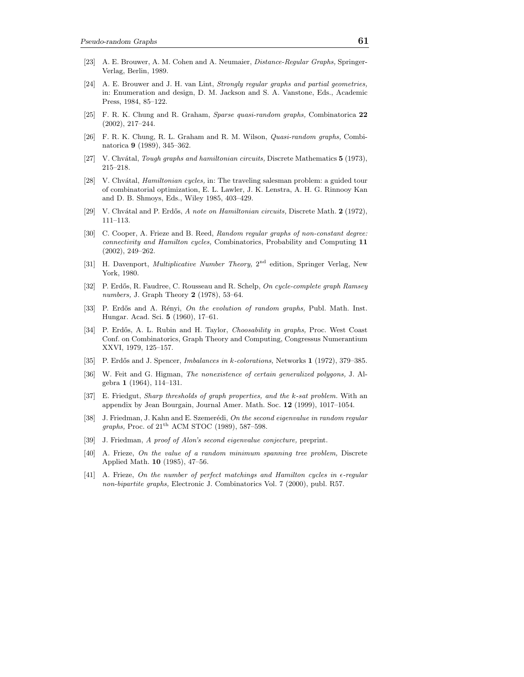- [23] A. E. Brouwer, A. M. Cohen and A. Neumaier, Distance-Regular Graphs, Springer-Verlag, Berlin, 1989.
- [24] A. E. Brouwer and J. H. van Lint, Strongly regular graphs and partial geometries, in: Enumeration and design, D. M. Jackson and S. A. Vanstone, Eds., Academic Press, 1984, 85–122.
- [25] F. R. K. Chung and R. Graham, Sparse quasi-random graphs, Combinatorica 22 (2002), 217–244.
- [26] F. R. K. Chung, R. L. Graham and R. M. Wilson, Quasi-random graphs, Combinatorica 9 (1989), 345–362.
- [27] V. Chvátal, *Tough graphs and hamiltonian circuits*, Discrete Mathematics 5 (1973), 215–218.
- [28] V. Chvátal, *Hamiltonian cycles*, in: The traveling salesman problem: a guided tour of combinatorial optimization, E. L. Lawler, J. K. Lenstra, A. H. G. Rinnooy Kan and D. B. Shmoys, Eds., Wiley 1985, 403–429.
- [29] V. Chvátal and P. Erdős, A note on Hamiltonian circuits, Discrete Math.  $2$  (1972), 111–113.
- [30] C. Cooper, A. Frieze and B. Reed, Random regular graphs of non-constant degree: connectivity and Hamilton cycles, Combinatorics, Probability and Computing 11 (2002), 249–262.
- [31] H. Davenport, *Multiplicative Number Theory*, 2<sup>nd</sup> edition, Springer Verlag, New York, 1980.
- [32] P. Erdős, R. Faudree, C. Rousseau and R. Schelp, On cycle-complete graph Ramsey numbers, J. Graph Theory 2 (1978), 53–64.
- [33] P. Erdős and A. Rényi, On the evolution of random graphs, Publ. Math. Inst. Hungar. Acad. Sci. 5 (1960), 17–61.
- [34] P. Erdős, A. L. Rubin and H. Taylor, Choosability in graphs, Proc. West Coast Conf. on Combinatorics, Graph Theory and Computing, Congressus Numerantium XXVI, 1979, 125–157.
- [35] P. Erdős and J. Spencer, *Imbalances in k-colorations*, Networks 1 (1972), 379–385.
- [36] W. Feit and G. Higman, The nonexistence of certain generalized polygons, J. Algebra 1 (1964), 114–131.
- [37] E. Friedgut, Sharp thresholds of graph properties, and the k-sat problem. With an appendix by Jean Bourgain, Journal Amer. Math. Soc. 12 (1999), 1017–1054.
- [38] J. Friedman, J. Kahn and E. Szemerédi, On the second eigenvalue in random regular *graphs*, Proc. of  $21<sup>th</sup>$  ACM STOC (1989), 587–598.
- [39] J. Friedman, A proof of Alon's second eigenvalue conjecture, preprint.
- [40] A. Frieze, On the value of a random minimum spanning tree problem, Discrete Applied Math. 10 (1985), 47–56.
- [41] A. Frieze, On the number of perfect matchings and Hamilton cycles in  $\epsilon$ -regular non-bipartite graphs, Electronic J. Combinatorics Vol. 7 (2000), publ. R57.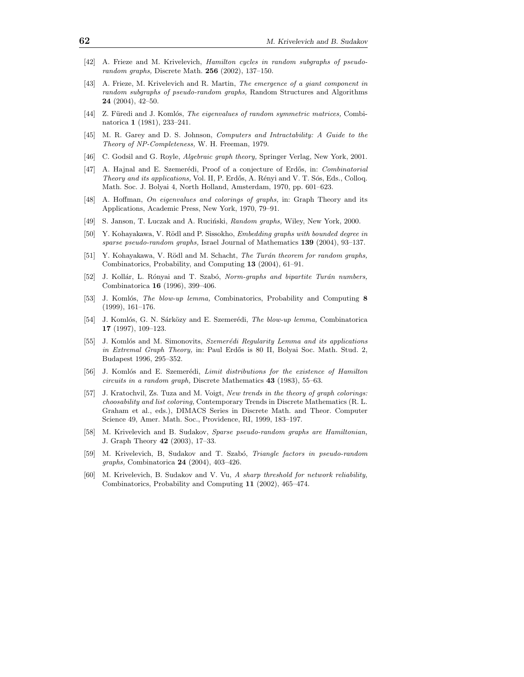- [42] A. Frieze and M. Krivelevich, Hamilton cycles in random subgraphs of pseudorandom graphs, Discrete Math. 256 (2002), 137–150.
- [43] A. Frieze, M. Krivelevich and R. Martin, The emergence of a giant component in random subgraphs of pseudo-random graphs, Random Structures and Algorithms 24 (2004), 42–50.
- [44] Z. Füredi and J. Komlós, The eigenvalues of random symmetric matrices, Combinatorica 1 (1981), 233–241.
- [45] M. R. Garey and D. S. Johnson, Computers and Intractability: A Guide to the Theory of NP-Completeness, W. H. Freeman, 1979.
- [46] C. Godsil and G. Royle, Algebraic graph theory, Springer Verlag, New York, 2001.
- [47] A. Hajnal and E. Szemerédi, Proof of a conjecture of Erdős, in: Combinatorial Theory and its applications, Vol. II, P. Erdős, A. Rényi and V. T. Sós, Eds., Colloq. Math. Soc. J. Bolyai 4, North Holland, Amsterdam, 1970, pp. 601–623.
- [48] A. Hoffman, On eigenvalues and colorings of graphs, in: Graph Theory and its Applications, Academic Press, New York, 1970, 79–91.
- [49] S. Janson, T. Luczak and A. Ruciński, *Random graphs*, Wiley, New York, 2000.
- [50] Y. Kohayakawa, V. Rödl and P. Sissokho, Embedding graphs with bounded degree in sparse pseudo-random graphs, Israel Journal of Mathematics 139 (2004), 93–137.
- [51] Y. Kohayakawa, V. Rödl and M. Schacht, The Turán theorem for random graphs, Combinatorics, Probability, and Computing 13 (2004), 61–91.
- [52] J. Kollár, L. Rónyai and T. Szabó, Norm-graphs and bipartite Turán numbers, Combinatorica 16 (1996), 399–406.
- [53] J. Komlós, *The blow-up lemma*, Combinatorics, Probability and Computing 8 (1999), 161–176.
- [54] J. Komlós, G. N. Sárközy and E. Szemerédi, The blow-up lemma, Combinatorica 17 (1997), 109–123.
- [55] J. Komlós and M. Simonovits, Szemerédi Regularity Lemma and its applications in Extremal Graph Theory, in: Paul Erdős is 80 II, Bolyai Soc. Math. Stud. 2, Budapest 1996, 295–352.
- [56] J. Komlós and E. Szemerédi, Limit distributions for the existence of Hamilton circuits in a random graph, Discrete Mathematics 43 (1983), 55–63.
- [57] J. Kratochvil, Zs. Tuza and M. Voigt, New trends in the theory of graph colorings: choosability and list coloring, Contemporary Trends in Discrete Mathematics (R. L. Graham et al., eds.), DIMACS Series in Discrete Math. and Theor. Computer Science 49, Amer. Math. Soc., Providence, RI, 1999, 183–197.
- [58] M. Krivelevich and B. Sudakov, Sparse pseudo-random graphs are Hamiltonian, J. Graph Theory 42 (2003), 17–33.
- [59] M. Krivelevich, B. Sudakov and T. Szabó, Triangle factors in pseudo-random graphs, Combinatorica 24 (2004), 403–426.
- [60] M. Krivelevich, B. Sudakov and V. Vu, A sharp threshold for network reliability, Combinatorics, Probability and Computing 11 (2002), 465–474.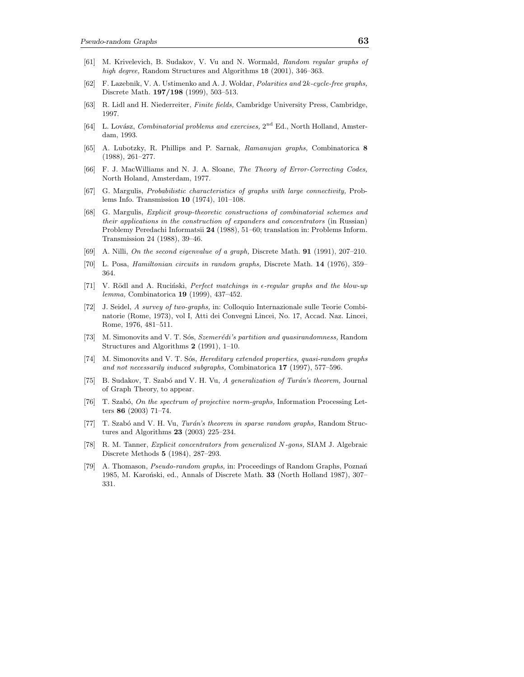- [61] M. Krivelevich, B. Sudakov, V. Vu and N. Wormald, Random regular graphs of high degree, Random Structures and Algorithms 18 (2001), 346-363.
- [62] F. Lazebnik, V. A. Ustimenko and A. J. Woldar, Polarities and 2k-cycle-free graphs, Discrete Math. 197/198 (1999), 503–513.
- [63] R. Lidl and H. Niederreiter, Finite fields, Cambridge University Press, Cambridge, 1997.
- [64] L. Lovász, *Combinatorial problems and exercises*, 2<sup>nd</sup> Ed., North Holland, Amsterdam, 1993.
- [65] A. Lubotzky, R. Phillips and P. Sarnak, Ramanujan graphs, Combinatorica 8 (1988), 261–277.
- [66] F. J. MacWilliams and N. J. A. Sloane, The Theory of Error-Correcting Codes, North Holand, Amsterdam, 1977.
- [67] G. Margulis, Probabilistic characteristics of graphs with large connectivity, Problems Info. Transmission 10 (1974), 101–108.
- [68] G. Margulis, Explicit group-theoretic constructions of combinatorial schemes and their applications in the construction of expanders and concentrators (in Russian) Problemy Peredachi Informatsii 24 (1988), 51–60; translation in: Problems Inform. Transmission 24 (1988), 39–46.
- [69] A. Nilli, On the second eigenvalue of a graph, Discrete Math. 91 (1991), 207–210.
- [70] L. Posa, Hamiltonian circuits in random graphs, Discrete Math. 14 (1976), 359– 364.
- [71] V. Rödl and A. Rucinski, Perfect matchings in  $\epsilon$ -regular graphs and the blow-up lemma, Combinatorica 19 (1999), 437–452.
- [72] J. Seidel, A survey of two-graphs, in: Colloquio Internazionale sulle Teorie Combinatorie (Rome, 1973), vol I, Atti dei Convegni Lincei, No. 17, Accad. Naz. Lincei, Rome, 1976, 481–511.
- [73] M. Simonovits and V. T. Sós, Szemerédi's partition and quasirandomness, Random Structures and Algorithms 2 (1991), 1–10.
- [74] M. Simonovits and V. T. Sós, *Hereditary extended properties, quasi-random graphs* and not necessarily induced subgraphs, Combinatorica 17 (1997), 577–596.
- [75] B. Sudakov, T. Szabó and V. H. Vu, A generalization of Turán's theorem, Journal of Graph Theory, to appear.
- [76] T. Szabó, On the spectrum of projective norm-graphs, Information Processing Letters 86 (2003) 71–74.
- [77] T. Szabó and V. H. Vu, Turán's theorem in sparse random graphs, Random Structures and Algorithms 23 (2003) 225–234.
- [78] R. M. Tanner, Explicit concentrators from generalized N-gons, SIAM J. Algebraic Discrete Methods 5 (1984), 287–293.
- [79] A. Thomason, Pseudo-random graphs, in: Proceedings of Random Graphs, Poznan´ 1985, M. Karonski, ed., Annals of Discrete Math. 33 (North Holland 1987), 307– 331.